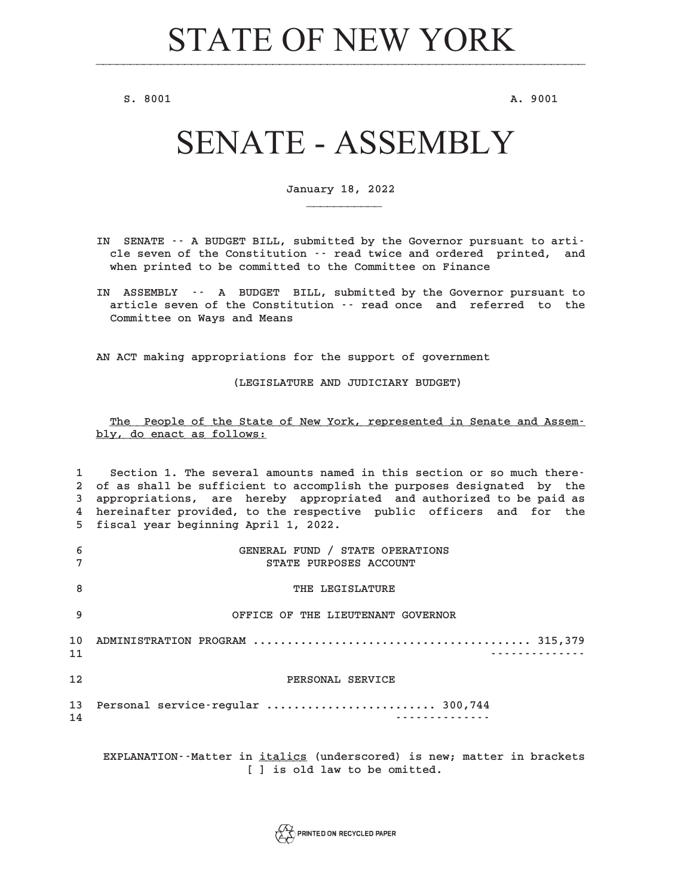**S.** 8001 **A.** 9001

# SENATE - ASSEMBLY

**January 18, 2022 \_\_\_\_\_\_\_\_\_\_\_**

- **IN SENATE -- A BUDGET BILL, submitted by the Governor pursuant to article seven of the Constitution -- read twice and ordered printed, and when printed to be committed to the Committee on Finance**
- **IN ASSEMBLY -- A BUDGET BILL, submitted by the Governor pursuant to article seven of the Constitution -- read once and referred to the Committee on Ways and Means**

**AN ACT making appropriations for the support of government**

**(LEGISLATURE AND JUDICIARY BUDGET)**

# The People of the State of New York, represented in Senate and Assem**bly, do enact as follows: \_\_\_\_\_\_\_\_\_\_\_\_\_\_\_\_\_\_\_\_\_\_\_\_\_**

**1 Section 1. The several amounts named in this section or so much there-2 of as shall be sufficient to accomplish the purposes designated by the 3 appropriations, are hereby appropriated and authorized to be paid as 4 hereinafter provided, to the respective public officers and for the 5 fiscal year beginning April 1, 2022. 6 GENERAL FUND / STATE OPERATIONS 7 STATE PURPOSES ACCOUNT 8** THE LEGISLATURE **9 OFFICE OF THE LIEUTENANT GOVERNOR 10 ADMINISTRATION PROGRAM ......................................... 315,379 11 -------------- 12 PERSONAL SERVICE 13 Personal service-regular ......................... 300,744 14 --------------**

**EXPLANATION--Matter in italics (underscored) is new; matter in brackets \_\_\_\_\_\_\_ [ ] is old law to be omitted.**

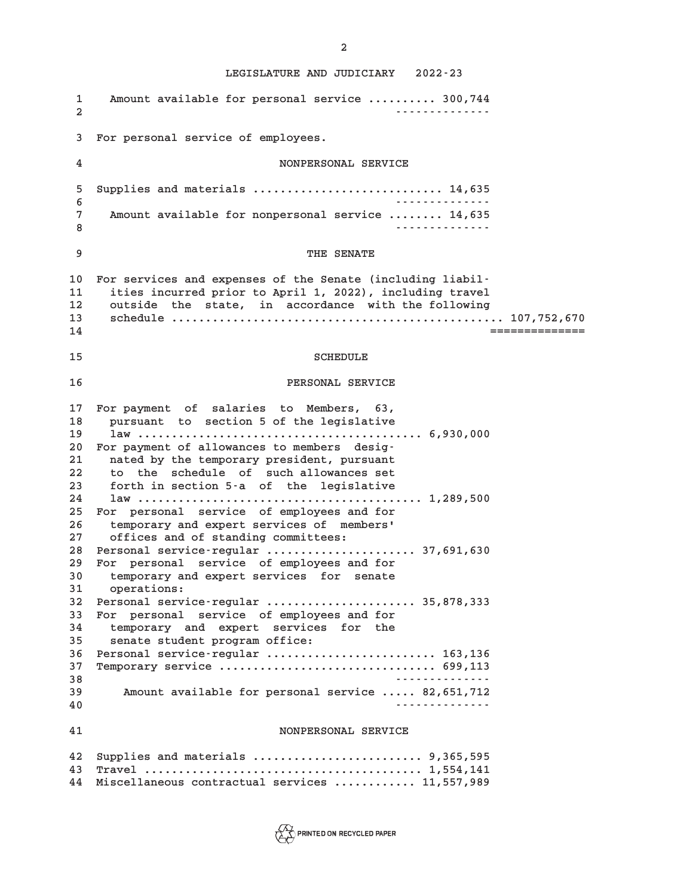**1 Amount available for personal service .......... 300,744 2 -------------- 3 For personal service of employees. 4 NONPERSONAL SERVICE 5 Supplies and materials ............................ 14,635 6 -------------- 7 Amount available for nonpersonal service ........ 14,635 8 -------------- 9 THE SENATE 10 For services and expenses of the Senate (including liabil-11 ities incurred prior to April 1, 2022), including travel 12 outside the state, in accordance with the following 13 schedule ................................................. 107,752,670 14 ============== 15 SCHEDULE 16 PERSONAL SERVICE 17 For payment of salaries to Members, 63, 18 pursuant to section 5 of the legislative 19 law .......................................... 6,930,000 20 For payment of allowances to members desig-21 nated by the temporary president, pursuant 22 to the schedule of such allowances set 23 forth in section 5-a of the legislative 24 law .......................................... 1,289,500 25 For personal service of employees and for 26 temporary and expert services of members' 27 offices and of standing committees: 28 Personal service-regular ...................... 37,691,630 29 For personal service of employees and for 30 temporary and expert services for senate 31 operations: 32 Personal service-regular ...................... 35,878,333 33 For personal service of employees and for 34 temporary and expert services for the 35 senate student program office: 36 Personal service-regular ......................... 163,136 37 Temporary service ................................ 699,113 38 -------------- 39 Amount available for personal service ..... 82,651,712 40 -------------- 41 NONPERSONAL SERVICE 42 Supplies and materials ......................... 9,365,595 43 Travel ......................................... 1,554,141 44 Miscellaneous contractual services ............ 11,557,989**



**2**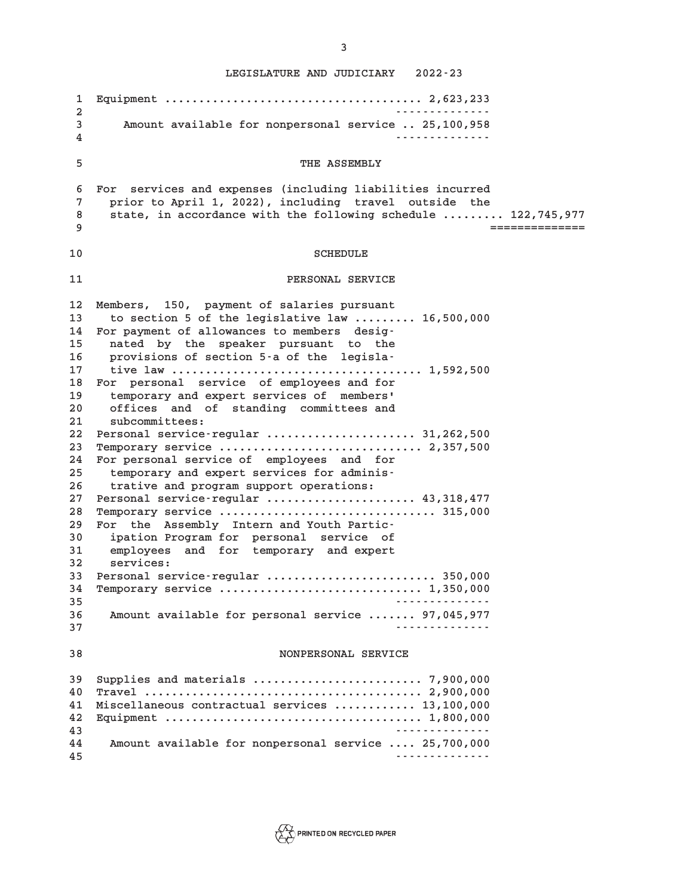**1 Equipment ...................................... 2,623,233 2 -------------- 3 Amount available for nonpersonal service .. 25,100,958 4 -------------- 5 THE ASSEMBLY 6 For services and expenses (including liabilities incurred 7 prior to April 1, 2022), including travel outside the 8 state, in accordance with the following schedule ......... 122,745,977 9 ============== 10** SCHEDULE **11 PERSONAL SERVICE 12 Members, 150, payment of salaries pursuant 13 to section 5 of the legislative law ......... 16,500,000 14 For payment of allowances to members desig-15 nated by the speaker pursuant to the 16 provisions of section 5-a of the legisla-17 tive law ..................................... 1,592,500 18 For personal service of employees and for 19 temporary and expert services of members' 20 offices and of standing committees and 21 subcommittees: 22 Personal service-regular ...................... 31,262,500 23 Temporary service .............................. 2,357,500 24 For personal service of employees and for 25 temporary and expert services for adminis-26 trative and program support operations: 27 Personal service-regular ...................... 43,318,477 28 Temporary service ................................ 315,000 29 For the Assembly Intern and Youth Partic-30 ipation Program for personal service of 31 employees and for temporary and expert 32 services: 33 Personal service-regular ......................... 350,000 34 Temporary service .............................. 1,350,000 35 -------------- 36 Amount available for personal service ....... 97,045,977 37 -------------- 38 NONPERSONAL SERVICE 39 Supplies and materials ......................... 7,900,000 40 Travel ......................................... 2,900,000 41 Miscellaneous contractual services ............ 13,100,000 42 Equipment ...................................... 1,800,000 43 -------------- 44 Amount available for nonpersonal service .... 25,700,000 45 --------------**

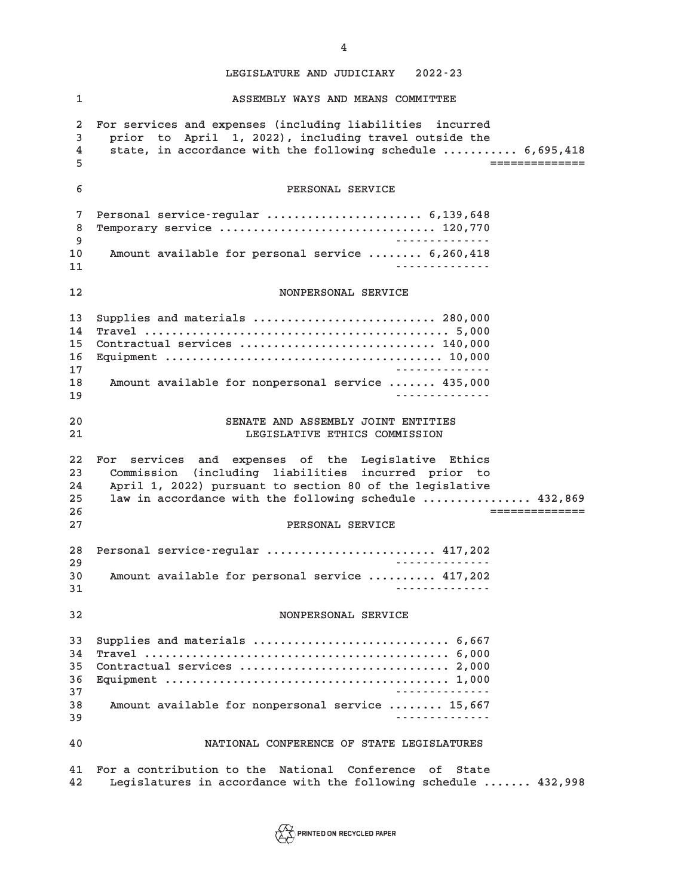**1 ASSEMBLY WAYS AND MEANS COMMITTEE 2 For services and expenses (including liabilities incurred 3 prior to April 1, 2022), including travel outside the 4 state, in accordance with the following schedule ........... 6,695,418 5 ============== 6 PERSONAL SERVICE 7 Personal service-regular ....................... 6,139,648 8 Temporary service ................................ 120,770 9 -------------- 10 Amount available for personal service ........ 6,260,418 11 -------------- 12 NONPERSONAL SERVICE 13 Supplies and materials ........................... 280,000 14 Travel ............................................. 5,000 15 Contractual services ............................. 140,000 16 Equipment ......................................... 10,000 17 -------------- 18 Amount available for nonpersonal service ....... 435,000 19 -------------- 20 SENATE AND ASSEMBLY JOINT ENTITIES 21 LEGISLATIVE ETHICS COMMISSION 22 For services and expenses of the Legislative Ethics 23 Commission (including liabilities incurred prior to 24 April 1, 2022) pursuant to section 80 of the legislative 25 law in accordance with the following schedule ................ 432,869 26 ============== 27 PERSONAL SERVICE 28 Personal service-regular ......................... 417,202 29 -------------- 30 Amount available for personal service .......... 417,202 31 -------------- 32 NONPERSONAL SERVICE 33 Supplies and materials ............................. 6,667 34 Travel ............................................. 6,000 35 Contractual services ............................... 2,000 36 Equipment .......................................... 1,000 37 -------------- 38 Amount available for nonpersonal service ........ 15,667 39 -------------- 40 NATIONAL CONFERENCE OF STATE LEGISLATURES 41 For a contribution to the National Conference of State 42 Legislatures in accordance with the following schedule ....... 432,998**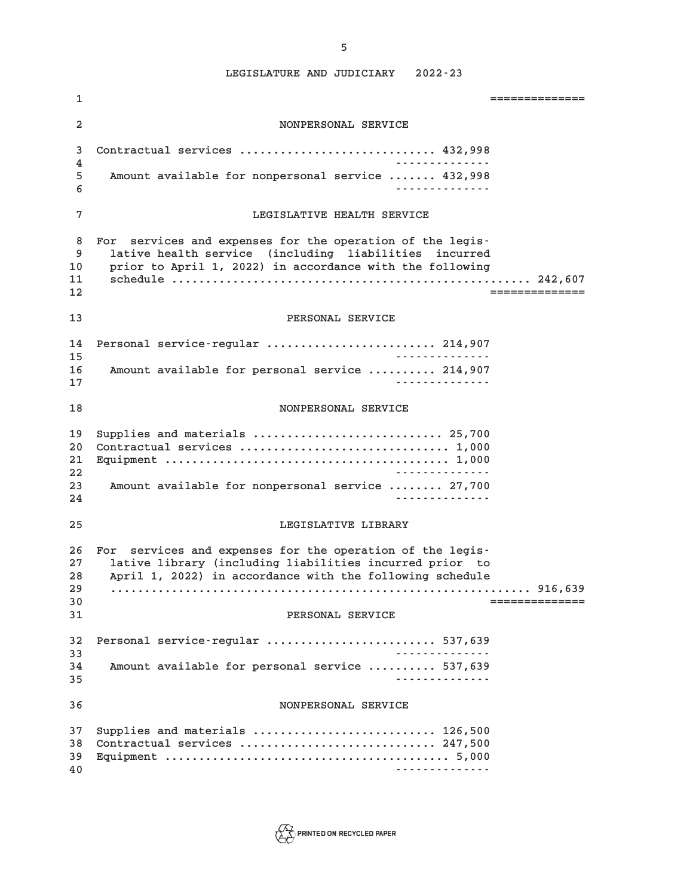| 1                                | ==============                                                                                                                                                                                                         |
|----------------------------------|------------------------------------------------------------------------------------------------------------------------------------------------------------------------------------------------------------------------|
| $\overline{a}$                   | NONPERSONAL SERVICE                                                                                                                                                                                                    |
| 3                                | Contractual services  432,998<br>.                                                                                                                                                                                     |
| 4<br>5<br>6                      | Amount available for nonpersonal service  432,998                                                                                                                                                                      |
| 7                                | LEGISLATIVE HEALTH SERVICE                                                                                                                                                                                             |
| 8<br>9<br>10<br>11<br>12         | For services and expenses for the operation of the legis-<br>lative health service (including liabilities incurred<br>prior to April 1, 2022) in accordance with the following<br>===============                      |
| 13                               | PERSONAL SERVICE                                                                                                                                                                                                       |
| 14<br>15<br>16<br>17             | Personal service-regular  214,907<br>.<br>Amount available for personal service  214,907<br><u>.</u>                                                                                                                   |
| 18                               | NONPERSONAL SERVICE                                                                                                                                                                                                    |
| 19<br>20<br>21<br>22<br>23<br>24 | Supplies and materials  25,700<br>.<br>Amount available for nonpersonal service  27,700<br><u>.</u>                                                                                                                    |
| 25                               | LEGISLATIVE LIBRARY                                                                                                                                                                                                    |
| 26<br>27<br>28<br>29<br>30<br>31 | For services and expenses for the operation of the legis-<br>lative library (including liabilities incurred prior to<br>April 1, 2022) in accordance with the following schedule<br>==============<br>PERSONAL SERVICE |
| 32<br>33                         | Personal service-regular  537,639<br>.                                                                                                                                                                                 |
| 34<br>35                         | Amount available for personal service  537,639<br><u>.</u>                                                                                                                                                             |
| 36                               | NONPERSONAL SERVICE                                                                                                                                                                                                    |
| 37<br>38<br>39<br>40             | Supplies and materials  126,500<br>Contractual services  247,500<br><u>.</u>                                                                                                                                           |

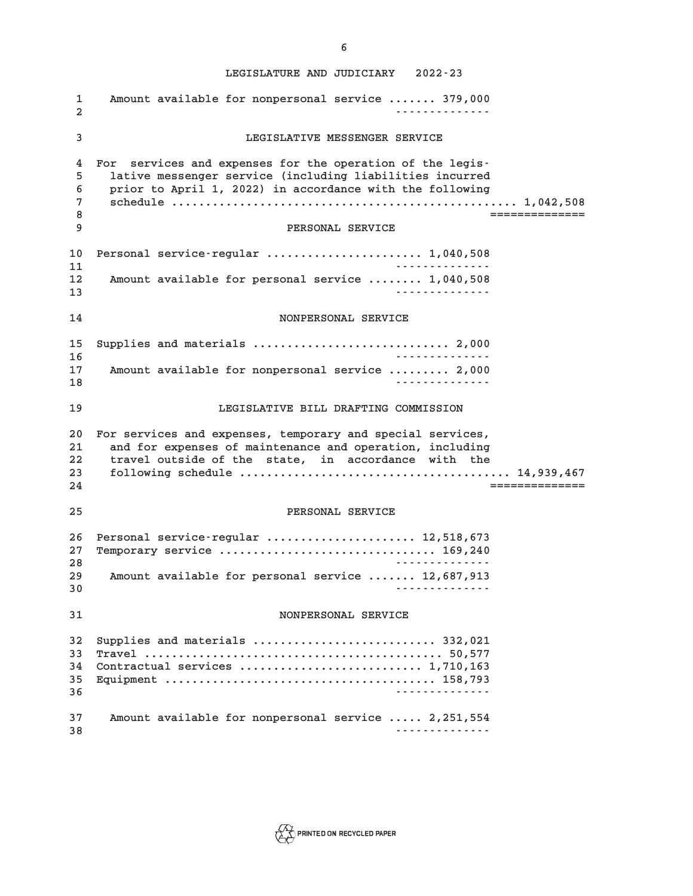**LEGISLATURE AND JUDICIARY 2022-23 1 Amount available for nonpersonal service ....... 379,000 2 -------------- 3 LEGISLATIVE MESSENGER SERVICE 4 For services and expenses for the operation of the legis-5 lative messenger service (including liabilities incurred 6 prior to April 1, 2022) in accordance with the following 7 schedule ................................................... 1,042,508 8 ============== 9 PERSONAL SERVICE 10 Personal service-regular ....................... 1,040,508 11 -------------- 12 Amount available for personal service ........ 1,040,508 13 -------------- 14 NONPERSONAL SERVICE 15 Supplies and materials ............................. 2,000 16 -------------- 17 Amount available for nonpersonal service ......... 2,000 18 -------------- 19 LEGISLATIVE BILL DRAFTING COMMISSION 20 For services and expenses, temporary and special services, 21 and for expenses of maintenance and operation, including 22 travel outside of the state, in accordance with the 23 following schedule ........................................ 14,939,467 24 ============== 25 PERSONAL SERVICE 26 Personal service-regular ...................... 12,518,673 27 Temporary service ................................ 169,240 28 -------------- 29 Amount available for personal service ....... 12,687,913 30 -------------- 31 NONPERSONAL SERVICE 32 Supplies and materials ........................... 332,021 33 Travel ............................................ 50,577 34 Contractual services ........................... 1,710,163 35 Equipment ........................................ 158,793 36 -------------- 37 Amount available for nonpersonal service ..... 2,251,554**



**38 --------------**

**6**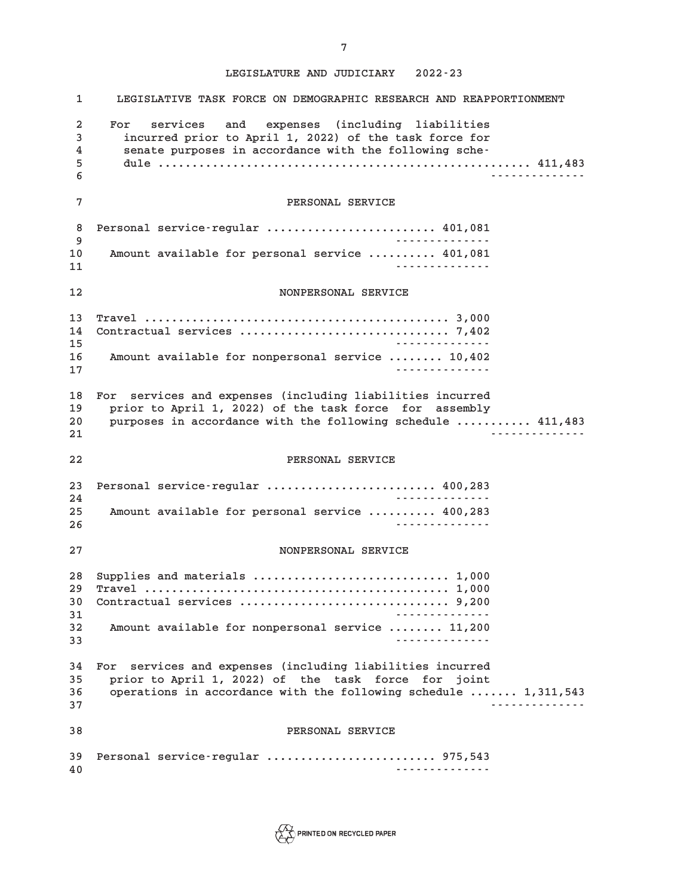| 1                             | LEGISLATIVE TASK FORCE ON DEMOGRAPHIC RESEARCH AND REAPPORTIONMENT                                                                                                                              |
|-------------------------------|-------------------------------------------------------------------------------------------------------------------------------------------------------------------------------------------------|
| $\overline{a}$<br>3<br>4<br>5 | services and expenses (including liabilities<br>For<br>incurred prior to April 1, 2022) of the task force for<br>senate purposes in accordance with the following sche-                         |
| 6                             | .                                                                                                                                                                                               |
| 7                             | PERSONAL SERVICE                                                                                                                                                                                |
| 8<br>9                        | Personal service-regular  401,081<br><u>.</u>                                                                                                                                                   |
| 10<br>11                      | Amount available for personal service  401,081<br><u>.</u>                                                                                                                                      |
| 12                            | NONPERSONAL SERVICE                                                                                                                                                                             |
| 13<br>14<br>15                | <u>.</u>                                                                                                                                                                                        |
| 16<br>17                      | Amount available for nonpersonal service  10,402<br><u>.</u>                                                                                                                                    |
| 18<br>19<br>20<br>21          | For services and expenses (including liabilities incurred<br>prior to April 1, 2022) of the task force for assembly<br>purposes in accordance with the following schedule  411,483<br>.         |
| 22                            | PERSONAL SERVICE                                                                                                                                                                                |
| 23<br>24                      | Personal service-regular  400,283                                                                                                                                                               |
| 25<br>26                      | Amount available for personal service  400,283<br><u>.</u>                                                                                                                                      |
|                               |                                                                                                                                                                                                 |
| 27                            | NONPERSONAL SERVICE                                                                                                                                                                             |
| 28<br>29<br>30<br>31          | Supplies and materials  1,000<br>Contractual services  9,200                                                                                                                                    |
| 32<br>33                      | Amount available for nonpersonal service  11,200<br><u>.</u>                                                                                                                                    |
| 34<br>35<br>36<br>37          | For services and expenses (including liabilities incurred<br>prior to April 1, 2022) of the task force for joint<br>operations in accordance with the following schedule  1,311,543<br><u>.</u> |
| 38                            | PERSONAL SERVICE                                                                                                                                                                                |

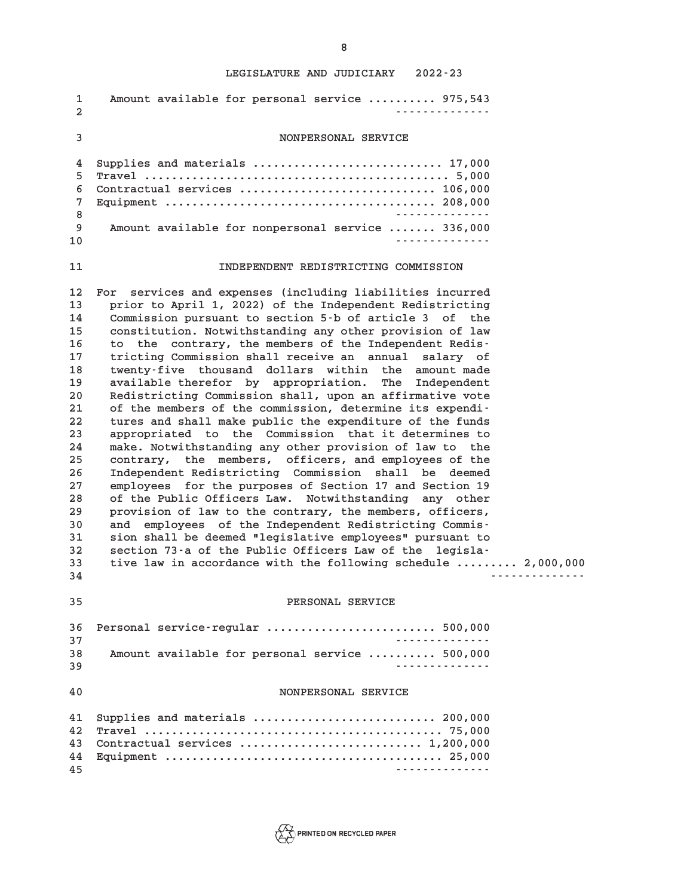| 1<br>$\mathbf{2}$                                                                                                                      | Amount available for personal service  975,543<br><u>.</u>                                                                                                                                                                                                                                                                                                                                                                                                                                                                                                                                                                                                                                                                                                                                                                                                                                                                                                                                                                                                                                                                                                                                                                                                                                                                                 |
|----------------------------------------------------------------------------------------------------------------------------------------|--------------------------------------------------------------------------------------------------------------------------------------------------------------------------------------------------------------------------------------------------------------------------------------------------------------------------------------------------------------------------------------------------------------------------------------------------------------------------------------------------------------------------------------------------------------------------------------------------------------------------------------------------------------------------------------------------------------------------------------------------------------------------------------------------------------------------------------------------------------------------------------------------------------------------------------------------------------------------------------------------------------------------------------------------------------------------------------------------------------------------------------------------------------------------------------------------------------------------------------------------------------------------------------------------------------------------------------------|
| 3                                                                                                                                      | NONPERSONAL SERVICE                                                                                                                                                                                                                                                                                                                                                                                                                                                                                                                                                                                                                                                                                                                                                                                                                                                                                                                                                                                                                                                                                                                                                                                                                                                                                                                        |
| 4<br>5<br>6<br>7<br>8<br>9<br>10                                                                                                       | Supplies and materials  17,000<br>Contractual services  106,000<br>Amount available for nonpersonal service  336,000<br>.                                                                                                                                                                                                                                                                                                                                                                                                                                                                                                                                                                                                                                                                                                                                                                                                                                                                                                                                                                                                                                                                                                                                                                                                                  |
| 11                                                                                                                                     | INDEPENDENT REDISTRICTING COMMISSION                                                                                                                                                                                                                                                                                                                                                                                                                                                                                                                                                                                                                                                                                                                                                                                                                                                                                                                                                                                                                                                                                                                                                                                                                                                                                                       |
| 12<br>13<br>14<br>15<br>16<br>17<br>18<br>19<br>20<br>21<br>22<br>23<br>24<br>25<br>26<br>27<br>28<br>29<br>30<br>31<br>32<br>33<br>34 | For services and expenses (including liabilities incurred<br>prior to April 1, 2022) of the Independent Redistricting<br>Commission pursuant to section 5-b of article 3 of the<br>constitution. Notwithstanding any other provision of law<br>the contrary, the members of the Independent Redis-<br>to<br>tricting Commission shall receive an annual salary of<br>twenty-five thousand dollars within the amount made<br>available therefor by appropriation. The Independent<br>Redistricting Commission shall, upon an affirmative vote<br>of the members of the commission, determine its expendi-<br>tures and shall make public the expenditure of the funds<br>appropriated to the Commission that it determines to<br>make. Notwithstanding any other provision of law to the<br>contrary, the members, officers, and employees of the<br>Independent Redistricting Commission shall be deemed<br>employees for the purposes of Section 17 and Section 19<br>of the Public Officers Law. Notwithstanding any other<br>provision of law to the contrary, the members, officers,<br>and employees of the Independent Redistricting Commis-<br>sion shall be deemed "legislative employees" pursuant to<br>section 73-a of the Public Officers Law of the legisla-<br>tive law in accordance with the following schedule  2,000,000 |
| 35                                                                                                                                     | PERSONAL SERVICE                                                                                                                                                                                                                                                                                                                                                                                                                                                                                                                                                                                                                                                                                                                                                                                                                                                                                                                                                                                                                                                                                                                                                                                                                                                                                                                           |
| 36<br>37<br>38<br>39                                                                                                                   | Personal service-regular  500,000<br>.<br>Amount available for personal service  500,000<br>.                                                                                                                                                                                                                                                                                                                                                                                                                                                                                                                                                                                                                                                                                                                                                                                                                                                                                                                                                                                                                                                                                                                                                                                                                                              |
| 40                                                                                                                                     | NONPERSONAL SERVICE                                                                                                                                                                                                                                                                                                                                                                                                                                                                                                                                                                                                                                                                                                                                                                                                                                                                                                                                                                                                                                                                                                                                                                                                                                                                                                                        |
| 41<br>42<br>43<br>44<br>45                                                                                                             | Supplies and materials  200,000<br>Contractual services  1,200,000<br>.                                                                                                                                                                                                                                                                                                                                                                                                                                                                                                                                                                                                                                                                                                                                                                                                                                                                                                                                                                                                                                                                                                                                                                                                                                                                    |

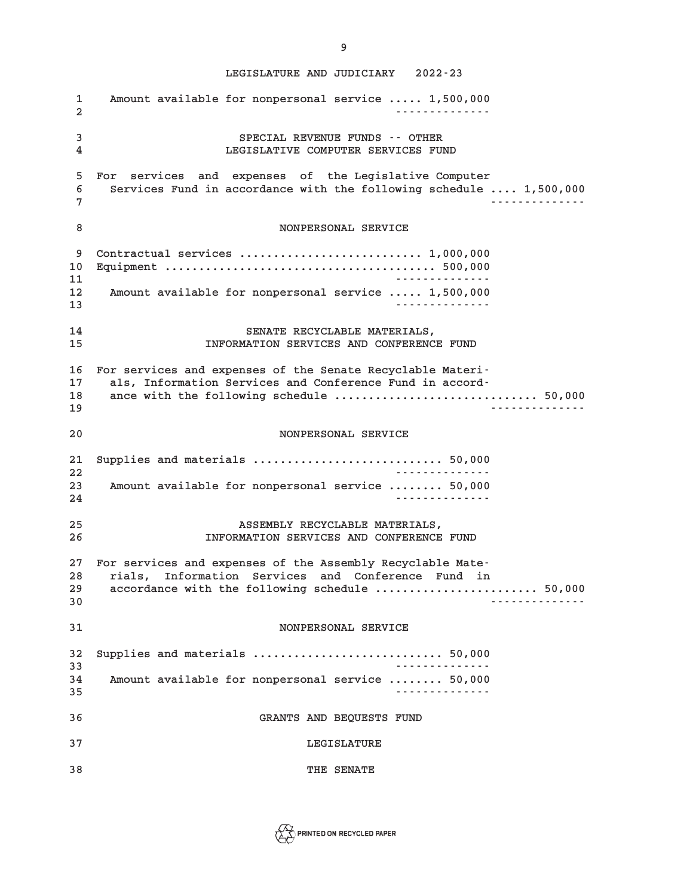**LEGISLATURE AND JUDICIARY 2022-23 1 Amount available for nonpersonal service ..... 1,500,000 2 -------------- 3 SPECIAL REVENUE FUNDS -- OTHER 4 LEGISLATIVE COMPUTER SERVICES FUND 5 For services and expenses of the Legislative Computer 6 Services Fund in accordance with the following schedule .... 1,500,000 7 -------------- 8 NONPERSONAL SERVICE 9 Contractual services ........................... 1,000,000 10 Equipment ........................................ 500,000 11 -------------- 12 Amount available for nonpersonal service ..... 1,500,000 13 -------------- 14 SENATE RECYCLABLE MATERIALS, 15 INFORMATION SERVICES AND CONFERENCE FUND 16 For services and expenses of the Senate Recyclable Materi-17 als, Information Services and Conference Fund in accord-18 ance with the following schedule .............................. 50,000 19 -------------- 20 NONPERSONAL SERVICE 21 Supplies and materials ............................ 50,000 22 -------------- 23 Amount available for nonpersonal service ........ 50,000 24 -------------- 25 ASSEMBLY RECYCLABLE MATERIALS, 26 INFORMATION SERVICES AND CONFERENCE FUND 27 For services and expenses of the Assembly Recyclable Mate-28 rials, Information Services and Conference Fund in 29 accordance with the following schedule ........................ 50,000 30 -------------- 31 NONPERSONAL SERVICE 32 Supplies and materials ............................ 50,000 33 -------------- 34 Amount available for nonpersonal service ........ 50,000 35 -------------- 36 GRANTS AND BEQUESTS FUND**

**37 LEGISLATURE**

**38 THE SENATE**



**9**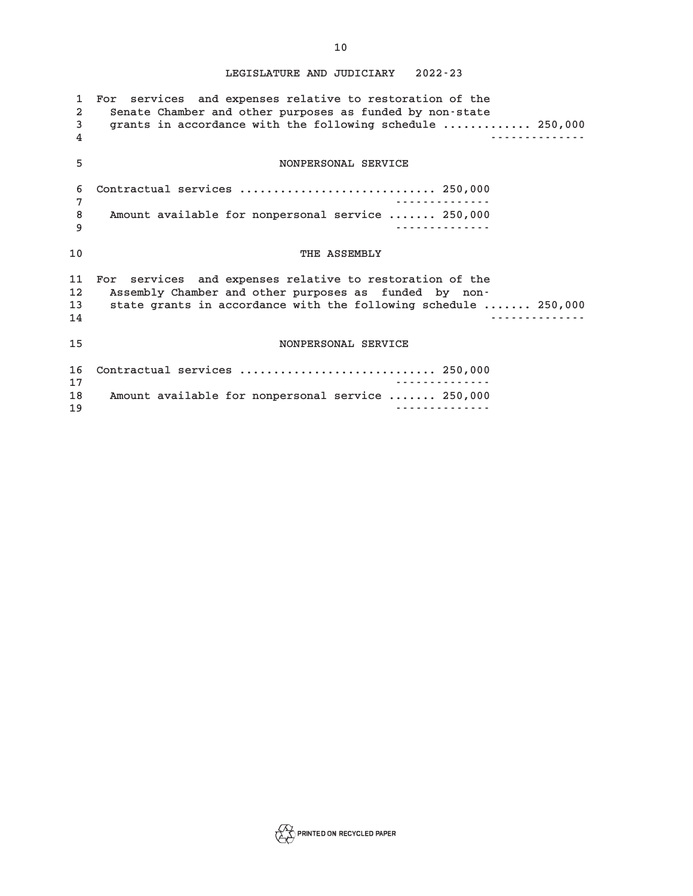| $\mathbf{1}$<br>$\mathbf{2}$<br>3<br>4 | For services and expenses relative to restoration of the<br>Senate Chamber and other purposes as funded by non-state<br>grants in accordance with the following schedule  250,000    |
|----------------------------------------|--------------------------------------------------------------------------------------------------------------------------------------------------------------------------------------|
| 5                                      | NONPERSONAL SERVICE                                                                                                                                                                  |
| 6<br>7                                 | Contractual services  250,000                                                                                                                                                        |
| 8<br>9                                 | Amount available for nonpersonal service  250,000                                                                                                                                    |
| 10                                     | THE ASSEMBLY                                                                                                                                                                         |
| 11<br>12<br>13<br>14                   | For services and expenses relative to restoration of the<br>Assembly Chamber and other purposes as funded by non-<br>state grants in accordance with the following schedule  250,000 |
| 15                                     | NONPERSONAL SERVICE                                                                                                                                                                  |
| 16<br>17                               | Contractual services  250,000                                                                                                                                                        |
| 18<br>19                               | Amount available for nonpersonal service  250,000                                                                                                                                    |

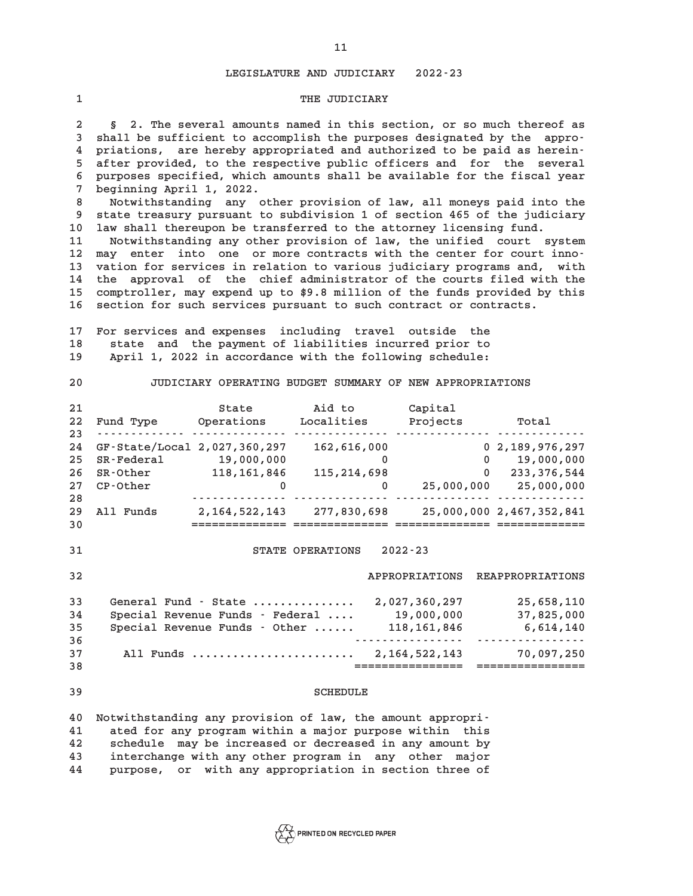#### **1** THE JUDICIARY

**2 § 2. The several amounts named in this section, or so much thereof as 3 shall be sufficient to accomplish the purposes designated by the appro-4 priations, are hereby appropriated and authorized to be paid as herein-5 after provided, to the respective public officers and for the several 6 purposes specified, which amounts shall be available for the fiscal year 7 beginning April 1, 2022.**

**8 Notwithstanding any other provision of law, all moneys paid into the 9 state treasury pursuant to subdivision 1 of section 465 of the judiciary 10 law shall thereupon be transferred to the attorney licensing fund.**

**11 Notwithstanding any other provision of law, the unified court system 12 may enter into one or more contracts with the center for court inno-13 vation for services in relation to various judiciary programs and, with 14 the approval of the chief administrator of the courts filed with the 15 comptroller, may expend up to \$9.8 million of the funds provided by this 16 section for such services pursuant to such contract or contracts.**

**17 For services and expenses including travel outside the 18 state and the payment of liabilities incurred prior to 19 April 1, 2022 in accordance with the following schedule:**

**20 JUDICIARY OPERATING BUDGET SUMMARY OF NEW APPROPRIATIONS**

| -21 |                              | State            | Aid to        | Capital    |                          |
|-----|------------------------------|------------------|---------------|------------|--------------------------|
| 22  | Fund Type                    | Operations       | Localities    | Projects   | Total                    |
| 23  |                              |                  |               |            |                          |
| 24  | GF-State/Local 2,027,360,297 |                  | 162,616,000   |            | 0, 2, 189, 976, 297      |
| 25  | SR-Federal                   | 19,000,000       |               | 0          | 19,000,000               |
| -26 | SR-Other                     | 118, 161, 846    | 115, 214, 698 | 0          | 233, 376, 544            |
| 27  | CP-Other                     | 0                | $\Omega$      | 25,000,000 | 25,000,000               |
| 28  |                              |                  |               |            |                          |
| -29 | All Funds                    | 2, 164, 522, 143 | 277,830,698   |            | 25,000,000 2,467,352,841 |
| 30  |                              |                  |               |            |                          |

# **31 STATE OPERATIONS 2022-23**

**32 APPROPRIATIONS REAPPROPRIATIONS**

| -33 | General Fund - State            | 2,027,360,297 | 25,658,110 |
|-----|---------------------------------|---------------|------------|
| 34  | Special Revenue Funds - Federal | 19,000,000    | 37,825,000 |
| 35  | Special Revenue Funds - Other   | 118, 161, 846 | 6,614,140  |
| 36  |                                 |               |            |
| 37  | All Funds                       | 2,164,522,143 | 70,097,250 |
| 38  |                                 |               |            |

#### **39 SCHEDULE**

**40 Notwithstanding any provision of law, the amount appropri-41 ated for any program within a major purpose within this 42 schedule may be increased or decreased in any amount by 43 interchange with any other program in any other major 44 purpose, or with any appropriation in section three of**

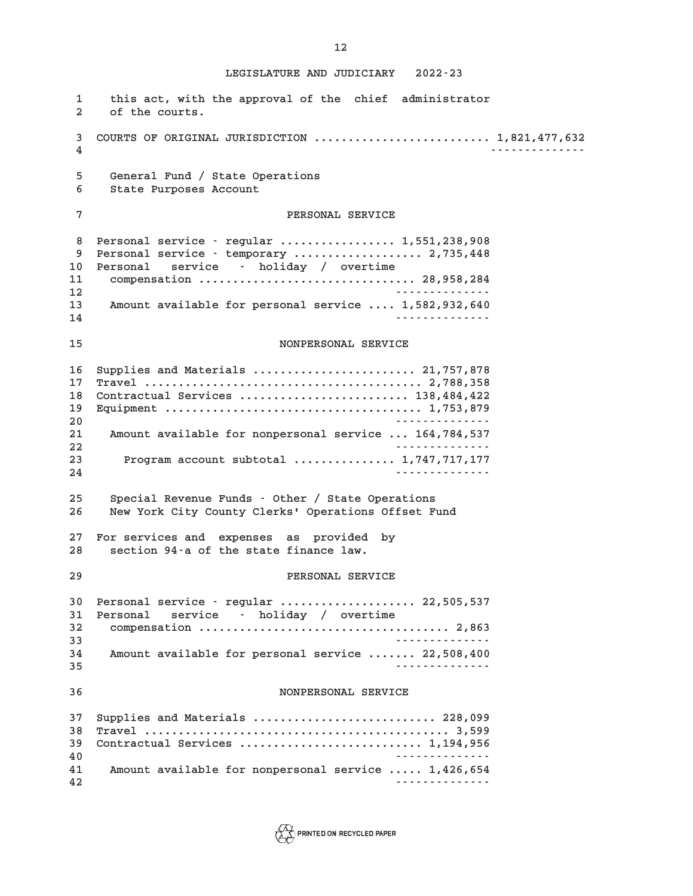**1 this act, with the approval of the chief administrator 2 of the courts. 3 COURTS OF ORIGINAL JURISDICTION .......................... 1,821,477,632 4 -------------- 5 General Fund / State Operations 6 State Purposes Account 7 PERSONAL SERVICE 8 Personal service - regular ................. 1,551,238,908 9 Personal service - temporary ................... 2,735,448 10 Personal service - holiday / overtime 11 compensation ................................ 28,958,284 12 -------------- 13 Amount available for personal service .... 1,582,932,640 14 -------------- 15 NONPERSONAL SERVICE 16 Supplies and Materials ........................ 21,757,878 17 Travel ......................................... 2,788,358 18 Contractual Services ......................... 138,484,422 19 Equipment ...................................... 1,753,879 20 -------------- 21 Amount available for nonpersonal service ... 164,784,537 22 -------------- 23 Program account subtotal ............... 1,747,717,177 24 -------------- 25 Special Revenue Funds - Other / State Operations 26 New York City County Clerks' Operations Offset Fund 27 For services and expenses as provided by 28 section 94-a of the state finance law. 29 PERSONAL SERVICE 30 Personal service - regular .................... 22,505,537 31 Personal service - holiday / overtime 32 compensation ..................................... 2,863 33 -------------- 34 Amount available for personal service ....... 22,508,400 35 -------------- 36 NONPERSONAL SERVICE 37 Supplies and Materials ........................... 228,099 38 Travel ............................................. 3,599 39 Contractual Services ........................... 1,194,956 40 -------------- 41 Amount available for nonpersonal service ..... 1,426,654 42 --------------**

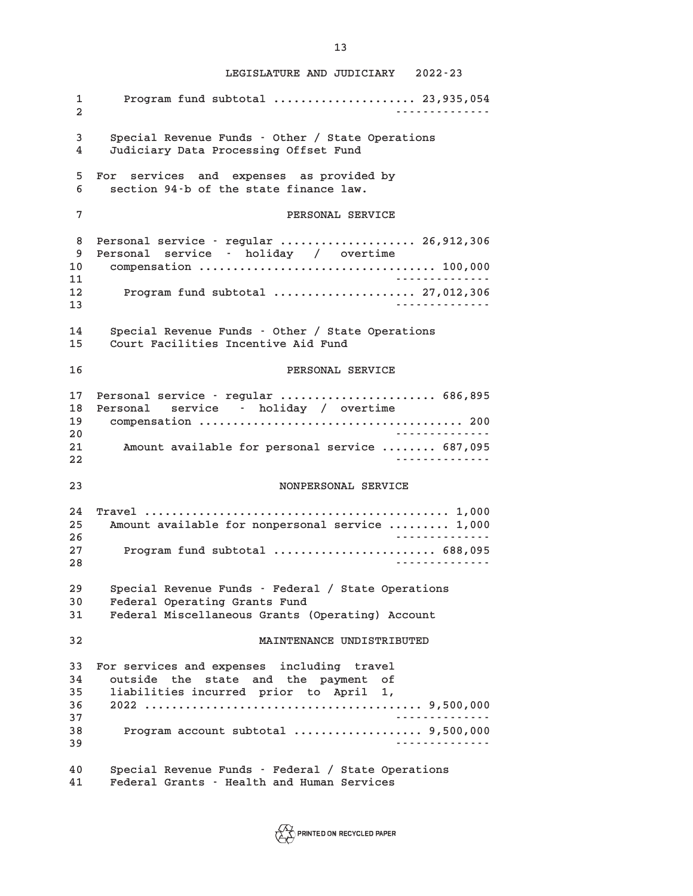**1 Program fund subtotal ..................... 23,935,054 2 -------------- 3 Special Revenue Funds - Other / State Operations 4 Judiciary Data Processing Offset Fund 5 For services and expenses as provided by 6 section 94-b of the state finance law. 7 PERSONAL SERVICE 8 Personal service - regular .................... 26,912,306 9 Personal service - holiday / overtime 10 compensation ................................... 100,000 11 -------------- 12 Program fund subtotal ..................... 27,012,306 13 -------------- 14 Special Revenue Funds - Other / State Operations 15 Court Facilities Incentive Aid Fund 16 PERSONAL SERVICE 17 Personal service - regular ....................... 686,895 18 Personal service - holiday / overtime 19 compensation ....................................... 200 20 -------------- 21 Amount available for personal service ........ 687,095 22 -------------- 23 NONPERSONAL SERVICE 24 Travel ............................................. 1,000 25 Amount available for nonpersonal service ......... 1,000 26 -------------- 27 Program fund subtotal ........................ 688,095 28 -------------- 29 Special Revenue Funds - Federal / State Operations 30 Federal Operating Grants Fund 31 Federal Miscellaneous Grants (Operating) Account 32 MAINTENANCE UNDISTRIBUTED 33 For services and expenses including travel 34 outside the state and the payment of 35 liabilities incurred prior to April 1, 36 2022 ......................................... 9,500,000 37 -------------- 38 Program account subtotal ................... 9,500,000 39 -------------- 40 Special Revenue Funds - Federal / State Operations 41 Federal Grants - Health and Human Services**

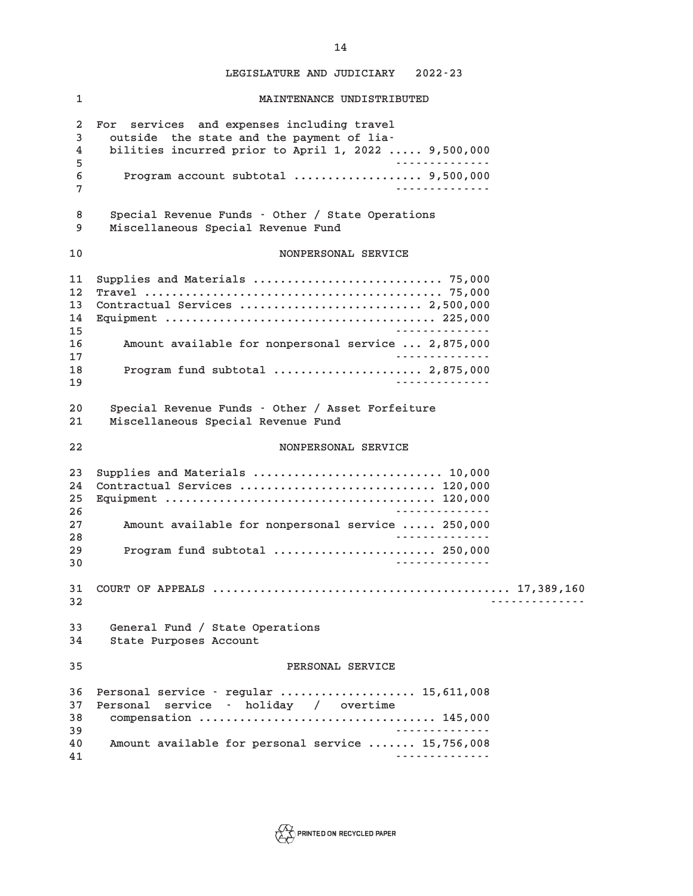**1 MAINTENANCE UNDISTRIBUTED 2 For services and expenses including travel 3 outside the state and the payment of lia-4 bilities incurred prior to April 1, 2022 ..... 9,500,000 5 -------------- 6 Program account subtotal ................... 9,500,000 7 -------------- 8 Special Revenue Funds - Other / State Operations 9 Miscellaneous Special Revenue Fund 10 NONPERSONAL SERVICE 11 Supplies and Materials ............................ 75,000 12 Travel ............................................ 75,000 13 Contractual Services ........................... 2,500,000 14 Equipment ........................................ 225,000 15 -------------- 16 Amount available for nonpersonal service ... 2,875,000 17 -------------- 18 Program fund subtotal ...................... 2,875,000 19 -------------- 20 Special Revenue Funds - Other / Asset Forfeiture 21 Miscellaneous Special Revenue Fund 22 NONPERSONAL SERVICE 23 Supplies and Materials ............................ 10,000 24 Contractual Services ............................. 120,000 25 Equipment ........................................ 120,000 26 -------------- 27 Amount available for nonpersonal service ..... 250,000 28 -------------- 29 Program fund subtotal ........................ 250,000 30 -------------- 31 COURT OF APPEALS ............................................ 17,389,160 32 -------------- 33 General Fund / State Operations 34 State Purposes Account 35 PERSONAL SERVICE 36 Personal service - regular .................... 15,611,008 37 Personal service - holiday / overtime 38 compensation ................................... 145,000 39 -------------- 40 Amount available for personal service ....... 15,756,008 41 --------------**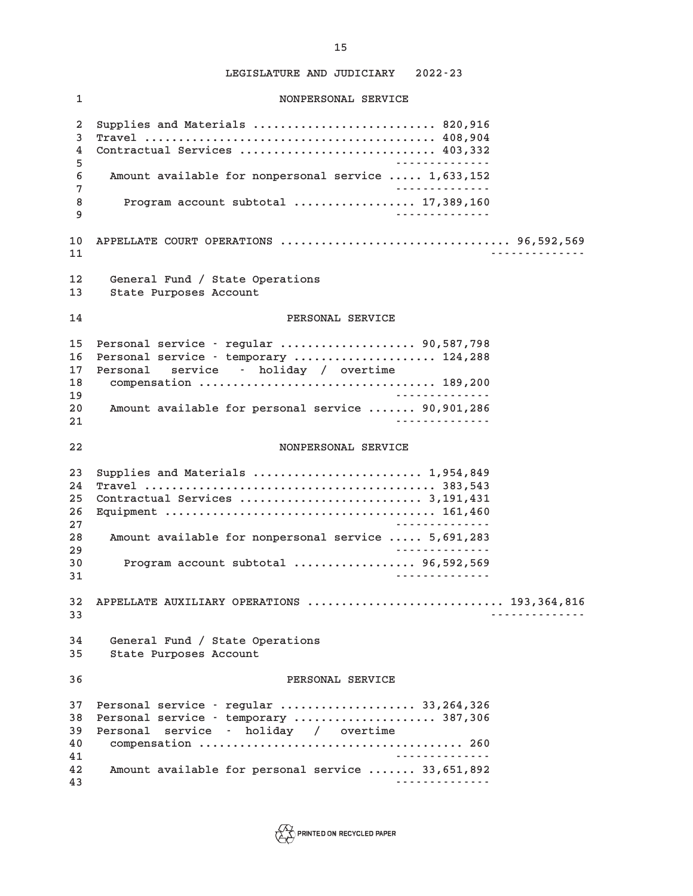**1 NONPERSONAL SERVICE 2 Supplies and Materials ........................... 820,916 3 Travel ........................................... 408,904 4 Contractual Services ............................. 403,332 5 -------------- 6 Amount available for nonpersonal service ..... 1,633,152 7 -------------- 8 Program account subtotal .................. 17,389,160 9 -------------- 10 APPELLATE COURT OPERATIONS .................................. 96,592,569 11 -------------- 12 General Fund / State Operations 13 State Purposes Account 14 PERSONAL SERVICE 15 Personal service - regular .................... 90,587,798 16 Personal service - temporary ..................... 124,288 17 Personal service - holiday / overtime 18 compensation ................................... 189,200 19 -------------- 20 Amount available for personal service ....... 90,901,286 21 -------------- 22 NONPERSONAL SERVICE 23 Supplies and Materials ......................... 1,954,849 24 Travel ........................................... 383,543 25 Contractual Services ........................... 3,191,431 26 Equipment ........................................ 161,460 27 -------------- 28 Amount available for nonpersonal service ..... 5,691,283 29 -------------- 30 Program account subtotal .................. 96,592,569 31 -------------- 32 APPELLATE AUXILIARY OPERATIONS ............................. 193,364,816 33 -------------- 34 General Fund / State Operations 35 State Purposes Account 36 PERSONAL SERVICE 37 Personal service - regular .................... 33,264,326 38 Personal service - temporary ..................... 387,306 39 Personal service - holiday / overtime 40 compensation ....................................... 260 41 -------------- 42 Amount available for personal service ....... 33,651,892 43 --------------**

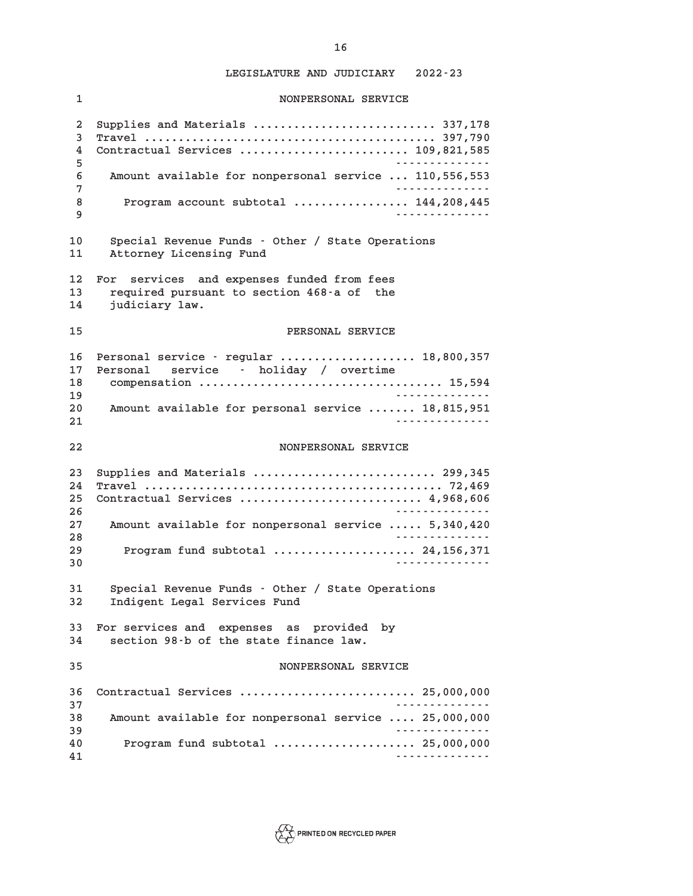**16**

**1 NONPERSONAL SERVICE 2 Supplies and Materials ........................... 337,178 3 Travel ........................................... 397,790 4 Contractual Services ......................... 109,821,585 5 -------------- 6 Amount available for nonpersonal service ... 110,556,553 7 -------------- 8 Program account subtotal ................. 144,208,445 9 -------------- 10 Special Revenue Funds - Other / State Operations 11 Attorney Licensing Fund 12 For services and expenses funded from fees 13 required pursuant to section 468-a of the 14 judiciary law. 15 PERSONAL SERVICE 16 Personal service - regular .................... 18,800,357 17 Personal service - holiday / overtime 18 compensation .................................... 15,594 19 -------------- 20 Amount available for personal service ....... 18,815,951 21 -------------- 22 NONPERSONAL SERVICE 23 Supplies and Materials ........................... 299,345 24 Travel ............................................ 72,469 25 Contractual Services ........................... 4,968,606 26 -------------- 27 Amount available for nonpersonal service ..... 5,340,420 28 -------------- 29 Program fund subtotal ..................... 24,156,371 30 -------------- 31 Special Revenue Funds - Other / State Operations 32 Indigent Legal Services Fund 33 For services and expenses as provided by 34 section 98-b of the state finance law. 35 NONPERSONAL SERVICE 36 Contractual Services .......................... 25,000,000 37 -------------- 38 Amount available for nonpersonal service .... 25,000,000 39 -------------- 40 Program fund subtotal ..................... 25,000,000 41 --------------**

 $\sum_{i=1}^{n}$  PRINTED ON RECYCLED PAPER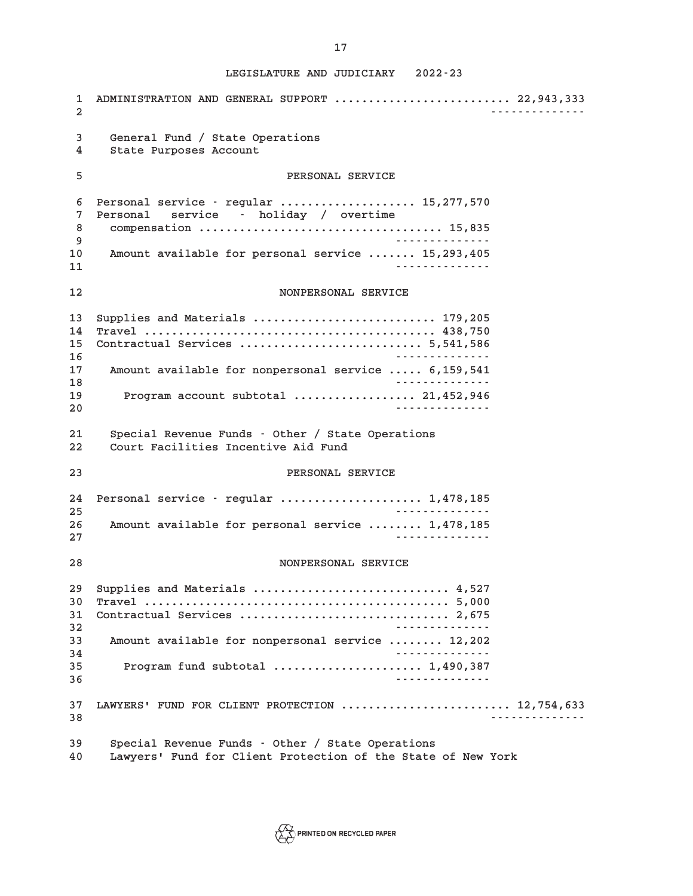**1 ADMINISTRATION AND GENERAL SUPPORT .......................... 22,943,333 2 -------------- 3 General Fund / State Operations 4 State Purposes Account 5 PERSONAL SERVICE 6 Personal service - regular .................... 15,277,570 7 Personal service - holiday / overtime 8 compensation .................................... 15,835 9 -------------- 10 Amount available for personal service ....... 15,293,405 11 -------------- 12 NONPERSONAL SERVICE 13 Supplies and Materials ........................... 179,205 14 Travel ........................................... 438,750 15 Contractual Services ........................... 5,541,586 16 -------------- 17 Amount available for nonpersonal service ..... 6,159,541 18 -------------- 19 Program account subtotal .................. 21,452,946 20 -------------- 21 Special Revenue Funds - Other / State Operations 22 Court Facilities Incentive Aid Fund 23 PERSONAL SERVICE 24 Personal service - regular ..................... 1,478,185 25 -------------- 26 Amount available for personal service ........ 1,478,185 27 -------------- 28 NONPERSONAL SERVICE 29 Supplies and Materials ............................. 4,527 30 Travel ............................................. 5,000 31 Contractual Services ............................... 2,675 32 -------------- 33 Amount available for nonpersonal service ........ 12,202 34 -------------- 35 Program fund subtotal ...................... 1,490,387 36 -------------- 37 LAWYERS' FUND FOR CLIENT PROTECTION ......................... 12,754,633 38 -------------- 39 Special Revenue Funds - Other / State Operations**



**40 Lawyers' Fund for Client Protection of the State of New York**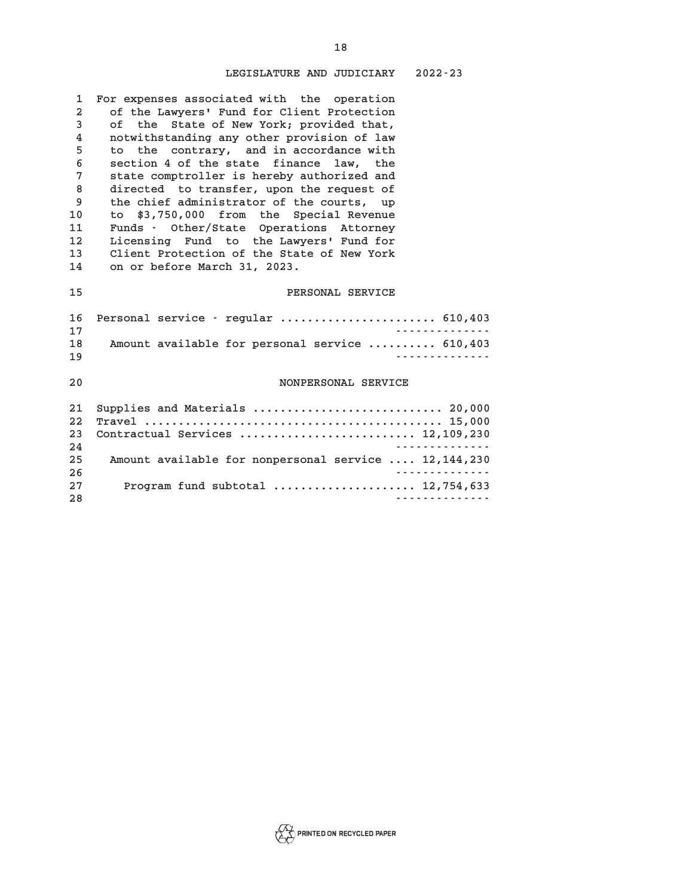| 1              | For expenses associated with the operation           |
|----------------|------------------------------------------------------|
| $\overline{a}$ | of the Lawyers' Fund for Client Protection           |
| 3              | of the State of New York; provided that,             |
| 4              | notwithstanding any other provision of law           |
| 5              | to the contrary, and in accordance with              |
| 6              | section 4 of the state finance law, the              |
| 7              | state comptroller is hereby authorized and           |
| 8              | directed to transfer, upon the request of            |
| 9              | the chief administrator of the courts, up            |
| 10             | to \$3,750,000 from the Special Revenue              |
| 11             | Funds - Other/State Operations Attorney              |
| 12             | Licensing Fund to the Lawyers' Fund for              |
| 13             | Client Protection of the State of New York           |
| 14             | on or before March 31, 2023.                         |
|                |                                                      |
| 15             | PERSONAL SERVICE                                     |
|                |                                                      |
| 16             | Personal service - regular  610,403                  |
| 17             |                                                      |
| 18             | Amount available for personal service  610,403       |
| 19             | <u>.</u>                                             |
|                |                                                      |
| 20             | NONPERSONAL SERVICE                                  |
|                |                                                      |
| 21             | Supplies and Materials  20,000                       |
| 22             |                                                      |
| 23             | Contractual Services  12,109,230<br>.                |
| 24             |                                                      |
| 25             | Amount available for nonpersonal service  12,144,230 |
| 26             |                                                      |
| 27             | Program fund subtotal  12,754,633<br>.               |
| 28             |                                                      |



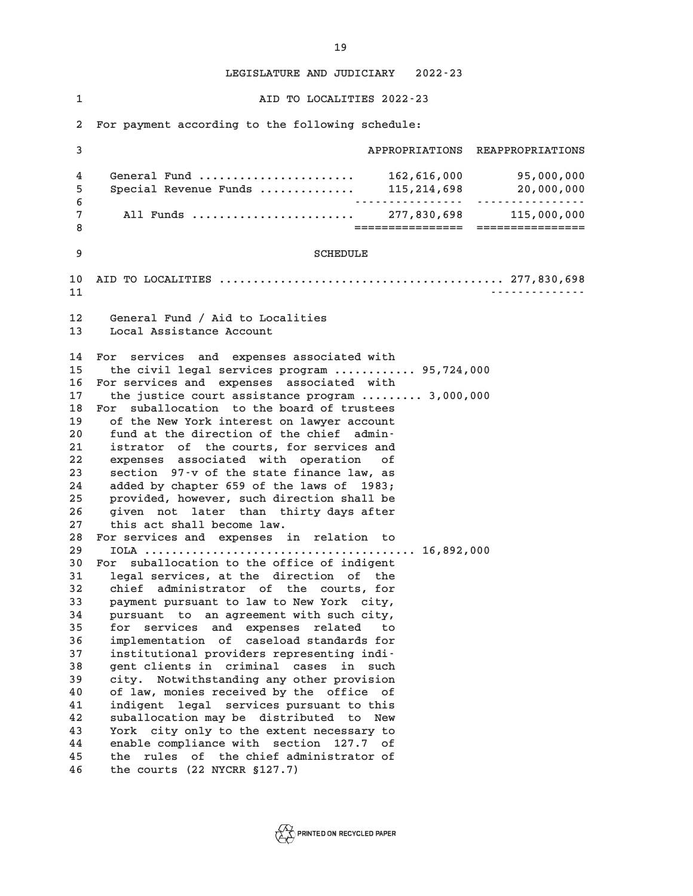**1 AID TO LOCALITIES 2022-23 2 For payment according to the following schedule: 3 APPROPRIATIONS REAPPROPRIATIONS 4 General Fund ....................... 162,616,000 95,000,000 5 Special Revenue Funds .............. 115,214,698 20,000,000 6 ---------------- ---------------- 7 All Funds ........................ 277,830,698 115,000,000 8 ================ ================ 9** SCHEDULE **10 AID TO LOCALITIES .......................................... 277,830,698 11 -------------- 12 General Fund / Aid to Localities 13 Local Assistance Account 14 For services and expenses associated with 15 the civil legal services program ............ 95,724,000 16 For services and expenses associated with 17 the justice court assistance program ......... 3,000,000 18 For suballocation to the board of trustees 19 of the New York interest on lawyer account 20 fund at the direction of the chief admin-21 istrator of the courts, for services and 22 expenses associated with operation of 23 section 97-v of the state finance law, as 24 added by chapter 659 of the laws of 1983; 25 provided, however, such direction shall be 26 given not later than thirty days after 27 this act shall become law. 28 For services and expenses in relation to 29 IOLA ........................................ 16,892,000 30 For suballocation to the office of indigent 31 legal services, at the direction of the 32 chief administrator of the courts, for 33 payment pursuant to law to New York city, 34 pursuant to an agreement with such city, 35 for services and expenses related to 36 implementation of caseload standards for 37 institutional providers representing indi-38 gent clients in criminal cases in such 39 city. Notwithstanding any other provision 40 of law, monies received by the office of 41 indigent legal services pursuant to this 42 suballocation may be distributed to New 43 York city only to the extent necessary to 44 enable compliance with section 127.7 of 45 the rules of the chief administrator of 46 the courts (22 NYCRR §127.7)**



**19**

**LEGISLATURE AND JUDICIARY 2022-23**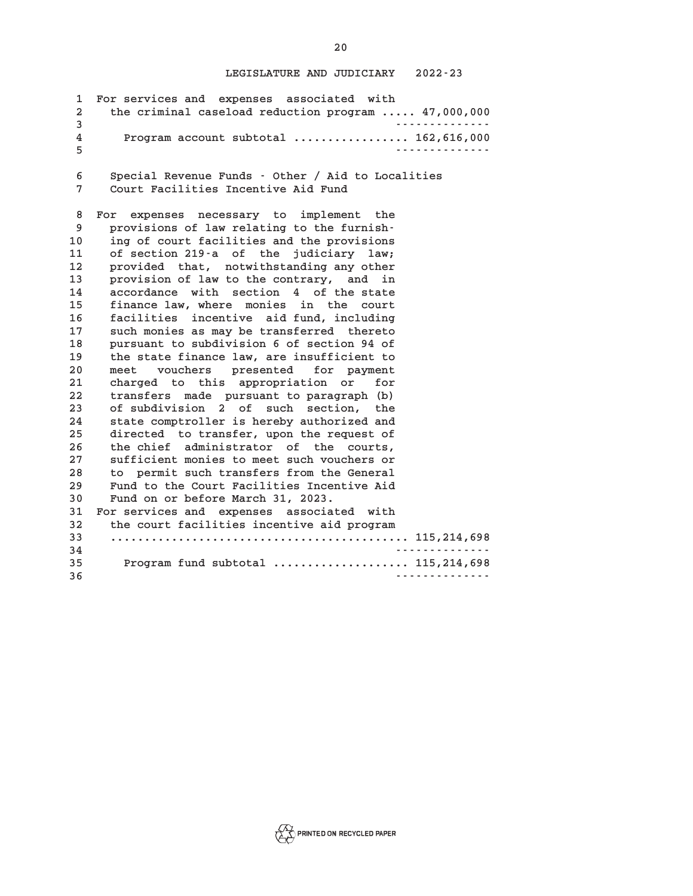|    | 1 For services and expenses associated with           |
|----|-------------------------------------------------------|
|    | 2 the criminal caseload reduction program  47,000,000 |
| 3  | .                                                     |
| 4  | Program account subtotal  162,616,000                 |
| -5 | <u>.</u>                                              |
|    |                                                       |

**6 Special Revenue Funds - Other / Aid to Localities 7 Court Facilities Incentive Aid Fund**

**8 For expenses necessary to implement the 9 provisions of law relating to the furnish-10 ing of court facilities and the provisions 11 of section 219-a of the judiciary law; 12 provided that, notwithstanding any other 13 provision of law to the contrary, and in 14 accordance with section 4 of the state 15 finance law, where monies in the court 16 facilities incentive aid fund, including 17 such monies as may be transferred thereto 18 pursuant to subdivision 6 of section 94 of 19 the state finance law, are insufficient to 20 meet vouchers presented for payment 21 charged to this appropriation or for 22 transfers made pursuant to paragraph (b) 23 of subdivision 2 of such section, the 24 state comptroller is hereby authorized and 25 directed to transfer, upon the request of 26 the chief administrator of the courts, 27 sufficient monies to meet such vouchers or 28 to permit such transfers from the General 29 Fund to the Court Facilities Incentive Aid 30 Fund on or before March 31, 2023. 31 For services and expenses associated with 32 the court facilities incentive aid program 33 ............................................ 115,214,698 34 -------------- 35 Program fund subtotal .................... 115,214,698 36 --------------**

**20**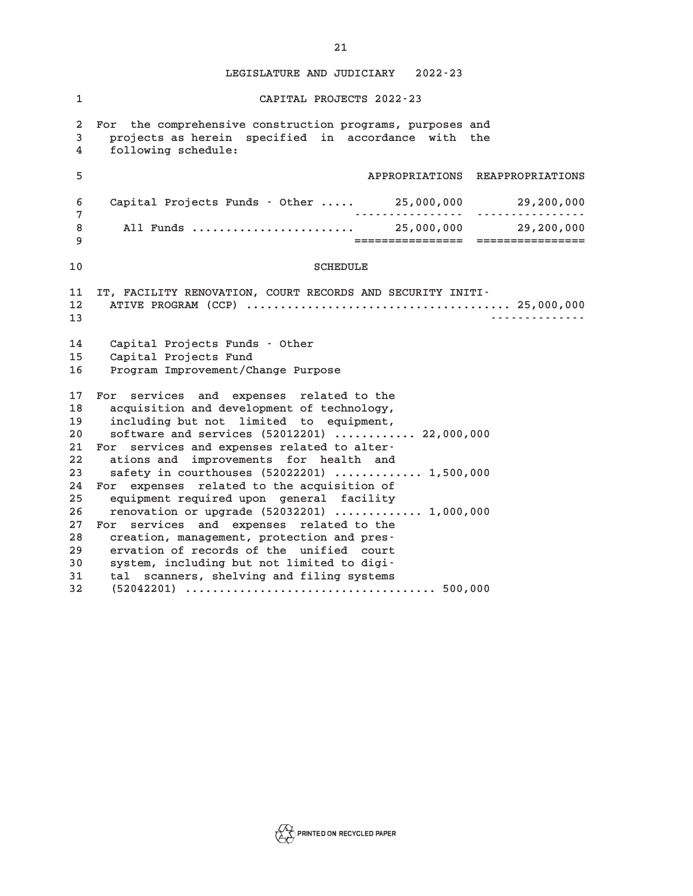| $\mathbf{1}$   | CAPITAL PROJECTS 2022-23                                   |
|----------------|------------------------------------------------------------|
| $\overline{a}$ | For the comprehensive construction programs, purposes and  |
| 3              | projects as herein specified in accordance with the        |
| 4              | following schedule:                                        |
| 5              | APPROPRIATIONS REAPPROPRIATIONS                            |
| 6              | Capital Projects Funds - Other  25,000,000 29,200,000      |
| 7              |                                                            |
| 8              |                                                            |
| 9              |                                                            |
| 10             | <b>SCHEDULE</b>                                            |
| 11             | IT, FACILITY RENOVATION, COURT RECORDS AND SECURITY INITI- |
| 12             |                                                            |
| 13             | . <u>.</u> .                                               |
| 14             | Capital Projects Funds - Other                             |
| 15             | Capital Projects Fund                                      |
| 16             | Program Improvement/Change Purpose                         |
| 17             | For services and expenses related to the                   |
| 18             | acquisition and development of technology,                 |
| 19             | including but not limited to equipment,                    |
| $20\,$         | software and services (52012201)  22,000,000               |
| 21             | For services and expenses related to alter-                |
| 22             | ations and improvements for health and                     |
| 23             | safety in courthouses (52022201)  1,500,000                |
| 24             | For expenses related to the acquisition of                 |
| 25             | equipment required upon general facility                   |
| 26             | renovation or upgrade (52032201)  1,000,000                |
| 27             | For services and expenses related to the                   |
| 28             | creation, management, protection and pres-                 |
| 29             | ervation of records of the unified court                   |
| 30             | system, including but not limited to digi-                 |
| 31             | tal scanners, shelving and filing systems                  |
| 32             |                                                            |

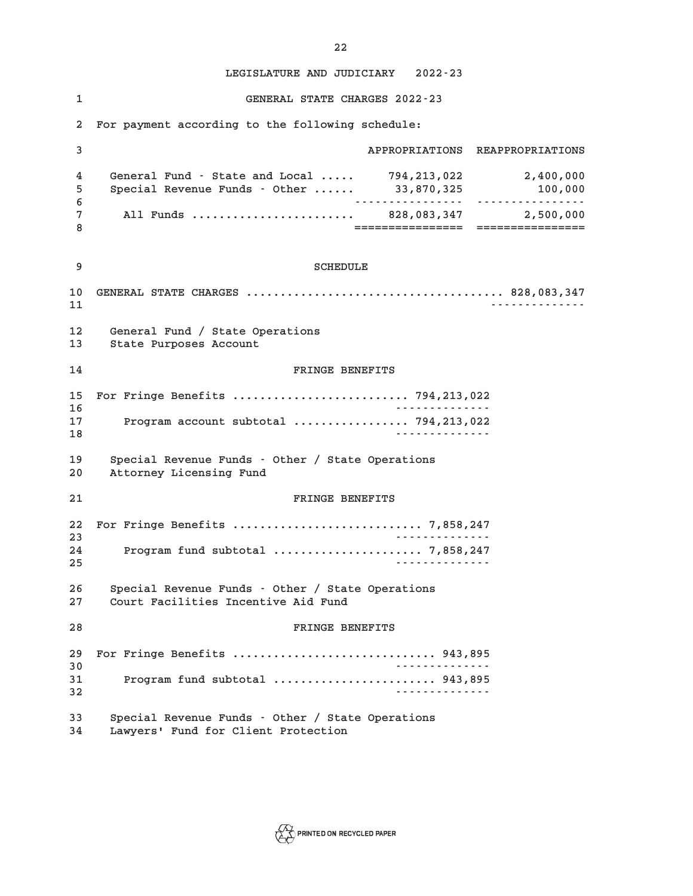**1 GENERAL STATE CHARGES 2022-23 2 For payment according to the following schedule: 3 APPROPRIATIONS REAPPROPRIATIONS 4 General Fund - State and Local ..... 794,213,022 2,400,000 5 Special Revenue Funds - Other ...... 33,870,325 100,000 6 ---------------- ---------------- 7 All Funds ........................ 828,083,347 2,500,000 8 ================ ================ 9** SCHEDULE **10 GENERAL STATE CHARGES ...................................... 828,083,347 11 -------------- 12 General Fund / State Operations 13 State Purposes Account 14 FRINGE BENEFITS 15 For Fringe Benefits .......................... 794,213,022 16 -------------- 17 Program account subtotal ................. 794,213,022 18 -------------- 19 Special Revenue Funds - Other / State Operations 20 Attorney Licensing Fund 21 FRINGE BENEFITS 22 For Fringe Benefits ............................ 7,858,247 23 -------------- 24 Program fund subtotal ...................... 7,858,247 25 -------------- 26 Special Revenue Funds - Other / State Operations 27 Court Facilities Incentive Aid Fund 28 FRINGE BENEFITS 29 For Fringe Benefits .............................. 943,895 30 -------------- 31 Program fund subtotal ........................ 943,895 32 -------------- 33 Special Revenue Funds - Other / State Operations 34 Lawyers' Fund for Client Protection**

 $\sum_{\Delta}$  PRINTED ON RECYCLED PAPER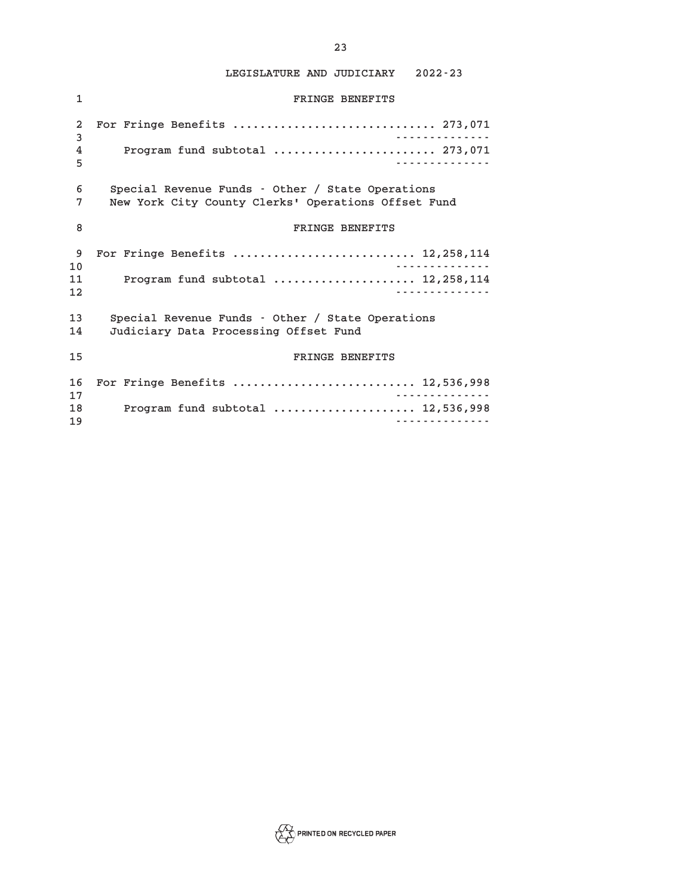| $\mathbf{1}$   | FRINGE BENEFITS                                     |
|----------------|-----------------------------------------------------|
| $\overline{a}$ | For Fringe Benefits  273,071                        |
| 3              | <u>.</u>                                            |
| 4              | Program fund subtotal  273,071                      |
| 5              | <u>.</u>                                            |
| 6              | Special Revenue Funds - Other / State Operations    |
| 7              | New York City County Clerks' Operations Offset Fund |
| 8              | FRINGE BENEFITS                                     |
| 9              | For Fringe Benefits  12,258,114                     |
| 10             | <u>.</u>                                            |
| 11             | Program fund subtotal  12, 258, 114                 |
| 12             | <u>.</u>                                            |
| 13             | Special Revenue Funds - Other / State Operations    |
| 14             | Judiciary Data Processing Offset Fund               |
| 15             | FRINGE BENEFITS                                     |
| 16             | For Fringe Benefits  12,536,998                     |
| 17             | <u>.</u>                                            |
| 18             | Program fund subtotal  12,536,998                   |
| 19             | <u>.</u>                                            |

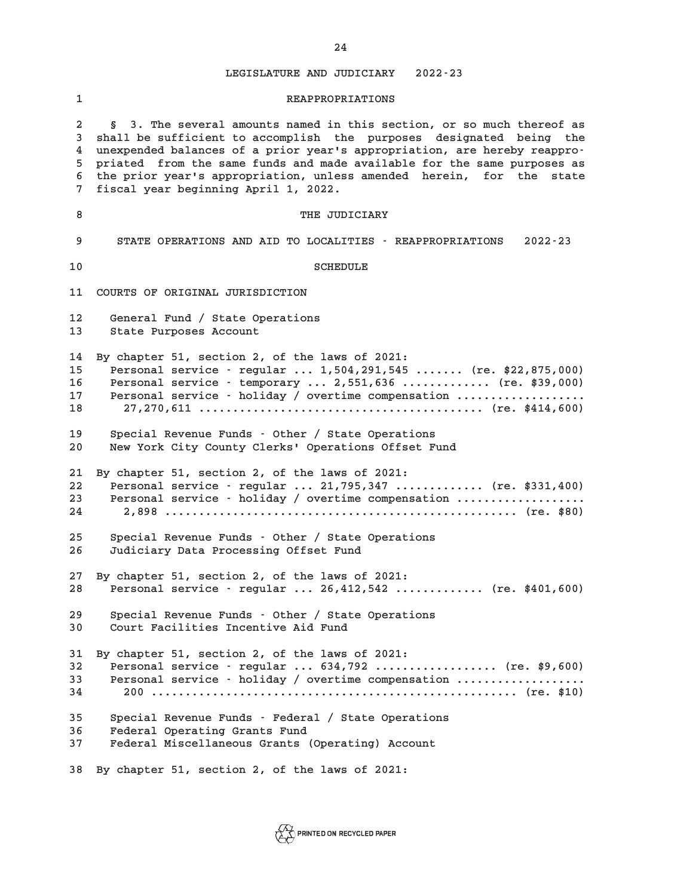**1 REAPPROPRIATIONS 2 § 3. The several amounts named in this section, or so much thereof as 3 shall be sufficient to accomplish the purposes designated being the 4 unexpended balances of a prior year's appropriation, are hereby reappro-5 priated from the same funds and made available for the same purposes as 6 the prior year's appropriation, unless amended herein, for the state 7 fiscal year beginning April 1, 2022. 8** THE JUDICIARY **9 STATE OPERATIONS AND AID TO LOCALITIES - REAPPROPRIATIONS 2022-23 10** SCHEDULE **11 COURTS OF ORIGINAL JURISDICTION 12 General Fund / State Operations 13 State Purposes Account 14 By chapter 51, section 2, of the laws of 2021: 15 Personal service - regular ... 1,504,291,545 ....... (re. \$22,875,000) 16 Personal service - temporary ... 2,551,636 ............. (re. \$39,000) 17 Personal service - holiday / overtime compensation ................... 18 27,270,611 .......................................... (re. \$414,600) 19 Special Revenue Funds - Other / State Operations 20 New York City County Clerks' Operations Offset Fund 21 By chapter 51, section 2, of the laws of 2021: 22 Personal service - regular ... 21,795,347 ............. (re. \$331,400) 23 Personal service - holiday / overtime compensation ................... 24 2,898 .................................................... (re. \$80) 25 Special Revenue Funds - Other / State Operations 26 Judiciary Data Processing Offset Fund 27 By chapter 51, section 2, of the laws of 2021: 28 Personal service - regular ... 26,412,542 ............. (re. \$401,600) 29 Special Revenue Funds - Other / State Operations 30 Court Facilities Incentive Aid Fund 31 By chapter 51, section 2, of the laws of 2021: 32 Personal service - regular ... 634,792 .................. (re. \$9,600) 33 Personal service - holiday / overtime compensation ................... 34 200 ...................................................... (re. \$10) 35 Special Revenue Funds - Federal / State Operations 36 Federal Operating Grants Fund 37 Federal Miscellaneous Grants (Operating) Account 38 By chapter 51, section 2, of the laws of 2021:**

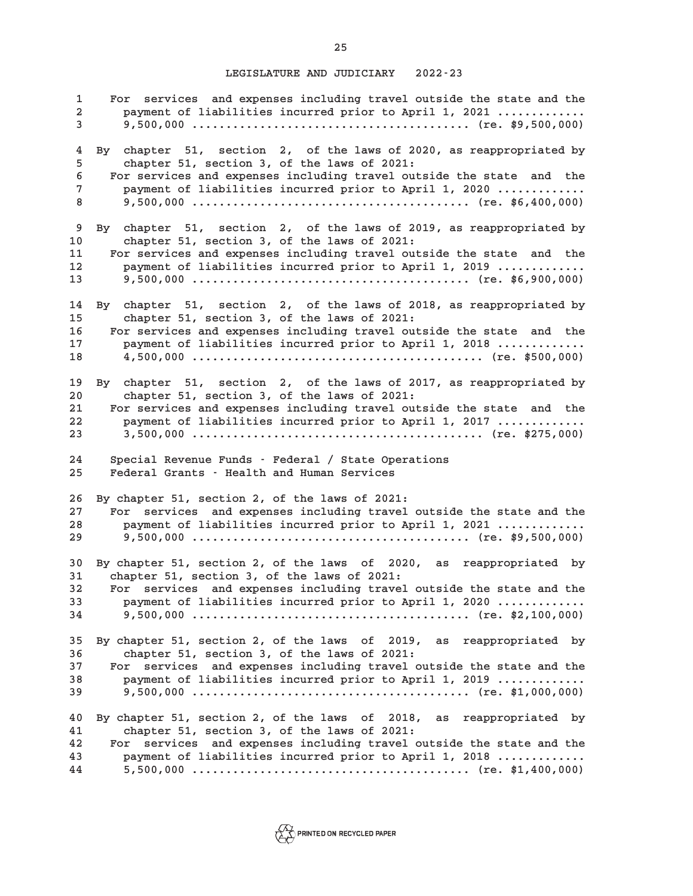**1 For services and expenses including travel outside the state and the 2 payment of liabilities incurred prior to April 1, 2021 ............. 3 9,500,000 ......................................... (re. \$9,500,000) 4 By chapter 51, section 2, of the laws of 2020, as reappropriated by 5 chapter 51, section 3, of the laws of 2021: 6 For services and expenses including travel outside the state and the 7 payment of liabilities incurred prior to April 1, 2020 ............. 8 9,500,000 ......................................... (re. \$6,400,000) 9 By chapter 51, section 2, of the laws of 2019, as reappropriated by 10 chapter 51, section 3, of the laws of 2021: 11 For services and expenses including travel outside the state and the 12 payment of liabilities incurred prior to April 1, 2019 ............. 13 9,500,000 ......................................... (re. \$6,900,000) 14 By chapter 51, section 2, of the laws of 2018, as reappropriated by 15 chapter 51, section 3, of the laws of 2021: 16 For services and expenses including travel outside the state and the 17 payment of liabilities incurred prior to April 1, 2018 ............. 18 4,500,000 ........................................... (re. \$500,000) 19 By chapter 51, section 2, of the laws of 2017, as reappropriated by 20 chapter 51, section 3, of the laws of 2021: 21 For services and expenses including travel outside the state and the 22 payment of liabilities incurred prior to April 1, 2017 ............. 23 3,500,000 ........................................... (re. \$275,000) 24 Special Revenue Funds - Federal / State Operations 25 Federal Grants - Health and Human Services 26 By chapter 51, section 2, of the laws of 2021: 27 For services and expenses including travel outside the state and the 28 payment of liabilities incurred prior to April 1, 2021 ............. 29 9,500,000 ......................................... (re. \$9,500,000) 30 By chapter 51, section 2, of the laws of 2020, as reappropriated by 31 chapter 51, section 3, of the laws of 2021: 32 For services and expenses including travel outside the state and the 33 payment of liabilities incurred prior to April 1, 2020 ............. 34 9,500,000 ......................................... (re. \$2,100,000) 35 By chapter 51, section 2, of the laws of 2019, as reappropriated by 36 chapter 51, section 3, of the laws of 2021: 37 For services and expenses including travel outside the state and the 38 payment of liabilities incurred prior to April 1, 2019 ............. 39 9,500,000 ......................................... (re. \$1,000,000) 40 By chapter 51, section 2, of the laws of 2018, as reappropriated by 41 chapter 51, section 3, of the laws of 2021: 42 For services and expenses including travel outside the state and the 43 payment of liabilities incurred prior to April 1, 2018 ............. 44 5,500,000 ......................................... (re. \$1,400,000)**

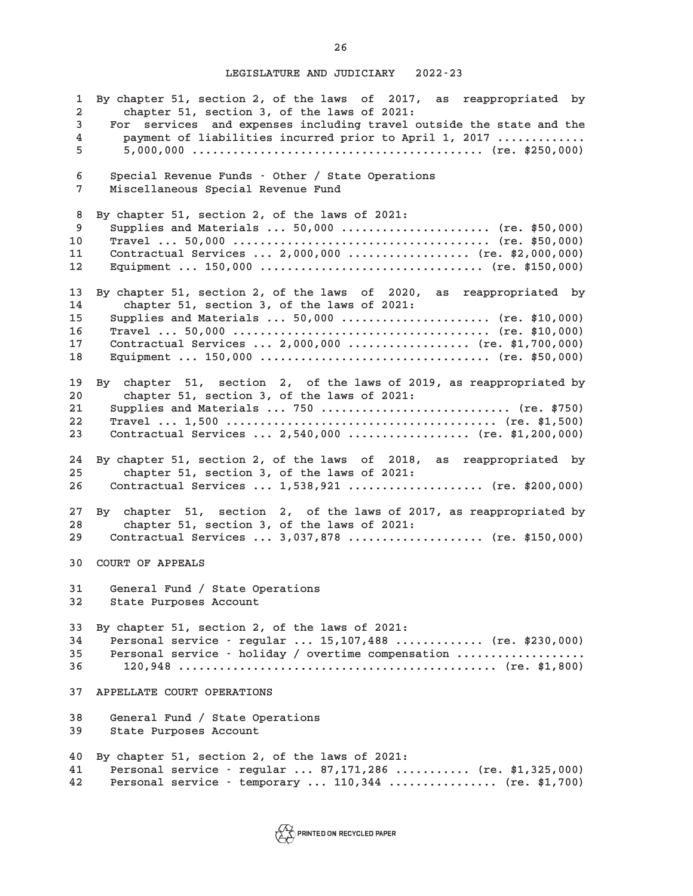**1 By chapter 51, section 2, of the laws of 2017, as reappropriated by 2 chapter 51, section 3, of the laws of 2021: 3 For services and expenses including travel outside the state and the 4 payment of liabilities incurred prior to April 1, 2017 ............. 5 5,000,000 ........................................... (re. \$250,000) 6 Special Revenue Funds - Other / State Operations 7 Miscellaneous Special Revenue Fund 8 By chapter 51, section 2, of the laws of 2021: 9 Supplies and Materials ... 50,000 ...................... (re. \$50,000) 10 Travel ... 50,000 ...................................... (re. \$50,000) 11 Contractual Services ... 2,000,000 .................. (re. \$2,000,000) 12 Equipment ... 150,000 ................................. (re. \$150,000) 13 By chapter 51, section 2, of the laws of 2020, as reappropriated by 14 chapter 51, section 3, of the laws of 2021: 15 Supplies and Materials ... 50,000 ...................... (re. \$10,000) 16 Travel ... 50,000 ...................................... (re. \$10,000) 17 Contractual Services ... 2,000,000 .................. (re. \$1,700,000) 18 Equipment ... 150,000 .................................. (re. \$50,000) 19 By chapter 51, section 2, of the laws of 2019, as reappropriated by 20 chapter 51, section 3, of the laws of 2021: 21 Supplies and Materials ... 750 ............................ (re. \$750) 22 Travel ... 1,500 ........................................ (re. \$1,500) 23 Contractual Services ... 2,540,000 .................. (re. \$1,200,000) 24 By chapter 51, section 2, of the laws of 2018, as reappropriated by 25 chapter 51, section 3, of the laws of 2021: 26 Contractual Services ... 1,538,921 .................... (re. \$200,000) 27 By chapter 51, section 2, of the laws of 2017, as reappropriated by 28 chapter 51, section 3, of the laws of 2021: 29 Contractual Services ... 3,037,878 .................... (re. \$150,000) 30 COURT OF APPEALS 31 General Fund / State Operations 32 State Purposes Account 33 By chapter 51, section 2, of the laws of 2021: 34 Personal service - regular ... 15,107,488 ............. (re. \$230,000) 35 Personal service - holiday / overtime compensation ................... 36 120,948 ............................................... (re. \$1,800) 37 APPELLATE COURT OPERATIONS 38 General Fund / State Operations 39 State Purposes Account 40 By chapter 51, section 2, of the laws of 2021: 41 Personal service - regular ... 87,171,286 ........... (re. \$1,325,000) 42 Personal service - temporary ... 110,344 ................ (re. \$1,700)**

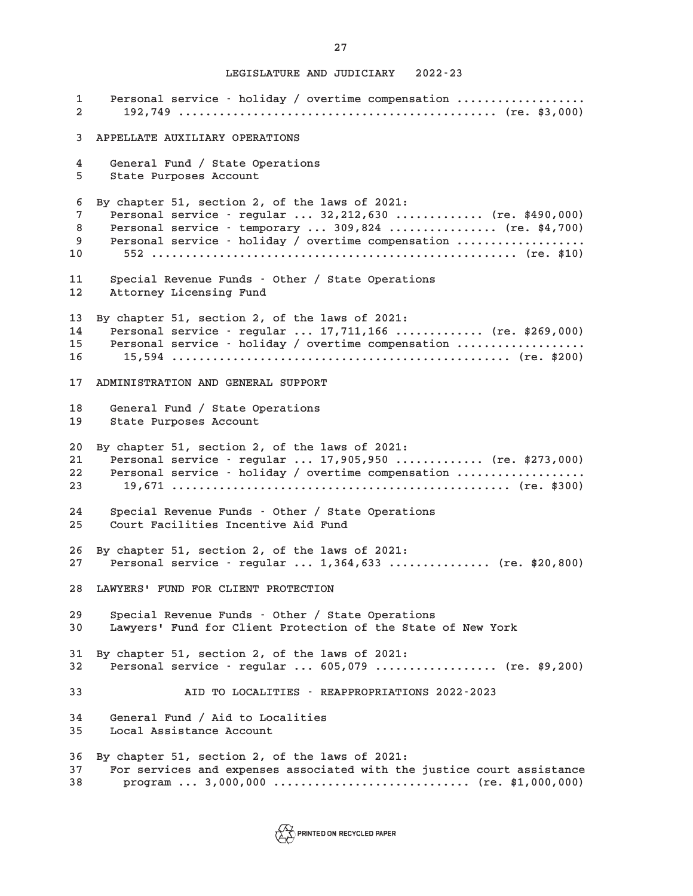**1 Personal service - holiday / overtime compensation ................... 2 192,749 ............................................... (re. \$3,000) 3 APPELLATE AUXILIARY OPERATIONS 4 General Fund / State Operations 5 State Purposes Account 6 By chapter 51, section 2, of the laws of 2021: 7 Personal service - regular ... 32,212,630 ............. (re. \$490,000) 8 Personal service - temporary ... 309,824 ................ (re. \$4,700) 9 Personal service - holiday / overtime compensation ................... 10 552 ...................................................... (re. \$10) 11 Special Revenue Funds - Other / State Operations 12 Attorney Licensing Fund 13 By chapter 51, section 2, of the laws of 2021: 14 Personal service - regular ... 17,711,166 ............. (re. \$269,000) 15 Personal service - holiday / overtime compensation ................... 16 15,594 .................................................. (re. \$200) 17 ADMINISTRATION AND GENERAL SUPPORT 18 General Fund / State Operations 19 State Purposes Account 20 By chapter 51, section 2, of the laws of 2021: 21 Personal service - regular ... 17,905,950 ............. (re. \$273,000) 22 Personal service - holiday / overtime compensation ................... 23 19,671 .................................................. (re. \$300) 24 Special Revenue Funds - Other / State Operations 25 Court Facilities Incentive Aid Fund 26 By chapter 51, section 2, of the laws of 2021: 27 Personal service - regular ... 1,364,633 ............... (re. \$20,800) 28 LAWYERS' FUND FOR CLIENT PROTECTION 29 Special Revenue Funds - Other / State Operations 30 Lawyers' Fund for Client Protection of the State of New York 31 By chapter 51, section 2, of the laws of 2021: 32 Personal service - regular ... 605,079 .................. (re. \$9,200) 33 AID TO LOCALITIES - REAPPROPRIATIONS 2022-2023 34 General Fund / Aid to Localities 35 Local Assistance Account 36 By chapter 51, section 2, of the laws of 2021: 37 For services and expenses associated with the justice court assistance 38 program ... 3,000,000 ............................. (re. \$1,000,000)**

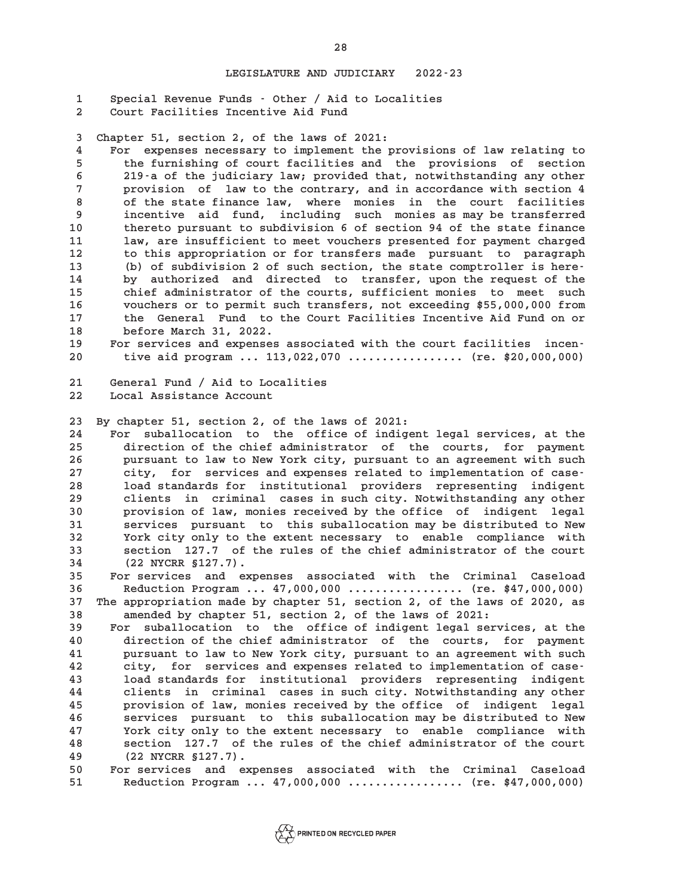**1 Special Revenue Funds - Other / Aid to Localities 2 Court Facilities Incentive Aid Fund**

**3 Chapter 51, section 2, of the laws of 2021:**

**4 For expenses necessary to implement the provisions of law relating to 5 the furnishing of court facilities and the provisions of section 6 219-a of the judiciary law; provided that, notwithstanding any other 7 provision of law to the contrary, and in accordance with section 4 8 of the state finance law, where monies in the court facilities 9 incentive aid fund, including such monies as may be transferred 10 thereto pursuant to subdivision 6 of section 94 of the state finance 11 law, are insufficient to meet vouchers presented for payment charged 12 to this appropriation or for transfers made pursuant to paragraph 13 (b) of subdivision 2 of such section, the state comptroller is here-14 by authorized and directed to transfer, upon the request of the 15 chief administrator of the courts, sufficient monies to meet such 16 vouchers or to permit such transfers, not exceeding \$55,000,000 from 17 the General Fund to the Court Facilities Incentive Aid Fund on or 18 before March 31, 2022.**

**19 For services and expenses associated with the court facilities incen-20 tive aid program ... 113,022,070 ................. (re. \$20,000,000)**

**21 General Fund / Aid to Localities 22 Local Assistance Account**

**23 By chapter 51, section 2, of the laws of 2021:**

**24 For suballocation to the office of indigent legal services, at the 25 direction of the chief administrator of the courts, for payment 26 pursuant to law to New York city, pursuant to an agreement with such 27 city, for services and expenses related to implementation of case-28 load standards for institutional providers representing indigent 29 clients in criminal cases in such city. Notwithstanding any other 30 provision of law, monies received by the office of indigent legal 31 services pursuant to this suballocation may be distributed to New 32 York city only to the extent necessary to enable compliance with 33 section 127.7 of the rules of the chief administrator of the court 34 (22 NYCRR §127.7).**

**35 For services and expenses associated with the Criminal Caseload 36 Reduction Program ... 47,000,000 ................. (re. \$47,000,000) 37 The appropriation made by chapter 51, section 2, of the laws of 2020, as 38 amended by chapter 51, section 2, of the laws of 2021:**

**39 For suballocation to the office of indigent legal services, at the 40 direction of the chief administrator of the courts, for payment 41 pursuant to law to New York city, pursuant to an agreement with such 42 city, for services and expenses related to implementation of case-43 load standards for institutional providers representing indigent 44 clients in criminal cases in such city. Notwithstanding any other 45 provision of law, monies received by the office of indigent legal 46 services pursuant to this suballocation may be distributed to New 47 York city only to the extent necessary to enable compliance with 48 section 127.7 of the rules of the chief administrator of the court 49 (22 NYCRR §127.7).**

**50 For services and expenses associated with the Criminal Caseload 51 Reduction Program ... 47,000,000 ................. (re. \$47,000,000)**

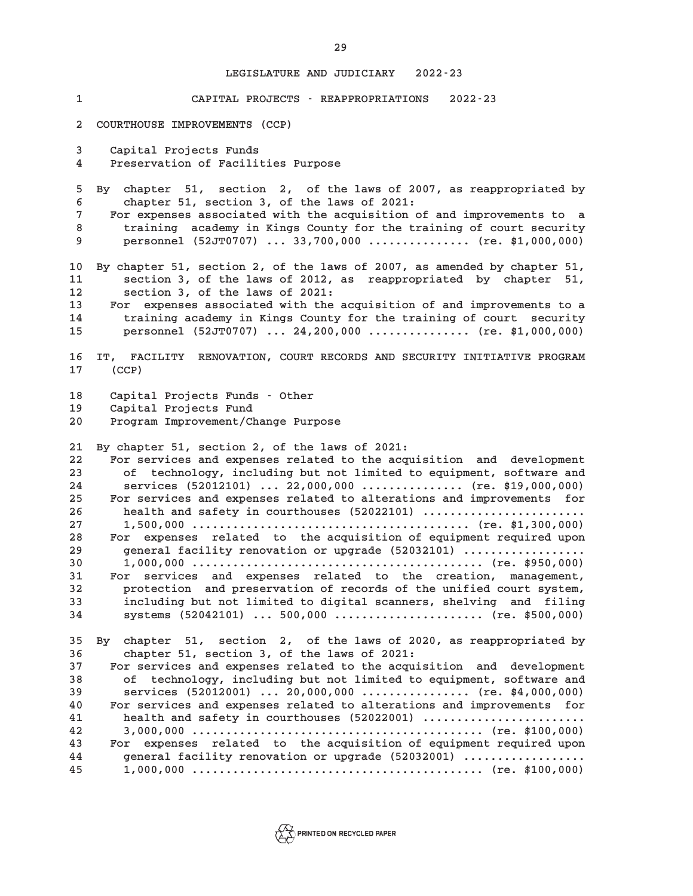**1 CAPITAL PROJECTS - REAPPROPRIATIONS 2022-23 2 COURTHOUSE IMPROVEMENTS (CCP) 3 Capital Projects Funds 4 Preservation of Facilities Purpose 5 By chapter 51, section 2, of the laws of 2007, as reappropriated by 6 chapter 51, section 3, of the laws of 2021: 7 For expenses associated with the acquisition of and improvements to a 8 training academy in Kings County for the training of court security 9 personnel (52JT0707) ... 33,700,000 ............... (re. \$1,000,000) 10 By chapter 51, section 2, of the laws of 2007, as amended by chapter 51, 11 section 3, of the laws of 2012, as reappropriated by chapter 51, 12 section 3, of the laws of 2021: 13 For expenses associated with the acquisition of and improvements to a 14 training academy in Kings County for the training of court security 15 personnel (52JT0707) ... 24,200,000 ............... (re. \$1,000,000) 16 IT, FACILITY RENOVATION, COURT RECORDS AND SECURITY INITIATIVE PROGRAM 17 (CCP) 18 Capital Projects Funds - Other 19 Capital Projects Fund 20 Program Improvement/Change Purpose 21 By chapter 51, section 2, of the laws of 2021: 22 For services and expenses related to the acquisition and development 23 of technology, including but not limited to equipment, software and 24 services (52012101) ... 22,000,000 ............... (re. \$19,000,000) 25 For services and expenses related to alterations and improvements for 26 health and safety in courthouses (52022101) ........................ 27 1,500,000 ......................................... (re. \$1,300,000) 28 For expenses related to the acquisition of equipment required upon 29 general facility renovation or upgrade (52032101) .................. 30 1,000,000 ........................................... (re. \$950,000) 31 For services and expenses related to the creation, management, 32 protection and preservation of records of the unified court system, 33 including but not limited to digital scanners, shelving and filing 34 systems (52042101) ... 500,000 ...................... (re. \$500,000) 35 By chapter 51, section 2, of the laws of 2020, as reappropriated by 36 chapter 51, section 3, of the laws of 2021: 37 For services and expenses related to the acquisition and development 38 of technology, including but not limited to equipment, software and 39 services (52012001) ... 20,000,000 ................ (re. \$4,000,000) 40 For services and expenses related to alterations and improvements for 41 health and safety in courthouses (52022001) ........................ 42 3,000,000 ........................................... (re. \$100,000) 43 For expenses related to the acquisition of equipment required upon 44 general facility renovation or upgrade (52032001) .................. 45 1,000,000 ........................................... (re. \$100,000)**

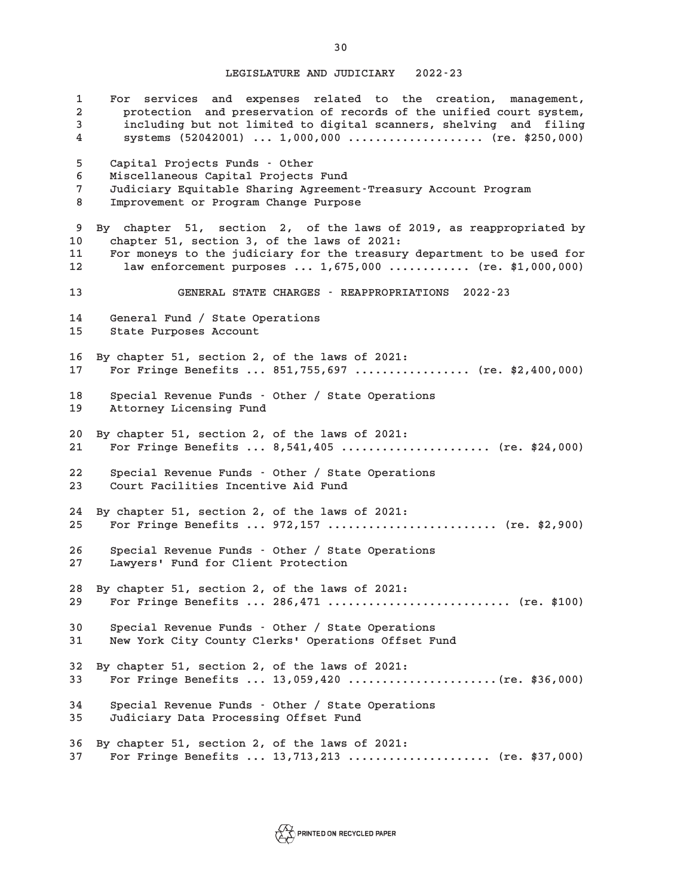**1 For services and expenses related to the creation, management, 2 protection and preservation of records of the unified court system, 3 including but not limited to digital scanners, shelving and filing 4 systems (52042001) ... 1,000,000 .................... (re. \$250,000) 5 Capital Projects Funds - Other 6 Miscellaneous Capital Projects Fund 7 Judiciary Equitable Sharing Agreement-Treasury Account Program 8 Improvement or Program Change Purpose 9 By chapter 51, section 2, of the laws of 2019, as reappropriated by 10 chapter 51, section 3, of the laws of 2021: 11 For moneys to the judiciary for the treasury department to be used for 12 law enforcement purposes ... 1,675,000 ............ (re. \$1,000,000) 13 GENERAL STATE CHARGES - REAPPROPRIATIONS 2022-23 14 General Fund / State Operations 15 State Purposes Account 16 By chapter 51, section 2, of the laws of 2021: 17 For Fringe Benefits ... 851,755,697 ................. (re. \$2,400,000) 18 Special Revenue Funds - Other / State Operations 19 Attorney Licensing Fund 20 By chapter 51, section 2, of the laws of 2021: 21 For Fringe Benefits ... 8,541,405 ...................... (re. \$24,000) 22 Special Revenue Funds - Other / State Operations 23 Court Facilities Incentive Aid Fund 24 By chapter 51, section 2, of the laws of 2021: 25 For Fringe Benefits ... 972,157 ......................... (re. \$2,900) 26 Special Revenue Funds - Other / State Operations 27 Lawyers' Fund for Client Protection 28 By chapter 51, section 2, of the laws of 2021: 29 For Fringe Benefits ... 286,471 ........................... (re. \$100) 30 Special Revenue Funds - Other / State Operations 31 New York City County Clerks' Operations Offset Fund 32 By chapter 51, section 2, of the laws of 2021: 33 For Fringe Benefits ... 13,059,420 ......................(re. \$36,000) 34 Special Revenue Funds - Other / State Operations 35 Judiciary Data Processing Offset Fund 36 By chapter 51, section 2, of the laws of 2021: 37 For Fringe Benefits ... 13,713,213 ..................... (re. \$37,000)**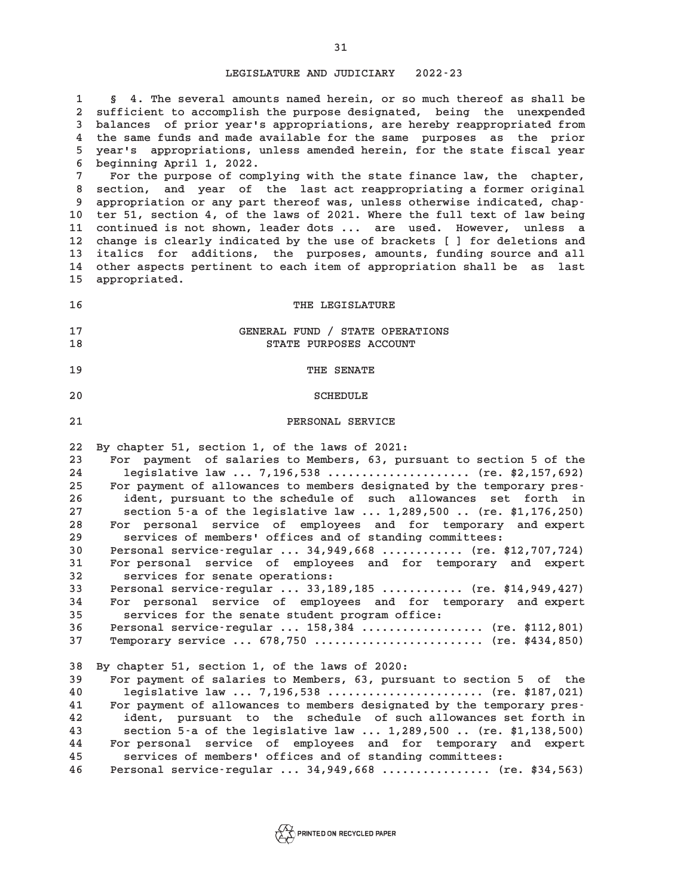**1 § 4. The several amounts named herein, or so much thereof as shall be 2 sufficient to accomplish the purpose designated, being the unexpended 3 balances of prior year's appropriations, are hereby reappropriated from 4 the same funds and made available for the same purposes as the prior 5 year's appropriations, unless amended herein, for the state fiscal year 6 beginning April 1, 2022. 7 For the purpose of complying with the state finance law, the chapter, 8 section, and year of the last act reappropriating a former original 9 appropriation or any part thereof was, unless otherwise indicated, chap-10 ter 51, section 4, of the laws of 2021. Where the full text of law being 11 continued is not shown, leader dots ... are used. However, unless a 12 change is clearly indicated by the use of brackets [ ] for deletions and 13 italics for additions, the purposes, amounts, funding source and all 14 other aspects pertinent to each item of appropriation shall be as last 15 appropriated. 16** THE LEGISLATURE **17 GENERAL FUND / STATE OPERATIONS 18 STATE PURPOSES ACCOUNT 19 THE SENATE** 20 SCHEDULE **21 PERSONAL SERVICE 22 By chapter 51, section 1, of the laws of 2021: 23 For payment of salaries to Members, 63, pursuant to section 5 of the 24 legislative law ... 7,196,538 ..................... (re. \$2,157,692) 25 For payment of allowances to members designated by the temporary pres-26 ident, pursuant to the schedule of such allowances set forth in 27 section 5-a of the legislative law ... 1,289,500 .. (re. \$1,176,250) 28 For personal service of employees and for temporary and expert 29 services of members' offices and of standing committees: 30 Personal service-regular ... 34,949,668 ............ (re. \$12,707,724) 31 For personal service of employees and for temporary and expert 32 services for senate operations: 33 Personal service-regular ... 33,189,185 ............ (re. \$14,949,427) 34 For personal service of employees and for temporary and expert 35 services for the senate student program office: 36 Personal service-regular ... 158,384 .................. (re. \$112,801) 37 Temporary service ... 678,750 ......................... (re. \$434,850) 38 By chapter 51, section 1, of the laws of 2020: 39 For payment of salaries to Members, 63, pursuant to section 5 of the 40 legislative law ... 7,196,538 ....................... (re. \$187,021) 41 For payment of allowances to members designated by the temporary pres-42 ident, pursuant to the schedule of such allowances set forth in 43 section 5-a of the legislative law ... 1,289,500 .. (re. \$1,138,500) 44 For personal service of employees and for temporary and expert 45 services of members' offices and of standing committees: 46 Personal service-regular ... 34,949,668 ................ (re. \$34,563)**

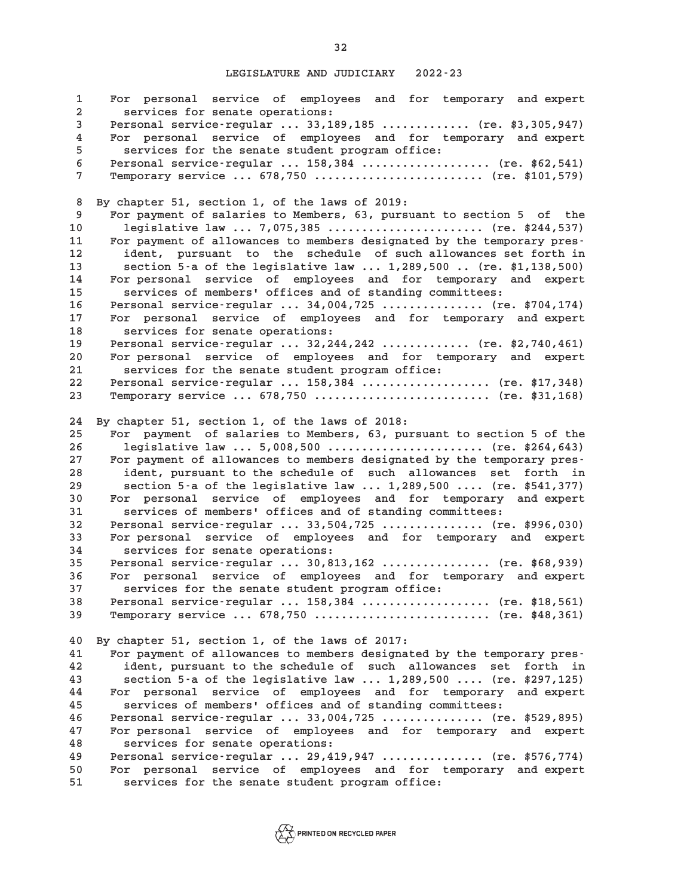**1 For personal service of employees and for temporary and expert 2 services for senate operations: 3 Personal service-regular ... 33,189,185 ............. (re. \$3,305,947) 4 For personal service of employees and for temporary and expert 5 services for the senate student program office: 6 Personal service-regular ... 158,384 ................... (re. \$62,541) 7 Temporary service ... 678,750 ......................... (re. \$101,579) 8 By chapter 51, section 1, of the laws of 2019: 9 For payment of salaries to Members, 63, pursuant to section 5 of the 10 legislative law ... 7,075,385 ....................... (re. \$244,537) 11 For payment of allowances to members designated by the temporary pres-12 ident, pursuant to the schedule of such allowances set forth in 13 section 5-a of the legislative law ... 1,289,500 .. (re. \$1,138,500) 14 For personal service of employees and for temporary and expert 15 services of members' offices and of standing committees: 16 Personal service-regular ... 34,004,725 ............... (re. \$704,174) 17 For personal service of employees and for temporary and expert 18 services for senate operations: 19 Personal service-regular ... 32,244,242 ............. (re. \$2,740,461) 20 For personal service of employees and for temporary and expert 21 services for the senate student program office: 22 Personal service-regular ... 158,384 ................... (re. \$17,348) 23 Temporary service ... 678,750 .......................... (re. \$31,168) 24 By chapter 51, section 1, of the laws of 2018: 25 For payment of salaries to Members, 63, pursuant to section 5 of the 26 legislative law ... 5,008,500 ....................... (re. \$264,643) 27 For payment of allowances to members designated by the temporary pres-28 ident, pursuant to the schedule of such allowances set forth in 29 section 5-a of the legislative law ... 1,289,500 .... (re. \$541,377) 30 For personal service of employees and for temporary and expert 31 services of members' offices and of standing committees: 32 Personal service-regular ... 33,504,725 ............... (re. \$996,030) 33 For personal service of employees and for temporary and expert 34 services for senate operations: 35 Personal service-regular ... 30,813,162 ................ (re. \$68,939) 36 For personal service of employees and for temporary and expert 37 services for the senate student program office: 38 Personal service-regular ... 158,384 ................... (re. \$18,561) 39 Temporary service ... 678,750 .......................... (re. \$48,361) 40 By chapter 51, section 1, of the laws of 2017: 41 For payment of allowances to members designated by the temporary pres-42 ident, pursuant to the schedule of such allowances set forth in 43 section 5-a of the legislative law ... 1,289,500 .... (re. \$297,125) 44 For personal service of employees and for temporary and expert 45 services of members' offices and of standing committees: 46 Personal service-regular ... 33,004,725 ............... (re. \$529,895) 47 For personal service of employees and for temporary and expert 48 services for senate operations: 49 Personal service-regular ... 29,419,947 ............... (re. \$576,774) 50 For personal service of employees and for temporary and expert 51 services for the senate student program office:**

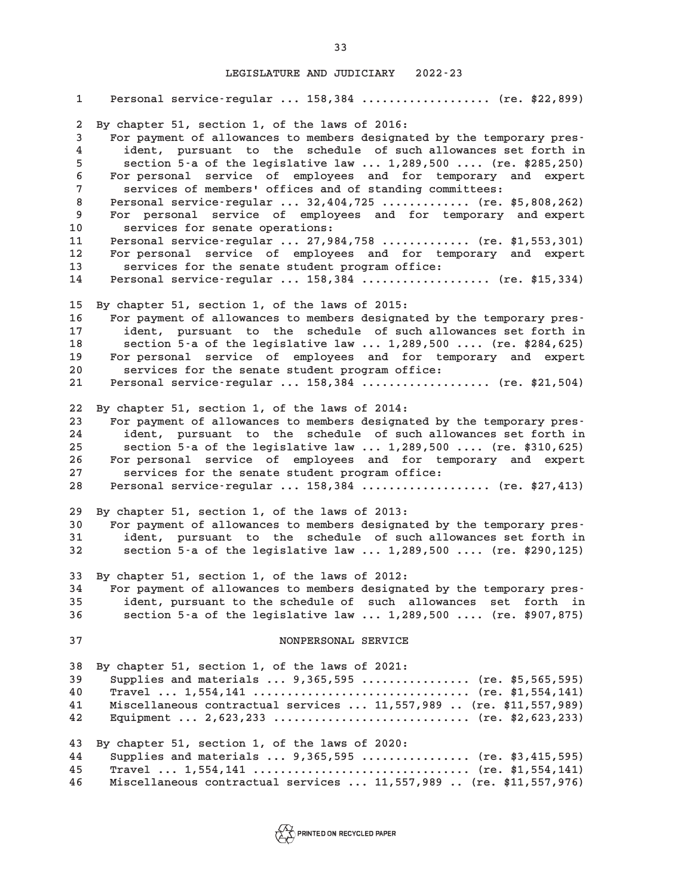**1 Personal service-regular ... 158,384 ................... (re. \$22,899) 2 By chapter 51, section 1, of the laws of 2016: 3 For payment of allowances to members designated by the temporary pres-4 ident, pursuant to the schedule of such allowances set forth in 5 section 5-a of the legislative law ... 1,289,500 .... (re. \$285,250) 6 For personal service of employees and for temporary and expert 7 services of members' offices and of standing committees: 8 Personal service-regular ... 32,404,725 ............. (re. \$5,808,262) 9 For personal service of employees and for temporary and expert 10 services for senate operations: 11 Personal service-regular ... 27,984,758 ............. (re. \$1,553,301) 12 For personal service of employees and for temporary and expert 13 services for the senate student program office: 14 Personal service-regular ... 158,384 ................... (re. \$15,334) 15 By chapter 51, section 1, of the laws of 2015: 16 For payment of allowances to members designated by the temporary pres-17 ident, pursuant to the schedule of such allowances set forth in 18 section 5-a of the legislative law ... 1,289,500 .... (re. \$284,625) 19 For personal service of employees and for temporary and expert 20 services for the senate student program office: 21 Personal service-regular ... 158,384 ................... (re. \$21,504) 22 By chapter 51, section 1, of the laws of 2014: 23 For payment of allowances to members designated by the temporary pres-24 ident, pursuant to the schedule of such allowances set forth in 25 section 5-a of the legislative law ... 1,289,500 .... (re. \$310,625) 26 For personal service of employees and for temporary and expert 27 services for the senate student program office: 28 Personal service-regular ... 158,384 ................... (re. \$27,413) 29 By chapter 51, section 1, of the laws of 2013: 30 For payment of allowances to members designated by the temporary pres-31 ident, pursuant to the schedule of such allowances set forth in 32 section 5-a of the legislative law ... 1,289,500 .... (re. \$290,125) 33 By chapter 51, section 1, of the laws of 2012: 34 For payment of allowances to members designated by the temporary pres-35 ident, pursuant to the schedule of such allowances set forth in 36 section 5-a of the legislative law ... 1,289,500 .... (re. \$907,875) 37 NONPERSONAL SERVICE 38 By chapter 51, section 1, of the laws of 2021: 39 Supplies and materials ... 9,365,595 ................ (re. \$5,565,595) 40 Travel ... 1,554,141 ................................ (re. \$1,554,141) 41 Miscellaneous contractual services ... 11,557,989 .. (re. \$11,557,989) 42 Equipment ... 2,623,233 ............................. (re. \$2,623,233) 43 By chapter 51, section 1, of the laws of 2020: 44 Supplies and materials ... 9,365,595 ................ (re. \$3,415,595) 45 Travel ... 1,554,141 ................................ (re. \$1,554,141) 46 Miscellaneous contractual services ... 11,557,989 .. (re. \$11,557,976)**

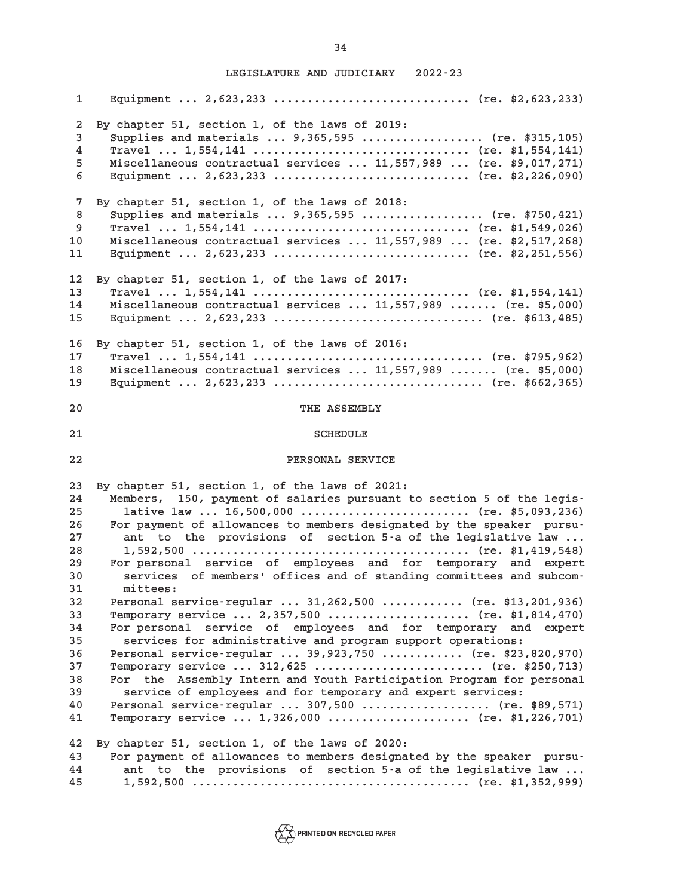**1 Equipment ... 2,623,233 ............................. (re. \$2,623,233) 2 By chapter 51, section 1, of the laws of 2019: 3 Supplies and materials ... 9,365,595 .................. (re. \$315,105) 4 Travel ... 1,554,141 ................................ (re. \$1,554,141) 5 Miscellaneous contractual services ... 11,557,989 ... (re. \$9,017,271) 6 Equipment ... 2,623,233 ............................. (re. \$2,226,090) 7 By chapter 51, section 1, of the laws of 2018: 8 Supplies and materials ... 9,365,595 .................. (re. \$750,421) 9 Travel ... 1,554,141 ................................ (re. \$1,549,026) 10 Miscellaneous contractual services ... 11,557,989 ... (re. \$2,517,268) 11 Equipment ... 2,623,233 ............................. (re. \$2,251,556) 12 By chapter 51, section 1, of the laws of 2017: 13 Travel ... 1,554,141 ................................ (re. \$1,554,141) 14 Miscellaneous contractual services ... 11,557,989 ....... (re. \$5,000) 15 Equipment ... 2,623,233 ............................... (re. \$613,485) 16 By chapter 51, section 1, of the laws of 2016: 17 Travel ... 1,554,141 .................................. (re. \$795,962) 18 Miscellaneous contractual services ... 11,557,989 ....... (re. \$5,000) 19 Equipment ... 2,623,233 ............................... (re. \$662,365) 20 THE ASSEMBLY** 21 SCHEDULE **22 PERSONAL SERVICE 23 By chapter 51, section 1, of the laws of 2021: 24 Members, 150, payment of salaries pursuant to section 5 of the legis-25 lative law ... 16,500,000 ......................... (re. \$5,093,236) 26 For payment of allowances to members designated by the speaker pursu-27 ant to the provisions of section 5-a of the legislative law ... 28 1,592,500 ......................................... (re. \$1,419,548) 29 For personal service of employees and for temporary and expert 30 services of members' offices and of standing committees and subcom-31 mittees: 32 Personal service-regular ... 31,262,500 ............ (re. \$13,201,936) 33 Temporary service ... 2,357,500 ..................... (re. \$1,814,470) 34 For personal service of employees and for temporary and expert 35 services for administrative and program support operations: 36 Personal service-regular ... 39,923,750 ............ (re. \$23,820,970) 37 Temporary service ... 312,625 ......................... (re. \$250,713) 38 For the Assembly Intern and Youth Participation Program for personal 39 service of employees and for temporary and expert services: 40 Personal service-regular ... 307,500 ................... (re. \$89,571) 41 Temporary service ... 1,326,000 ..................... (re. \$1,226,701) 42 By chapter 51, section 1, of the laws of 2020: 43 For payment of allowances to members designated by the speaker pursu-44 ant to the provisions of section 5-a of the legislative law ... 45 1,592,500 ......................................... (re. \$1,352,999)**

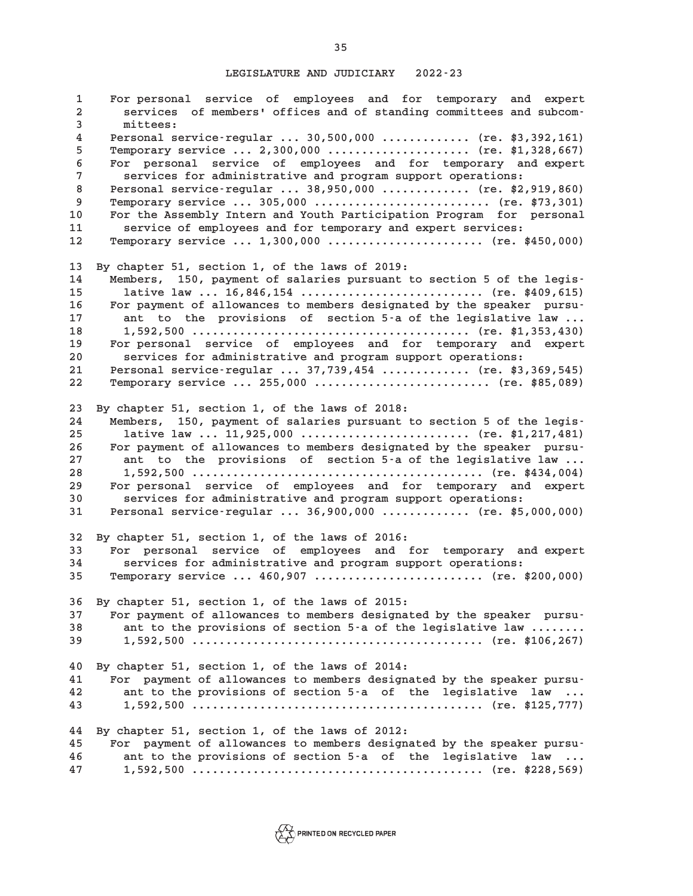**1 For personal service of employees and for temporary and expert 2 services of members' offices and of standing committees and subcom-3 mittees: 4 Personal service-regular ... 30,500,000 ............. (re. \$3,392,161) 5 Temporary service ... 2,300,000 ..................... (re. \$1,328,667) 6 For personal service of employees and for temporary and expert 7 services for administrative and program support operations: 8 Personal service-regular ... 38,950,000 ............. (re. \$2,919,860) 9 Temporary service ... 305,000 .......................... (re. \$73,301) 10 For the Assembly Intern and Youth Participation Program for personal 11 service of employees and for temporary and expert services: 12 Temporary service ... 1,300,000 ....................... (re. \$450,000) 13 By chapter 51, section 1, of the laws of 2019: 14 Members, 150, payment of salaries pursuant to section 5 of the legis-15 lative law ... 16,846,154 ........................... (re. \$409,615) 16 For payment of allowances to members designated by the speaker pursu-17 ant to the provisions of section 5-a of the legislative law ... 18 1,592,500 ......................................... (re. \$1,353,430) 19 For personal service of employees and for temporary and expert 20 services for administrative and program support operations: 21 Personal service-regular ... 37,739,454 ............. (re. \$3,369,545) 22 Temporary service ... 255,000 .......................... (re. \$85,089) 23 By chapter 51, section 1, of the laws of 2018: 24 Members, 150, payment of salaries pursuant to section 5 of the legis-25 lative law ... 11,925,000 ......................... (re. \$1,217,481) 26 For payment of allowances to members designated by the speaker pursu-27 ant to the provisions of section 5-a of the legislative law ... 28 1,592,500 ........................................... (re. \$434,004) 29 For personal service of employees and for temporary and expert 30 services for administrative and program support operations: 31 Personal service-regular ... 36,900,000 ............. (re. \$5,000,000) 32 By chapter 51, section 1, of the laws of 2016: 33 For personal service of employees and for temporary and expert 34 services for administrative and program support operations: 35 Temporary service ... 460,907 ......................... (re. \$200,000) 36 By chapter 51, section 1, of the laws of 2015: 37 For payment of allowances to members designated by the speaker pursu-38 ant to the provisions of section 5-a of the legislative law ........ 39 1,592,500 ........................................... (re. \$106,267) 40 By chapter 51, section 1, of the laws of 2014: 41 For payment of allowances to members designated by the speaker pursu-42 ant to the provisions of section 5-a of the legislative law ... 43 1,592,500 ........................................... (re. \$125,777) 44 By chapter 51, section 1, of the laws of 2012: 45 For payment of allowances to members designated by the speaker pursu-46 ant to the provisions of section 5-a of the legislative law ... 47 1,592,500 ........................................... (re. \$228,569)**

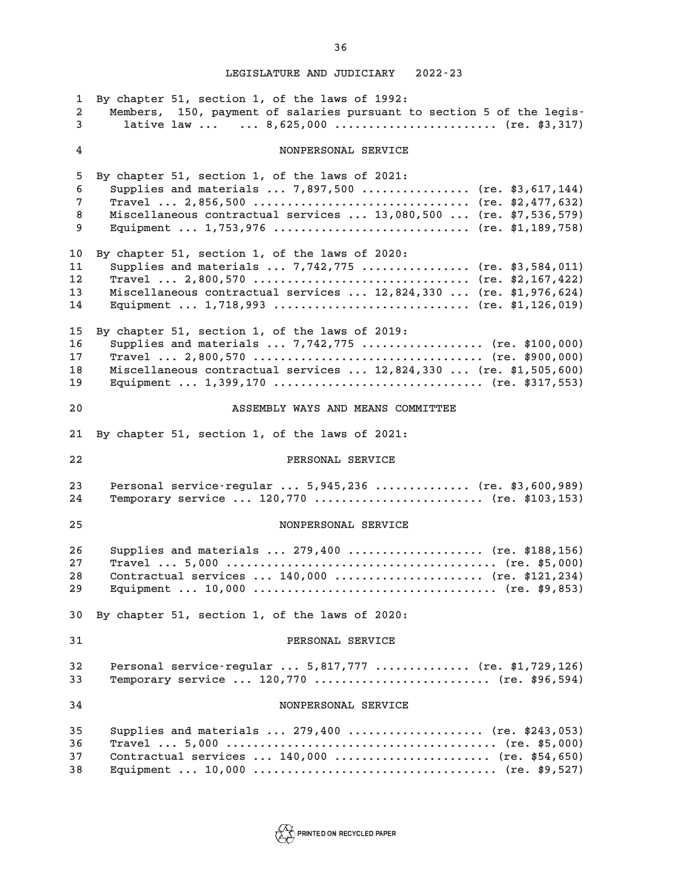**1 By chapter 51, section 1, of the laws of 1992: 2 Members, 150, payment of salaries pursuant to section 5 of the legis-3 lative law ... ... 8,625,000 ........................ (re. \$3,317) 4 NONPERSONAL SERVICE 5 By chapter 51, section 1, of the laws of 2021: 6 Supplies and materials ... 7,897,500 ................ (re. \$3,617,144) 7 Travel ... 2,856,500 ................................ (re. \$2,477,632) 8 Miscellaneous contractual services ... 13,080,500 ... (re. \$7,536,579) 9 Equipment ... 1,753,976 ............................. (re. \$1,189,758) 10 By chapter 51, section 1, of the laws of 2020: 11 Supplies and materials ... 7,742,775 ................ (re. \$3,584,011) 12 Travel ... 2,800,570 ................................ (re. \$2,167,422) 13 Miscellaneous contractual services ... 12,824,330 ... (re. \$1,976,624) 14 Equipment ... 1,718,993 ............................. (re. \$1,126,019) 15 By chapter 51, section 1, of the laws of 2019: 16 Supplies and materials ... 7,742,775 .................. (re. \$100,000) 17 Travel ... 2,800,570 .................................. (re. \$900,000) 18 Miscellaneous contractual services ... 12,824,330 ... (re. \$1,505,600) 19 Equipment ... 1,399,170 ............................... (re. \$317,553) 20 ASSEMBLY WAYS AND MEANS COMMITTEE 21 By chapter 51, section 1, of the laws of 2021: 22 PERSONAL SERVICE 23 Personal service-regular ... 5,945,236 .............. (re. \$3,600,989) 24 Temporary service ... 120,770 ......................... (re. \$103,153) 25 NONPERSONAL SERVICE 26 Supplies and materials ... 279,400 .................... (re. \$188,156) 27 Travel ... 5,000 ........................................ (re. \$5,000) 28 Contractual services ... 140,000 ...................... (re. \$121,234) 29 Equipment ... 10,000 .................................... (re. \$9,853) 30 By chapter 51, section 1, of the laws of 2020: 31 PERSONAL SERVICE 32 Personal service-regular ... 5,817,777 .............. (re. \$1,729,126) 33 Temporary service ... 120,770 .......................... (re. \$96,594) 34 NONPERSONAL SERVICE 35 Supplies and materials ... 279,400 .................... (re. \$243,053) 36 Travel ... 5,000 ........................................ (re. \$5,000) 37 Contractual services ... 140,000 ....................... (re. \$54,650) 38 Equipment ... 10,000 .................................... (re. \$9,527)**

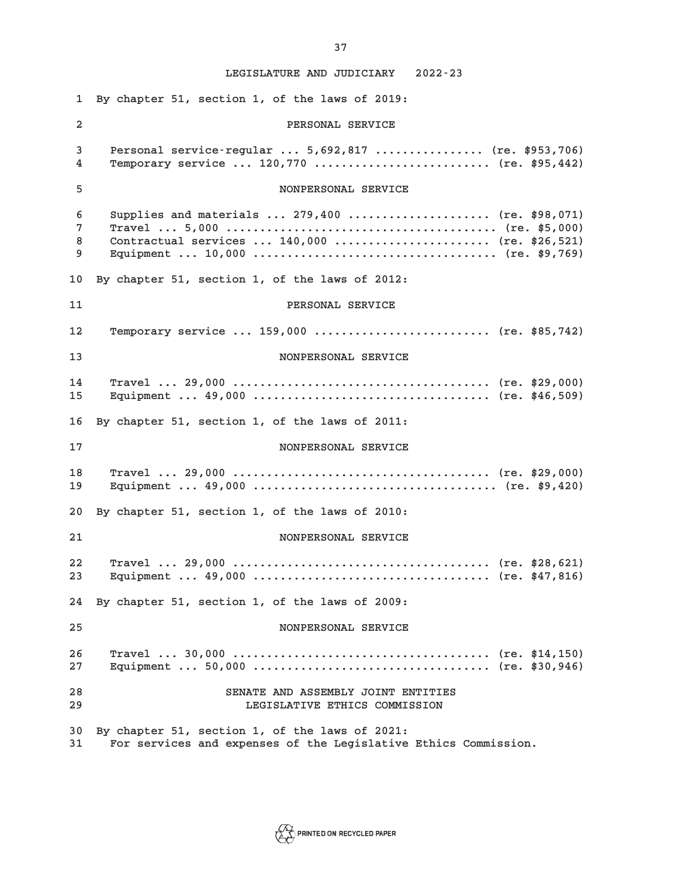**1 By chapter 51, section 1, of the laws of 2019: 2 PERSONAL SERVICE 3 Personal service-regular ... 5,692,817 ................ (re. \$953,706) 4 Temporary service ... 120,770 .......................... (re. \$95,442) 5 NONPERSONAL SERVICE 6 Supplies and materials ... 279,400 ..................... (re. \$98,071) 7 Travel ... 5,000 ........................................ (re. \$5,000) 8 Contractual services ... 140,000 ....................... (re. \$26,521) 9 Equipment ... 10,000 .................................... (re. \$9,769) 10 By chapter 51, section 1, of the laws of 2012: 11 PERSONAL SERVICE 12 Temporary service ... 159,000 .......................... (re. \$85,742) 13 NONPERSONAL SERVICE 14 Travel ... 29,000 ...................................... (re. \$29,000) 15 Equipment ... 49,000 ................................... (re. \$46,509) 16 By chapter 51, section 1, of the laws of 2011: 17 NONPERSONAL SERVICE 18 Travel ... 29,000 ...................................... (re. \$29,000) 19 Equipment ... 49,000 .................................... (re. \$9,420) 20 By chapter 51, section 1, of the laws of 2010: 21 NONPERSONAL SERVICE 22 Travel ... 29,000 ...................................... (re. \$28,621) 23 Equipment ... 49,000 ................................... (re. \$47,816) 24 By chapter 51, section 1, of the laws of 2009: 25 NONPERSONAL SERVICE 26 Travel ... 30,000 ...................................... (re. \$14,150) 27 Equipment ... 50,000 ................................... (re. \$30,946) 28 SENATE AND ASSEMBLY JOINT ENTITIES 29 LEGISLATIVE ETHICS COMMISSION 30 By chapter 51, section 1, of the laws of 2021: 31 For services and expenses of the Legislative Ethics Commission.**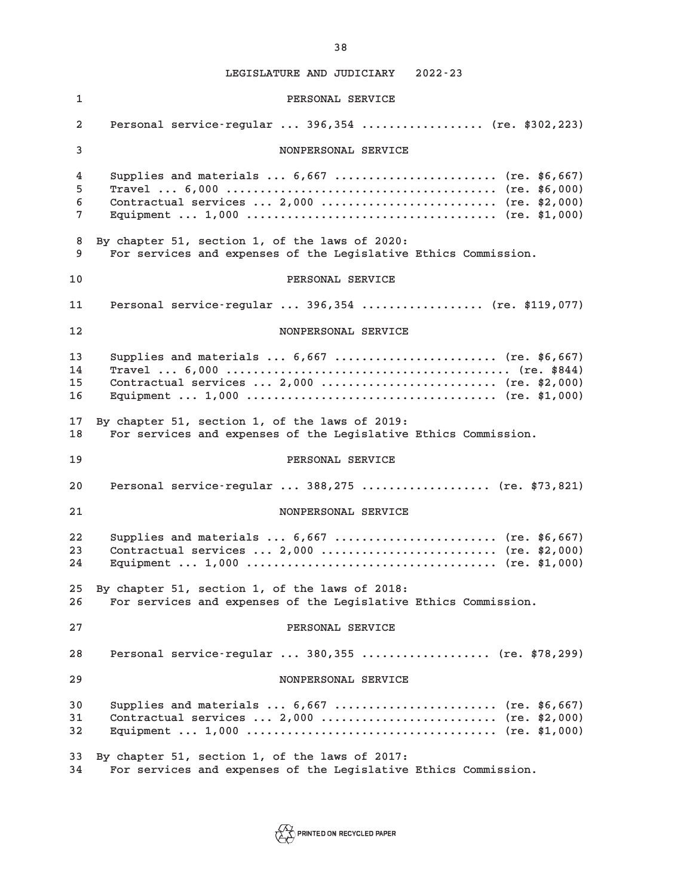**1 PERSONAL SERVICE 2 Personal service-regular ... 396,354 .................. (re. \$302,223) 3 NONPERSONAL SERVICE 4 Supplies and materials ... 6,667 ........................ (re. \$6,667) 5 Travel ... 6,000 ........................................ (re. \$6,000) 6 Contractual services ... 2,000 .......................... (re. \$2,000) 7 Equipment ... 1,000 ..................................... (re. \$1,000) 8 By chapter 51, section 1, of the laws of 2020: 9 For services and expenses of the Legislative Ethics Commission. 10 PERSONAL SERVICE 11 Personal service-regular ... 396,354 .................. (re. \$119,077) 12 NONPERSONAL SERVICE 13 Supplies and materials ... 6,667 ........................ (re. \$6,667) 14 Travel ... 6,000 .......................................... (re. \$844) 15 Contractual services ... 2,000 .......................... (re. \$2,000) 16 Equipment ... 1,000 ..................................... (re. \$1,000) 17 By chapter 51, section 1, of the laws of 2019: 18 For services and expenses of the Legislative Ethics Commission. 19 PERSONAL SERVICE 20 Personal service-regular ... 388,275 ................... (re. \$73,821) 21 NONPERSONAL SERVICE 22 Supplies and materials ... 6,667 ........................ (re. \$6,667) 23 Contractual services ... 2,000 .......................... (re. \$2,000) 24 Equipment ... 1,000 ..................................... (re. \$1,000) 25 By chapter 51, section 1, of the laws of 2018: 26 For services and expenses of the Legislative Ethics Commission. 27 PERSONAL SERVICE 28 Personal service-regular ... 380,355 ................... (re. \$78,299) 29 NONPERSONAL SERVICE 30 Supplies and materials ... 6,667 ........................ (re. \$6,667) 31 Contractual services ... 2,000 .......................... (re. \$2,000) 32 Equipment ... 1,000 ..................................... (re. \$1,000) 33 By chapter 51, section 1, of the laws of 2017: 34 For services and expenses of the Legislative Ethics Commission.**

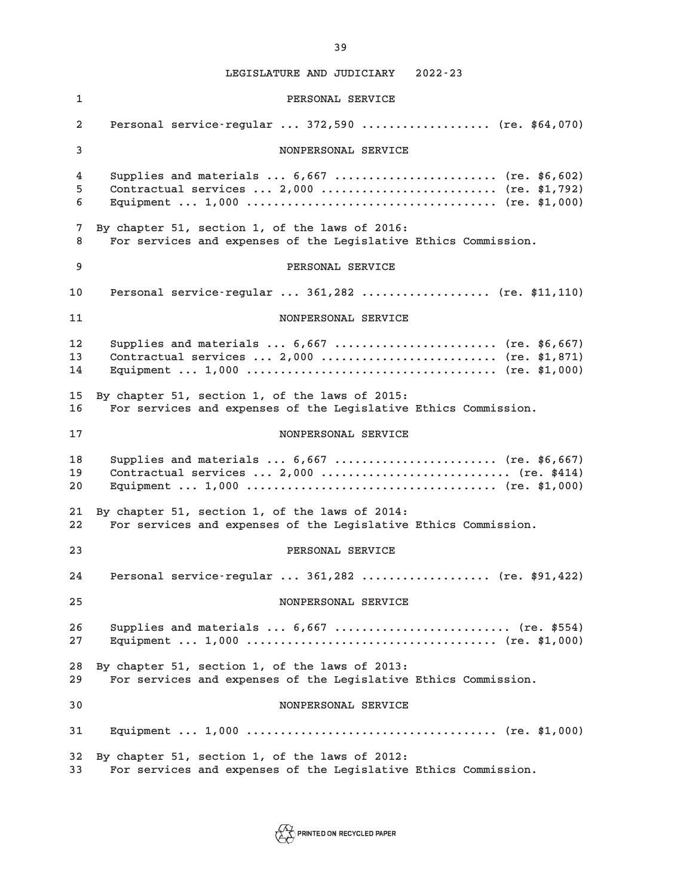**1 PERSONAL SERVICE 2 Personal service-regular ... 372,590 ................... (re. \$64,070) 3 NONPERSONAL SERVICE 4 Supplies and materials ... 6,667 ........................ (re. \$6,602) 5 Contractual services ... 2,000 .......................... (re. \$1,792) 6 Equipment ... 1,000 ..................................... (re. \$1,000) 7 By chapter 51, section 1, of the laws of 2016: 8 For services and expenses of the Legislative Ethics Commission. 9 PERSONAL SERVICE 10 Personal service-regular ... 361,282 ................... (re. \$11,110) 11 NONPERSONAL SERVICE 12 Supplies and materials ... 6,667 ........................ (re. \$6,667) 13 Contractual services ... 2,000 .......................... (re. \$1,871) 14 Equipment ... 1,000 ..................................... (re. \$1,000) 15 By chapter 51, section 1, of the laws of 2015: 16 For services and expenses of the Legislative Ethics Commission. 17 NONPERSONAL SERVICE 18 Supplies and materials ... 6,667 ........................ (re. \$6,667) 19 Contractual services ... 2,000 ............................ (re. \$414) 20 Equipment ... 1,000 ..................................... (re. \$1,000) 21 By chapter 51, section 1, of the laws of 2014: 22 For services and expenses of the Legislative Ethics Commission. 23 PERSONAL SERVICE 24 Personal service-regular ... 361,282 ................... (re. \$91,422) 25 NONPERSONAL SERVICE 26 Supplies and materials ... 6,667 .......................... (re. \$554) 27 Equipment ... 1,000 ..................................... (re. \$1,000) 28 By chapter 51, section 1, of the laws of 2013: 29 For services and expenses of the Legislative Ethics Commission. 30 NONPERSONAL SERVICE 31 Equipment ... 1,000 ..................................... (re. \$1,000) 32 By chapter 51, section 1, of the laws of 2012: 33 For services and expenses of the Legislative Ethics Commission.**

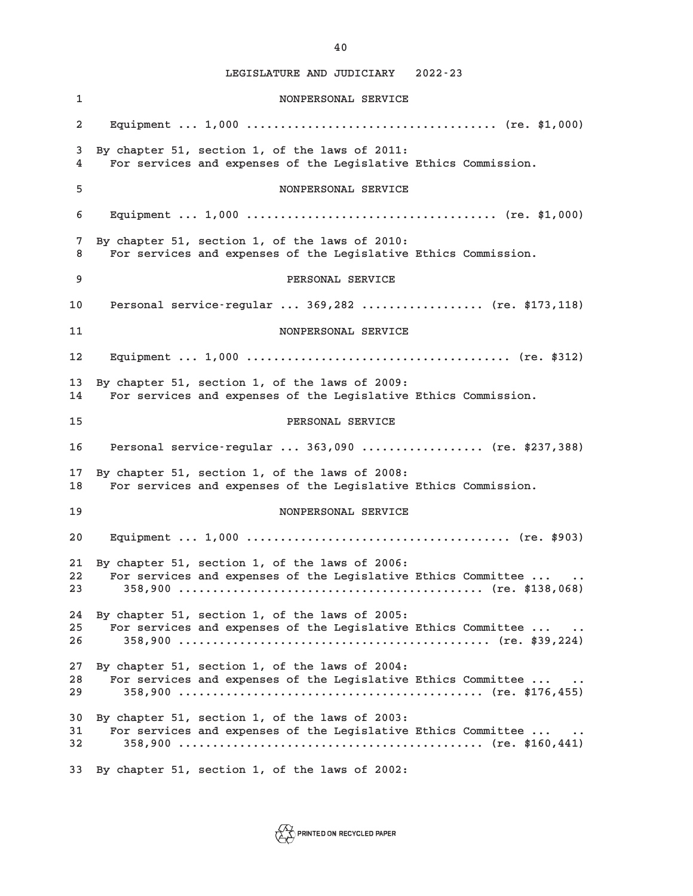**1 NONPERSONAL SERVICE 2 Equipment ... 1,000 ..................................... (re. \$1,000) 3 By chapter 51, section 1, of the laws of 2011: 4 For services and expenses of the Legislative Ethics Commission. 5 NONPERSONAL SERVICE 6 Equipment ... 1,000 ..................................... (re. \$1,000) 7 By chapter 51, section 1, of the laws of 2010: 8 For services and expenses of the Legislative Ethics Commission. 9 PERSONAL SERVICE 10 Personal service-regular ... 369,282 .................. (re. \$173,118) 11 NONPERSONAL SERVICE 12 Equipment ... 1,000 ....................................... (re. \$312) 13 By chapter 51, section 1, of the laws of 2009: 14 For services and expenses of the Legislative Ethics Commission. 15 PERSONAL SERVICE 16 Personal service-regular ... 363,090 .................. (re. \$237,388) 17 By chapter 51, section 1, of the laws of 2008: 18 For services and expenses of the Legislative Ethics Commission. 19 NONPERSONAL SERVICE 20 Equipment ... 1,000 ....................................... (re. \$903) 21 By chapter 51, section 1, of the laws of 2006: 22 For services and expenses of the Legislative Ethics Committee ... .. 23 358,900 ............................................. (re. \$138,068) 24 By chapter 51, section 1, of the laws of 2005: 25 For services and expenses of the Legislative Ethics Committee ... .. 26 358,900 .............................................. (re. \$39,224) 27 By chapter 51, section 1, of the laws of 2004: 28 For services and expenses of the Legislative Ethics Committee ... .. 29 358,900 ............................................. (re. \$176,455) 30 By chapter 51, section 1, of the laws of 2003: 31 For services and expenses of the Legislative Ethics Committee ... .. 32 358,900 ............................................. (re. \$160,441) 33 By chapter 51, section 1, of the laws of 2002:**

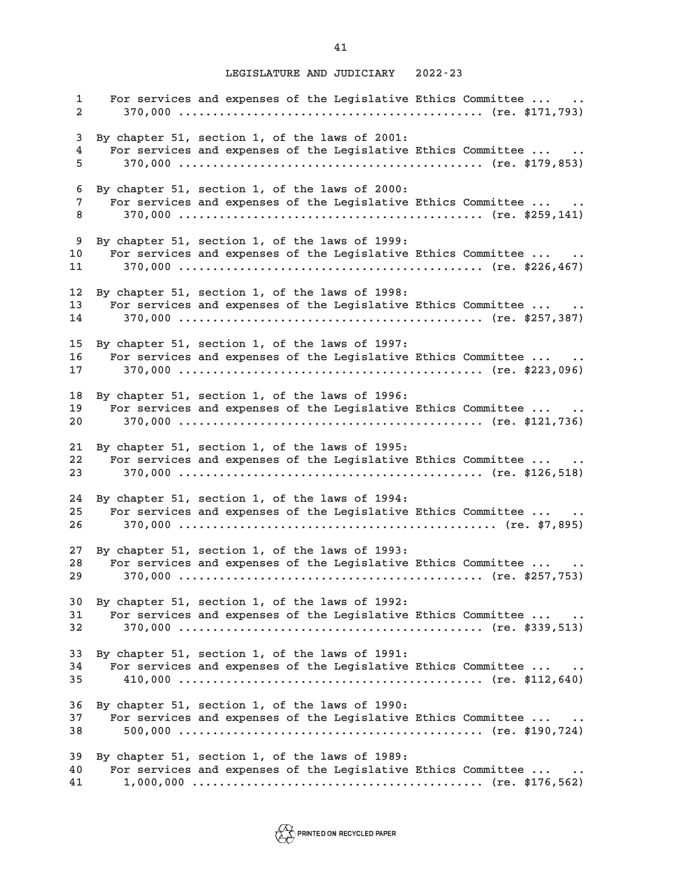**1 For services and expenses of the Legislative Ethics Committee ... .. 2 370,000 ............................................. (re. \$171,793) 3 By chapter 51, section 1, of the laws of 2001: 4 For services and expenses of the Legislative Ethics Committee ... .. 5 370,000 ............................................. (re. \$179,853) 6 By chapter 51, section 1, of the laws of 2000: 7 For services and expenses of the Legislative Ethics Committee ... .. 8 370,000 ............................................. (re. \$259,141) 9 By chapter 51, section 1, of the laws of 1999: 10 For services and expenses of the Legislative Ethics Committee ... .. 11 370,000 ............................................. (re. \$226,467) 12 By chapter 51, section 1, of the laws of 1998: 13 For services and expenses of the Legislative Ethics Committee ... .. 14 370,000 ............................................. (re. \$257,387) 15 By chapter 51, section 1, of the laws of 1997: 16 For services and expenses of the Legislative Ethics Committee ... .. 17 370,000 ............................................. (re. \$223,096) 18 By chapter 51, section 1, of the laws of 1996: 19 For services and expenses of the Legislative Ethics Committee ... .. 20 370,000 ............................................. (re. \$121,736) 21 By chapter 51, section 1, of the laws of 1995: 22 For services and expenses of the Legislative Ethics Committee ... .. 23 370,000 ............................................. (re. \$126,518) 24 By chapter 51, section 1, of the laws of 1994: 25 For services and expenses of the Legislative Ethics Committee ... .. 26 370,000 ............................................... (re. \$7,895) 27 By chapter 51, section 1, of the laws of 1993: 28 For services and expenses of the Legislative Ethics Committee ... .. 29 370,000 ............................................. (re. \$257,753) 30 By chapter 51, section 1, of the laws of 1992: 31 For services and expenses of the Legislative Ethics Committee ... .. 32 370,000 ............................................. (re. \$339,513) 33 By chapter 51, section 1, of the laws of 1991: 34 For services and expenses of the Legislative Ethics Committee ... .. 35 410,000 ............................................. (re. \$112,640) 36 By chapter 51, section 1, of the laws of 1990: 37 For services and expenses of the Legislative Ethics Committee ... .. 38 500,000 ............................................. (re. \$190,724) 39 By chapter 51, section 1, of the laws of 1989: 40 For services and expenses of the Legislative Ethics Committee ... .. 41 1,000,000 ........................................... (re. \$176,562)**

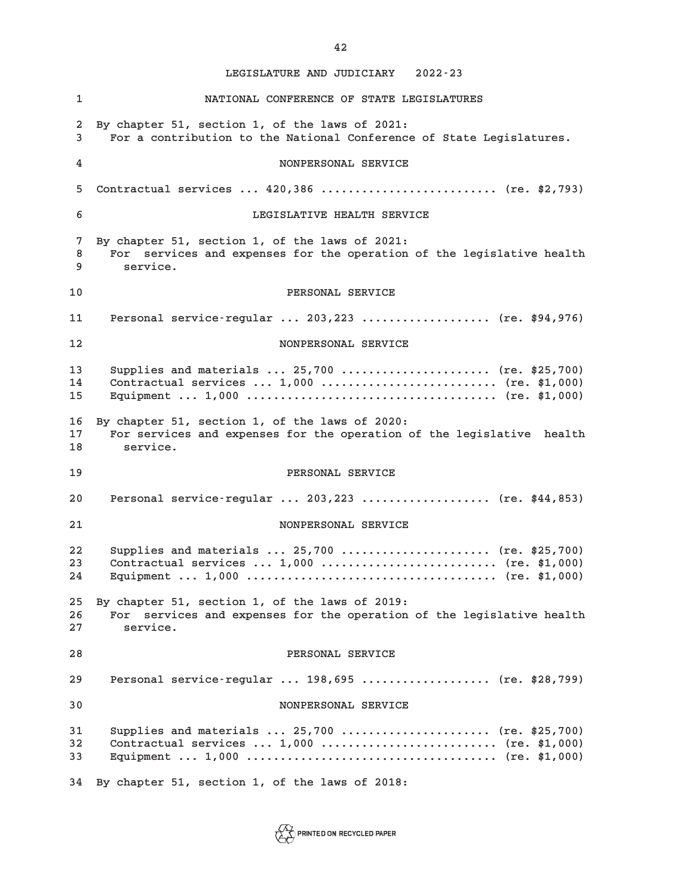**1 NATIONAL CONFERENCE OF STATE LEGISLATURES 2 By chapter 51, section 1, of the laws of 2021: 3 For a contribution to the National Conference of State Legislatures. 4 NONPERSONAL SERVICE 5 Contractual services ... 420,386 .......................... (re. \$2,793) 6 LEGISLATIVE HEALTH SERVICE 7 By chapter 51, section 1, of the laws of 2021: 8 For services and expenses for the operation of the legislative health 9 service. 10 PERSONAL SERVICE 11 Personal service-regular ... 203,223 ................... (re. \$94,976) 12 NONPERSONAL SERVICE 13 Supplies and materials ... 25,700 ...................... (re. \$25,700) 14 Contractual services ... 1,000 .......................... (re. \$1,000) 15 Equipment ... 1,000 ..................................... (re. \$1,000) 16 By chapter 51, section 1, of the laws of 2020: 17 For services and expenses for the operation of the legislative health 18 service. 19 PERSONAL SERVICE 20 Personal service-regular ... 203,223 ................... (re. \$44,853) 21 NONPERSONAL SERVICE 22 Supplies and materials ... 25,700 ...................... (re. \$25,700) 23 Contractual services ... 1,000 .......................... (re. \$1,000) 24 Equipment ... 1,000 ..................................... (re. \$1,000) 25 By chapter 51, section 1, of the laws of 2019: 26 For services and expenses for the operation of the legislative health 27 service. 28 PERSONAL SERVICE 29 Personal service-regular ... 198,695 ................... (re. \$28,799) 30 NONPERSONAL SERVICE 31 Supplies and materials ... 25,700 ...................... (re. \$25,700) 32 Contractual services ... 1,000 .......................... (re. \$1,000) 33 Equipment ... 1,000 ..................................... (re. \$1,000) 34 By chapter 51, section 1, of the laws of 2018:**

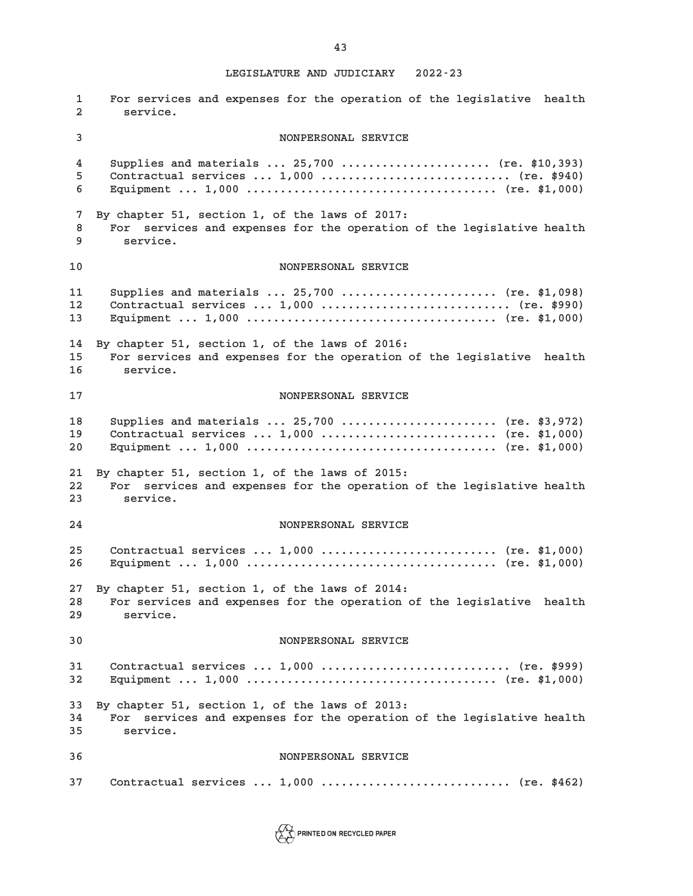**1 For services and expenses for the operation of the legislative health 2 service. 3 NONPERSONAL SERVICE 4 Supplies and materials ... 25,700 ...................... (re. \$10,393) 5 Contractual services ... 1,000 ............................ (re. \$940) 6 Equipment ... 1,000 ..................................... (re. \$1,000) 7 By chapter 51, section 1, of the laws of 2017: 8 For services and expenses for the operation of the legislative health 9 service. 10 NONPERSONAL SERVICE 11 Supplies and materials ... 25,700 ....................... (re. \$1,098) 12 Contractual services ... 1,000 ............................ (re. \$990) 13 Equipment ... 1,000 ..................................... (re. \$1,000) 14 By chapter 51, section 1, of the laws of 2016: 15 For services and expenses for the operation of the legislative health 16 service. 17 NONPERSONAL SERVICE 18 Supplies and materials ... 25,700 ....................... (re. \$3,972) 19 Contractual services ... 1,000 .......................... (re. \$1,000) 20 Equipment ... 1,000 ..................................... (re. \$1,000) 21 By chapter 51, section 1, of the laws of 2015: 22 For services and expenses for the operation of the legislative health 23 service. 24 NONPERSONAL SERVICE 25 Contractual services ... 1,000 .......................... (re. \$1,000) 26 Equipment ... 1,000 ..................................... (re. \$1,000) 27 By chapter 51, section 1, of the laws of 2014: 28 For services and expenses for the operation of the legislative health 29 service. 30 NONPERSONAL SERVICE 31 Contractual services ... 1,000 ............................ (re. \$999) 32 Equipment ... 1,000 ..................................... (re. \$1,000) 33 By chapter 51, section 1, of the laws of 2013: 34 For services and expenses for the operation of the legislative health 35 service. 36 NONPERSONAL SERVICE 37 Contractual services ... 1,000 ............................ (re. \$462)**

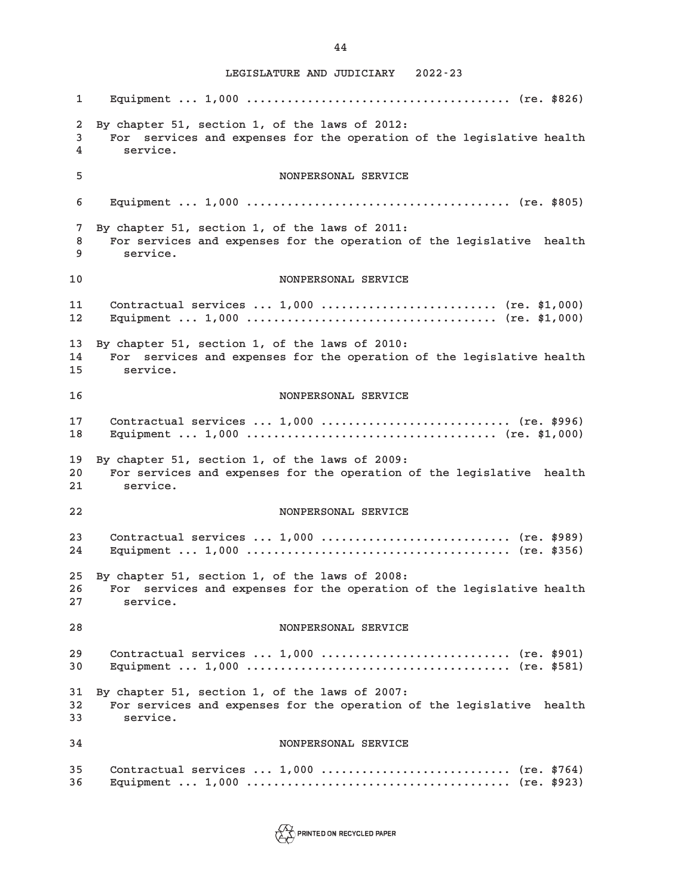**1 Equipment ... 1,000 ....................................... (re. \$826) 2 By chapter 51, section 1, of the laws of 2012: 3 For services and expenses for the operation of the legislative health 4 service. 5 NONPERSONAL SERVICE 6 Equipment ... 1,000 ....................................... (re. \$805) 7 By chapter 51, section 1, of the laws of 2011: 8 For services and expenses for the operation of the legislative health 9 service. 10 NONPERSONAL SERVICE 11 Contractual services ... 1,000 .......................... (re. \$1,000) 12 Equipment ... 1,000 ..................................... (re. \$1,000) 13 By chapter 51, section 1, of the laws of 2010: 14 For services and expenses for the operation of the legislative health 15 service. 16 NONPERSONAL SERVICE 17 Contractual services ... 1,000 ............................ (re. \$996) 18 Equipment ... 1,000 ..................................... (re. \$1,000) 19 By chapter 51, section 1, of the laws of 2009: 20 For services and expenses for the operation of the legislative health 21 service. 22 NONPERSONAL SERVICE 23 Contractual services ... 1,000 ............................ (re. \$989) 24 Equipment ... 1,000 ....................................... (re. \$356) 25 By chapter 51, section 1, of the laws of 2008: 26 For services and expenses for the operation of the legislative health 27 service. 28 NONPERSONAL SERVICE 29 Contractual services ... 1,000 ............................ (re. \$901) 30 Equipment ... 1,000 ....................................... (re. \$581) 31 By chapter 51, section 1, of the laws of 2007: 32 For services and expenses for the operation of the legislative health 33 service. 34 NONPERSONAL SERVICE 35 Contractual services ... 1,000 ............................ (re. \$764) 36 Equipment ... 1,000 ....................................... (re. \$923)**



**44**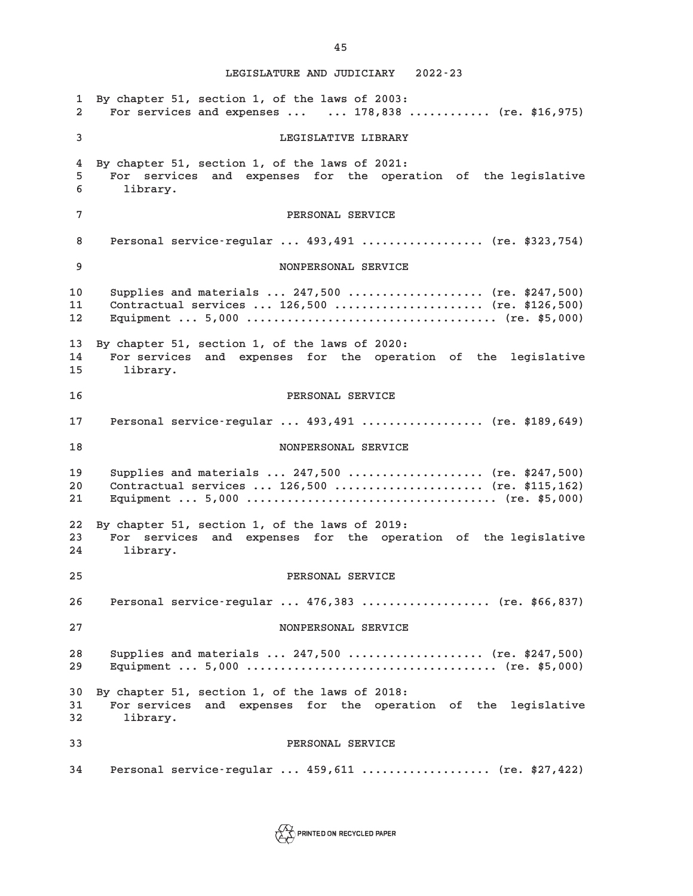**1 By chapter 51, section 1, of the laws of 2003: 2 For services and expenses ... ... 178,838 ............ (re. \$16,975) 3 LEGISLATIVE LIBRARY 4 By chapter 51, section 1, of the laws of 2021: 5 For services and expenses for the operation of the legislative 6 library. 7 PERSONAL SERVICE 8 Personal service-regular ... 493,491 .................. (re. \$323,754) 9 NONPERSONAL SERVICE 10 Supplies and materials ... 247,500 .................... (re. \$247,500) 11 Contractual services ... 126,500 ...................... (re. \$126,500) 12 Equipment ... 5,000 ..................................... (re. \$5,000) 13 By chapter 51, section 1, of the laws of 2020: 14 For services and expenses for the operation of the legislative 15 library. 16 PERSONAL SERVICE 17 Personal service-regular ... 493,491 .................. (re. \$189,649) 18 NONPERSONAL SERVICE 19 Supplies and materials ... 247,500 .................... (re. \$247,500) 20 Contractual services ... 126,500 ...................... (re. \$115,162) 21 Equipment ... 5,000 ..................................... (re. \$5,000) 22 By chapter 51, section 1, of the laws of 2019: 23 For services and expenses for the operation of the legislative 24 library. 25 PERSONAL SERVICE 26 Personal service-regular ... 476,383 ................... (re. \$66,837) 27 NONPERSONAL SERVICE 28 Supplies and materials ... 247,500 .................... (re. \$247,500) 29 Equipment ... 5,000 ..................................... (re. \$5,000) 30 By chapter 51, section 1, of the laws of 2018: 31 For services and expenses for the operation of the legislative 32 library. 33 PERSONAL SERVICE 34 Personal service-regular ... 459,611 ................... (re. \$27,422)**



**45**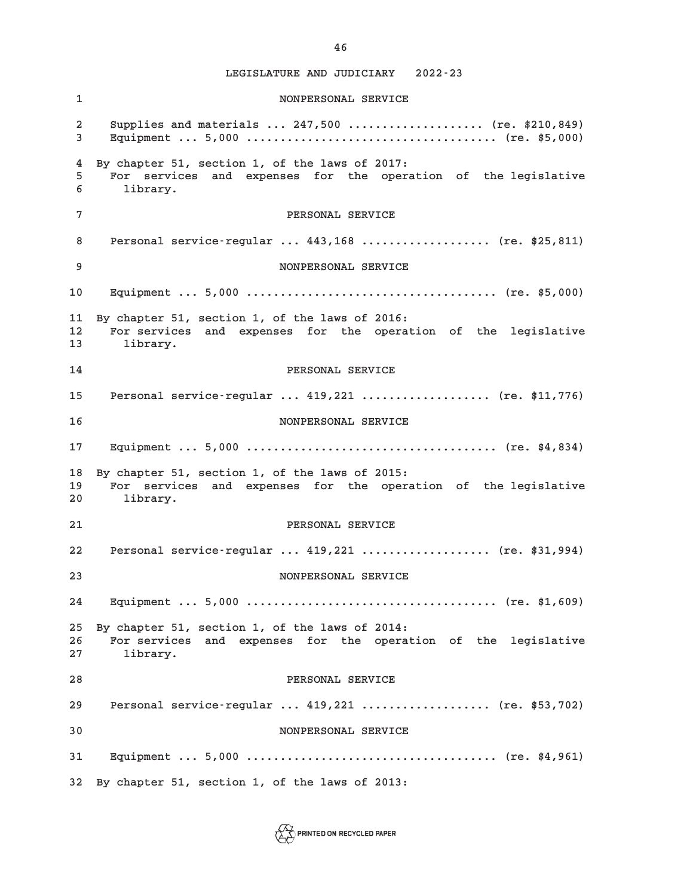**1 NONPERSONAL SERVICE 2 Supplies and materials ... 247,500 .................... (re. \$210,849) 3 Equipment ... 5,000 ..................................... (re. \$5,000) 4 By chapter 51, section 1, of the laws of 2017: 5 For services and expenses for the operation of the legislative 6 library. 7 PERSONAL SERVICE 8 Personal service-regular ... 443,168 ................... (re. \$25,811) 9 NONPERSONAL SERVICE 10 Equipment ... 5,000 ..................................... (re. \$5,000) 11 By chapter 51, section 1, of the laws of 2016: 12 For services and expenses for the operation of the legislative 13 library. 14 PERSONAL SERVICE 15 Personal service-regular ... 419,221 ................... (re. \$11,776) 16 NONPERSONAL SERVICE 17 Equipment ... 5,000 ..................................... (re. \$4,834) 18 By chapter 51, section 1, of the laws of 2015: 19 For services and expenses for the operation of the legislative 20 library. 21 PERSONAL SERVICE 22 Personal service-regular ... 419,221 ................... (re. \$31,994) 23 NONPERSONAL SERVICE 24 Equipment ... 5,000 ..................................... (re. \$1,609) 25 By chapter 51, section 1, of the laws of 2014: 26 For services and expenses for the operation of the legislative 27 library. 28 PERSONAL SERVICE 29 Personal service-regular ... 419,221 ................... (re. \$53,702) 30 NONPERSONAL SERVICE 31 Equipment ... 5,000 ..................................... (re. \$4,961) 32 By chapter 51, section 1, of the laws of 2013:**

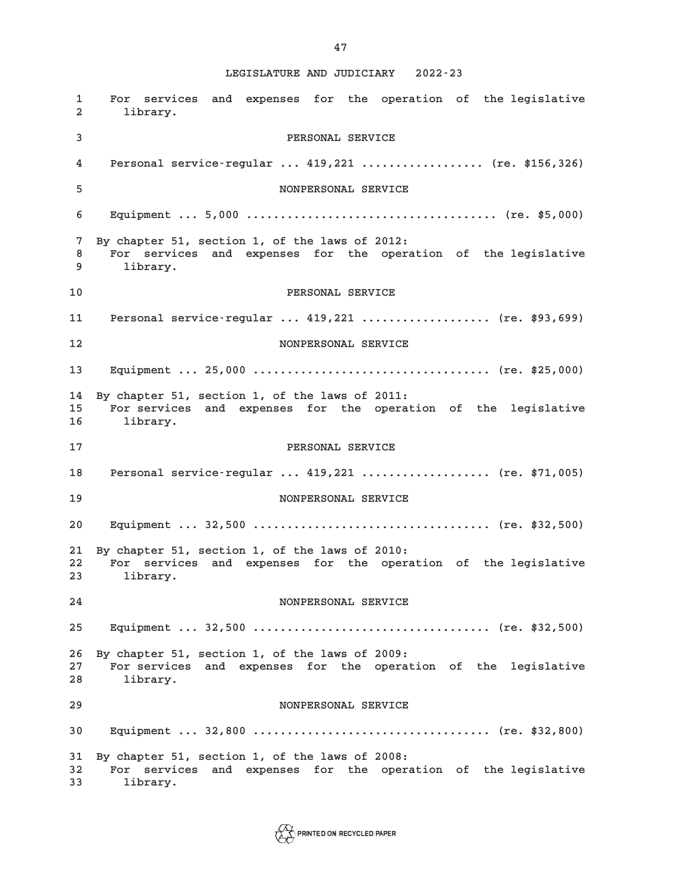**1 For services and expenses for the operation of the legislative 2 library. 3 PERSONAL SERVICE 4 Personal service-regular ... 419,221 .................. (re. \$156,326) 5 NONPERSONAL SERVICE 6 Equipment ... 5,000 ..................................... (re. \$5,000) 7 By chapter 51, section 1, of the laws of 2012: 8 For services and expenses for the operation of the legislative 9 library. 10 PERSONAL SERVICE 11 Personal service-regular ... 419,221 ................... (re. \$93,699) 12 NONPERSONAL SERVICE 13 Equipment ... 25,000 ................................... (re. \$25,000) 14 By chapter 51, section 1, of the laws of 2011: 15 For services and expenses for the operation of the legislative 16 library. 17 PERSONAL SERVICE 18 Personal service-regular ... 419,221 ................... (re. \$71,005) 19 NONPERSONAL SERVICE 20 Equipment ... 32,500 ................................... (re. \$32,500) 21 By chapter 51, section 1, of the laws of 2010: 22 For services and expenses for the operation of the legislative 23 library. 24 NONPERSONAL SERVICE 25 Equipment ... 32,500 ................................... (re. \$32,500) 26 By chapter 51, section 1, of the laws of 2009: 27 For services and expenses for the operation of the legislative 28 library. 29 NONPERSONAL SERVICE 30 Equipment ... 32,800 ................................... (re. \$32,800) 31 By chapter 51, section 1, of the laws of 2008: 32 For services and expenses for the operation of the legislative 33 library.**

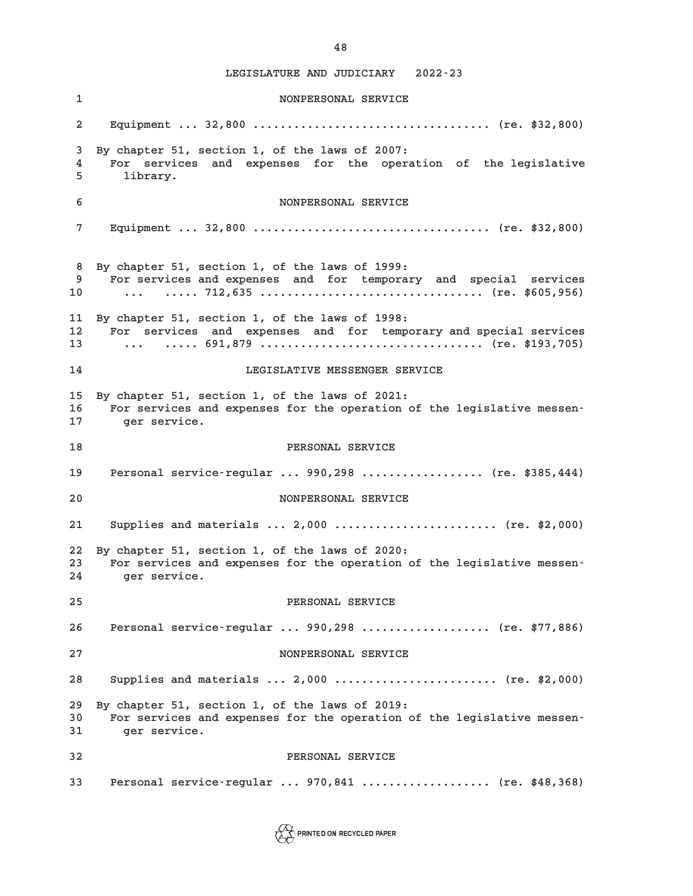**1 NONPERSONAL SERVICE 2 Equipment ... 32,800 ................................... (re. \$32,800) 3 By chapter 51, section 1, of the laws of 2007: 4 For services and expenses for the operation of the legislative 5 library. 6 NONPERSONAL SERVICE 7 Equipment ... 32,800 ................................... (re. \$32,800) 8 By chapter 51, section 1, of the laws of 1999: 9 For services and expenses and for temporary and special services 10 ... ..... 712,635 ................................. (re. \$605,956) 11 By chapter 51, section 1, of the laws of 1998: 12 For services and expenses and for temporary and special services 13 ... ..... 691,879 ................................. (re. \$193,705) 14 LEGISLATIVE MESSENGER SERVICE 15 By chapter 51, section 1, of the laws of 2021: 16 For services and expenses for the operation of the legislative messen-17 ger service. 18 PERSONAL SERVICE 19 Personal service-regular ... 990,298 .................. (re. \$385,444) 20 NONPERSONAL SERVICE 21 Supplies and materials ... 2,000 ........................ (re. \$2,000) 22 By chapter 51, section 1, of the laws of 2020: 23 For services and expenses for the operation of the legislative messen-24 ger service. 25 PERSONAL SERVICE 26 Personal service-regular ... 990,298 ................... (re. \$77,886) 27 NONPERSONAL SERVICE 28 Supplies and materials ... 2,000 ........................ (re. \$2,000) 29 By chapter 51, section 1, of the laws of 2019: 30 For services and expenses for the operation of the legislative messen-31 ger service. 32 PERSONAL SERVICE 33 Personal service-regular ... 970,841 ................... (re. \$48,368)**

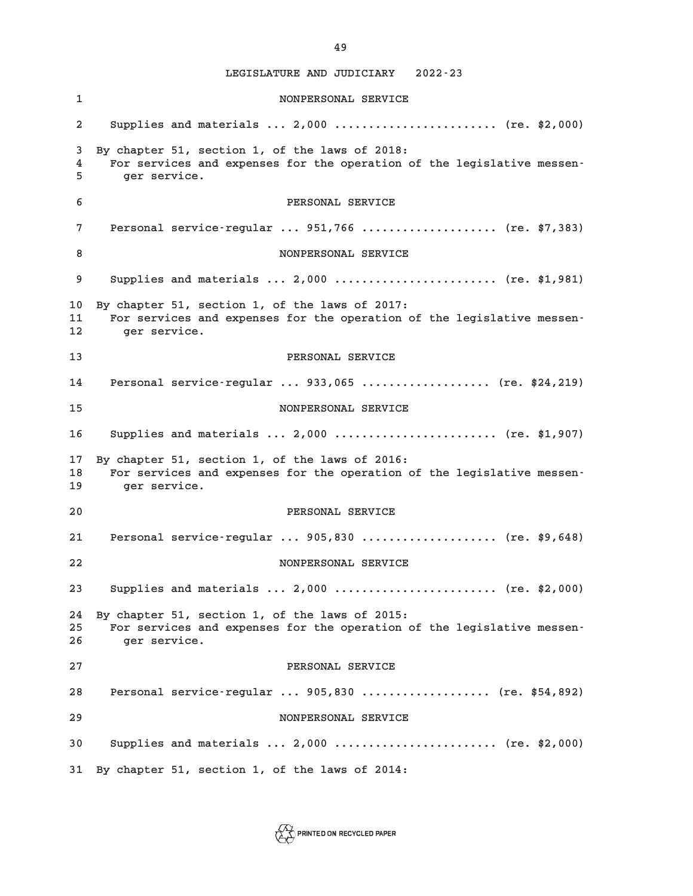**1 NONPERSONAL SERVICE 2 Supplies and materials ... 2,000 ........................ (re. \$2,000) 3 By chapter 51, section 1, of the laws of 2018: 4 For services and expenses for the operation of the legislative messen-5 ger service. 6 PERSONAL SERVICE 7 Personal service-regular ... 951,766 .................... (re. \$7,383) 8 NONPERSONAL SERVICE 9 Supplies and materials ... 2,000 ........................ (re. \$1,981) 10 By chapter 51, section 1, of the laws of 2017: 11 For services and expenses for the operation of the legislative messen-12 ger service. 13 PERSONAL SERVICE 14 Personal service-regular ... 933,065 ................... (re. \$24,219) 15 NONPERSONAL SERVICE 16 Supplies and materials ... 2,000 ........................ (re. \$1,907) 17 By chapter 51, section 1, of the laws of 2016: 18 For services and expenses for the operation of the legislative messen-19 ger service. 20 PERSONAL SERVICE 21 Personal service-regular ... 905,830 .................... (re. \$9,648) 22 NONPERSONAL SERVICE 23 Supplies and materials ... 2,000 ........................ (re. \$2,000) 24 By chapter 51, section 1, of the laws of 2015: 25 For services and expenses for the operation of the legislative messen-26 ger service. 27 PERSONAL SERVICE 28 Personal service-regular ... 905,830 ................... (re. \$54,892) 29 NONPERSONAL SERVICE 30 Supplies and materials ... 2,000 ........................ (re. \$2,000) 31 By chapter 51, section 1, of the laws of 2014:**



**49**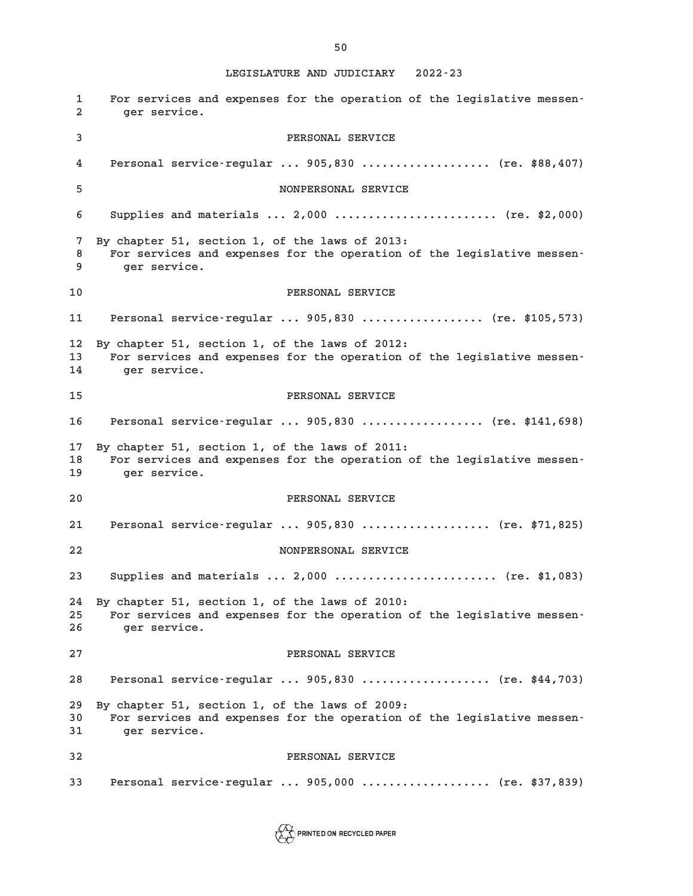**1 For services and expenses for the operation of the legislative messen-2 ger service. 3 PERSONAL SERVICE 4 Personal service-regular ... 905,830 ................... (re. \$88,407) 5 NONPERSONAL SERVICE 6 Supplies and materials ... 2,000 ........................ (re. \$2,000) 7 By chapter 51, section 1, of the laws of 2013: 8 For services and expenses for the operation of the legislative messen-9 ger service. 10 PERSONAL SERVICE 11 Personal service-regular ... 905,830 .................. (re. \$105,573) 12 By chapter 51, section 1, of the laws of 2012: 13 For services and expenses for the operation of the legislative messen-14 ger service. 15 PERSONAL SERVICE 16 Personal service-regular ... 905,830 .................. (re. \$141,698) 17 By chapter 51, section 1, of the laws of 2011: 18 For services and expenses for the operation of the legislative messen-19 ger service. 20 PERSONAL SERVICE 21 Personal service-regular ... 905,830 ................... (re. \$71,825) 22 NONPERSONAL SERVICE 23 Supplies and materials ... 2,000 ........................ (re. \$1,083) 24 By chapter 51, section 1, of the laws of 2010: 25 For services and expenses for the operation of the legislative messen-26 ger service. 27 PERSONAL SERVICE 28 Personal service-regular ... 905,830 ................... (re. \$44,703) 29 By chapter 51, section 1, of the laws of 2009: 30 For services and expenses for the operation of the legislative messen-31 ger service. 32 PERSONAL SERVICE 33 Personal service-regular ... 905,000 ................... (re. \$37,839)**

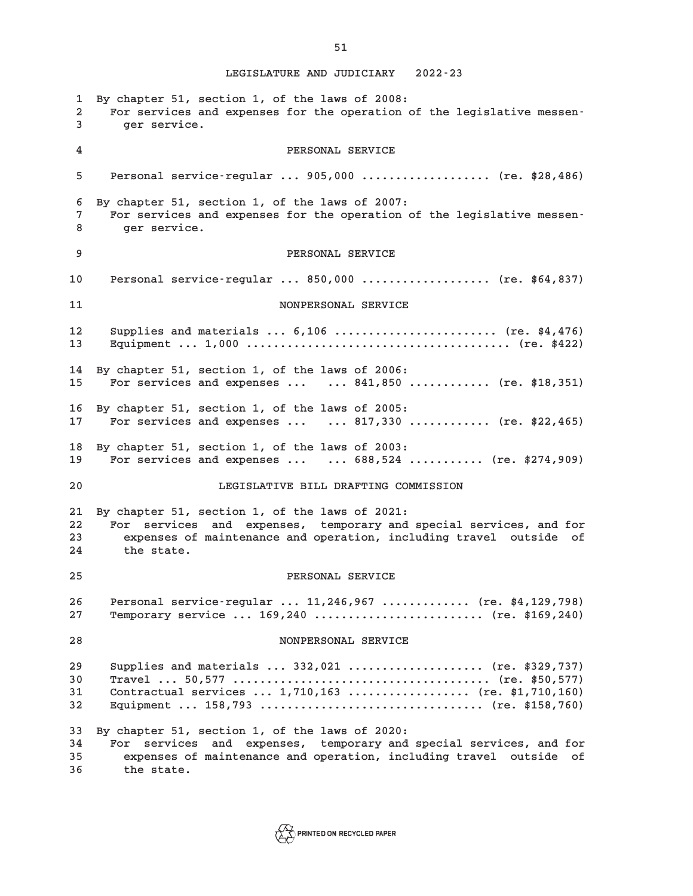**1 By chapter 51, section 1, of the laws of 2008: 2 For services and expenses for the operation of the legislative messen-3 ger service. 4 PERSONAL SERVICE 5 Personal service-regular ... 905,000 ................... (re. \$28,486) 6 By chapter 51, section 1, of the laws of 2007: 7 For services and expenses for the operation of the legislative messen-8 ger service. 9 PERSONAL SERVICE 10 Personal service-regular ... 850,000 ................... (re. \$64,837) 11 NONPERSONAL SERVICE 12 Supplies and materials ... 6,106 ........................ (re. \$4,476) 13 Equipment ... 1,000 ....................................... (re. \$422) 14 By chapter 51, section 1, of the laws of 2006: 15 For services and expenses ... ... 841,850 ............ (re. \$18,351) 16 By chapter 51, section 1, of the laws of 2005: 17 For services and expenses ... ... 817,330 ............ (re. \$22,465) 18 By chapter 51, section 1, of the laws of 2003: 19 For services and expenses ... ... 688,524 ........... (re. \$274,909) 20 LEGISLATIVE BILL DRAFTING COMMISSION 21 By chapter 51, section 1, of the laws of 2021: 22 For services and expenses, temporary and special services, and for 23 expenses of maintenance and operation, including travel outside of 24 the state. 25 PERSONAL SERVICE 26 Personal service-regular ... 11,246,967 ............. (re. \$4,129,798) 27 Temporary service ... 169,240 ......................... (re. \$169,240) 28 NONPERSONAL SERVICE 29 Supplies and materials ... 332,021 .................... (re. \$329,737) 30 Travel ... 50,577 ...................................... (re. \$50,577) 31 Contractual services ... 1,710,163 .................. (re. \$1,710,160) 32 Equipment ... 158,793 ................................. (re. \$158,760) 33 By chapter 51, section 1, of the laws of 2020: 34 For services and expenses, temporary and special services, and for 35 expenses of maintenance and operation, including travel outside of 36 the state.**



**51**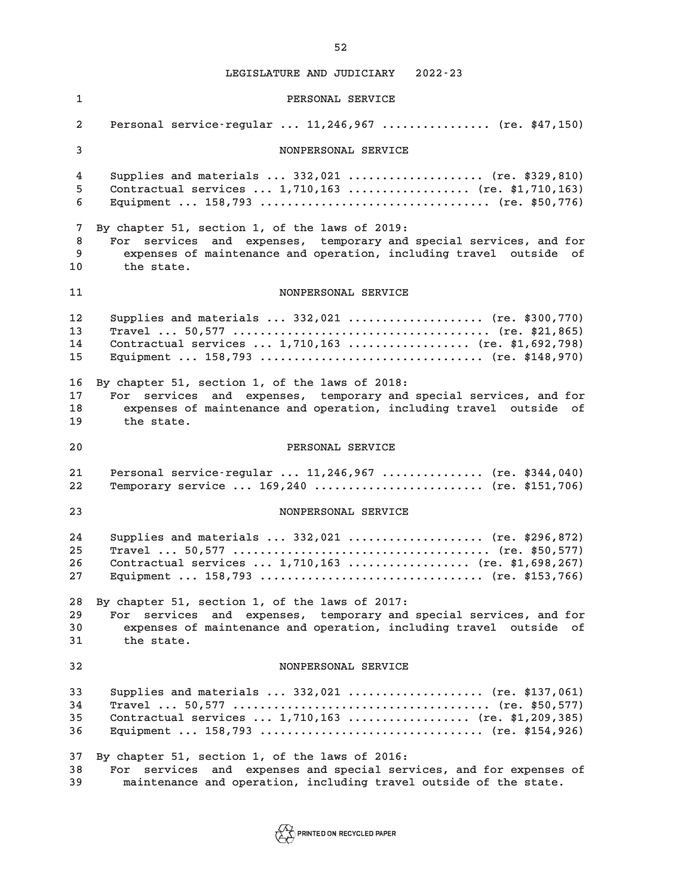**1 PERSONAL SERVICE 2 Personal service-regular ... 11,246,967 ................ (re. \$47,150) 3 NONPERSONAL SERVICE 4 Supplies and materials ... 332,021 .................... (re. \$329,810) 5 Contractual services ... 1,710,163 .................. (re. \$1,710,163) 6 Equipment ... 158,793 .................................. (re. \$50,776) 7 By chapter 51, section 1, of the laws of 2019: 8 For services and expenses, temporary and special services, and for 9 expenses of maintenance and operation, including travel outside of 10 the state. 11 NONPERSONAL SERVICE 12 Supplies and materials ... 332,021 .................... (re. \$300,770) 13 Travel ... 50,577 ...................................... (re. \$21,865) 14 Contractual services ... 1,710,163 .................. (re. \$1,692,798) 15 Equipment ... 158,793 ................................. (re. \$148,970) 16 By chapter 51, section 1, of the laws of 2018: 17 For services and expenses, temporary and special services, and for 18 expenses of maintenance and operation, including travel outside of 19 the state. 20 PERSONAL SERVICE 21 Personal service-regular ... 11,246,967 ............... (re. \$344,040) 22 Temporary service ... 169,240 ......................... (re. \$151,706) 23 NONPERSONAL SERVICE 24 Supplies and materials ... 332,021 .................... (re. \$296,872) 25 Travel ... 50,577 ...................................... (re. \$50,577) 26 Contractual services ... 1,710,163 .................. (re. \$1,698,267) 27 Equipment ... 158,793 ................................. (re. \$153,766) 28 By chapter 51, section 1, of the laws of 2017: 29 For services and expenses, temporary and special services, and for 30 expenses of maintenance and operation, including travel outside of 31 the state. 32 NONPERSONAL SERVICE 33 Supplies and materials ... 332,021 .................... (re. \$137,061) 34 Travel ... 50,577 ...................................... (re. \$50,577) 35 Contractual services ... 1,710,163 .................. (re. \$1,209,385) 36 Equipment ... 158,793 ................................. (re. \$154,926) 37 By chapter 51, section 1, of the laws of 2016: 38 For services and expenses and special services, and for expenses of 39 maintenance and operation, including travel outside of the state.**

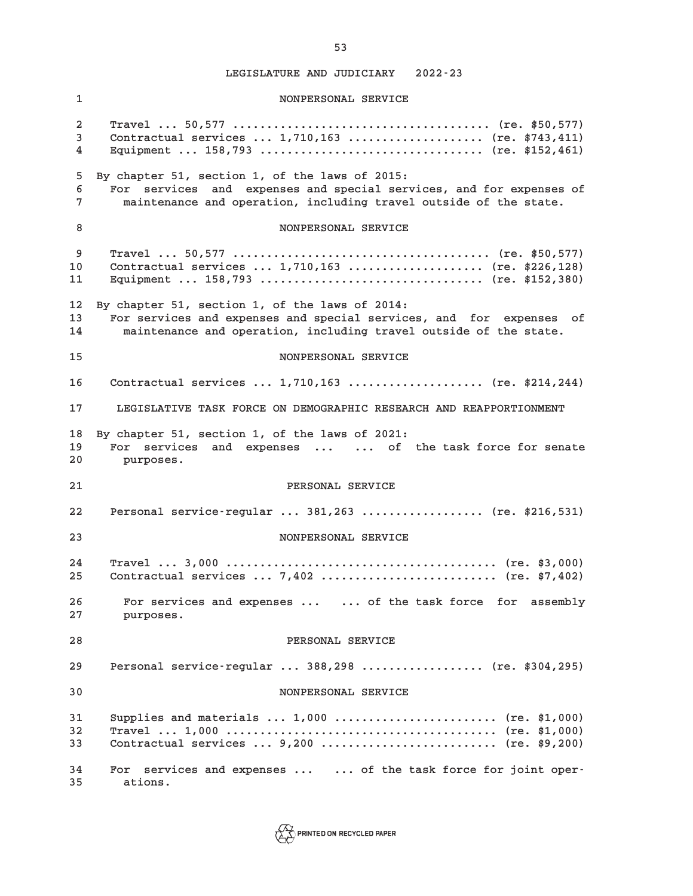**1 NONPERSONAL SERVICE 2 Travel ... 50,577 ...................................... (re. \$50,577) 3 Contractual services ... 1,710,163 .................... (re. \$743,411) 4 Equipment ... 158,793 ................................. (re. \$152,461) 5 By chapter 51, section 1, of the laws of 2015: 6 For services and expenses and special services, and for expenses of 7 maintenance and operation, including travel outside of the state. 8** NONPERSONAL SERVICE **9 Travel ... 50,577 ...................................... (re. \$50,577) 10 Contractual services ... 1,710,163 .................... (re. \$226,128) 11 Equipment ... 158,793 ................................. (re. \$152,380) 12 By chapter 51, section 1, of the laws of 2014: 13 For services and expenses and special services, and for expenses of 14 maintenance and operation, including travel outside of the state. 15 NONPERSONAL SERVICE 16 Contractual services ... 1,710,163 .................... (re. \$214,244) 17 LEGISLATIVE TASK FORCE ON DEMOGRAPHIC RESEARCH AND REAPPORTIONMENT 18 By chapter 51, section 1, of the laws of 2021: 19 For services and expenses ... ... of the task force for senate 20 purposes. 21 PERSONAL SERVICE 22 Personal service-regular ... 381,263 .................. (re. \$216,531) 23 NONPERSONAL SERVICE 24 Travel ... 3,000 ........................................ (re. \$3,000) 25 Contractual services ... 7,402 .......................... (re. \$7,402) 26 For services and expenses ... ... of the task force for assembly 27 purposes. 28 PERSONAL SERVICE 29 Personal service-regular ... 388,298 .................. (re. \$304,295) 30 NONPERSONAL SERVICE 31 Supplies and materials ... 1,000 ........................ (re. \$1,000) 32 Travel ... 1,000 ........................................ (re. \$1,000) 33 Contractual services ... 9,200 .......................... (re. \$9,200) 34 For services and expenses ... ... of the task force for joint oper-35 ations.**

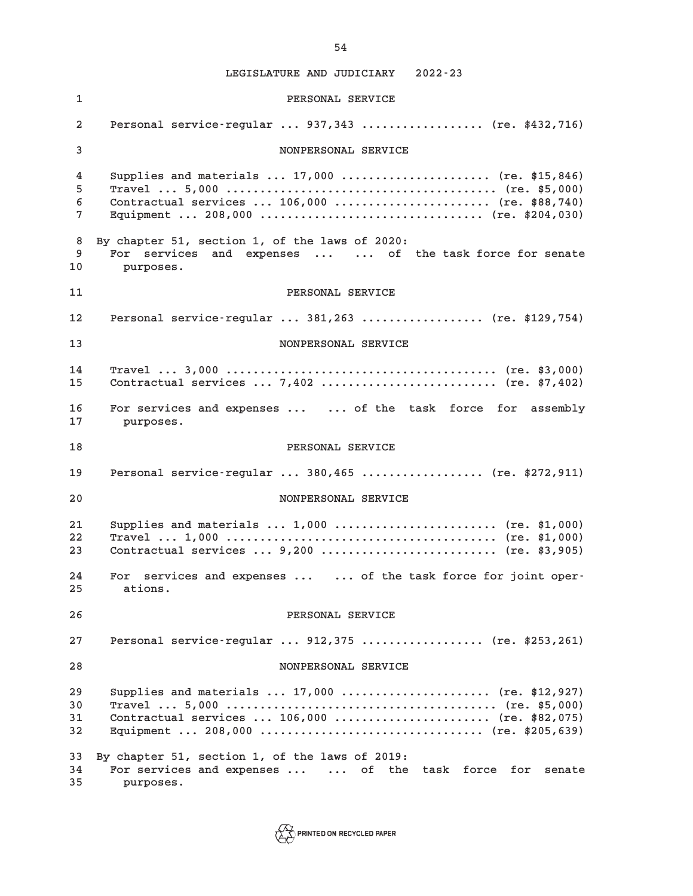**1 PERSONAL SERVICE 2 Personal service-regular ... 937,343 .................. (re. \$432,716) 3 NONPERSONAL SERVICE 4 Supplies and materials ... 17,000 ...................... (re. \$15,846) 5 Travel ... 5,000 ........................................ (re. \$5,000) 6 Contractual services ... 106,000 ....................... (re. \$88,740) 7 Equipment ... 208,000 ................................. (re. \$204,030) 8 By chapter 51, section 1, of the laws of 2020: 9 For services and expenses ... ... of the task force for senate 10 purposes. 11 PERSONAL SERVICE 12 Personal service-regular ... 381,263 .................. (re. \$129,754) 13 NONPERSONAL SERVICE 14 Travel ... 3,000 ........................................ (re. \$3,000) 15 Contractual services ... 7,402 .......................... (re. \$7,402) 16 For services and expenses ... ... of the task force for assembly 17 purposes. 18 PERSONAL SERVICE 19 Personal service-regular ... 380,465 .................. (re. \$272,911) 20 NONPERSONAL SERVICE 21 Supplies and materials ... 1,000 ........................ (re. \$1,000) 22 Travel ... 1,000 ........................................ (re. \$1,000) 23 Contractual services ... 9,200 .......................... (re. \$3,905) 24 For services and expenses ... ... of the task force for joint oper-25 ations. 26 PERSONAL SERVICE 27 Personal service-regular ... 912,375 .................. (re. \$253,261) 28 NONPERSONAL SERVICE 29 Supplies and materials ... 17,000 ...................... (re. \$12,927) 30 Travel ... 5,000 ........................................ (re. \$5,000) 31 Contractual services ... 106,000 ....................... (re. \$82,075) 32 Equipment ... 208,000 ................................. (re. \$205,639) 33 By chapter 51, section 1, of the laws of 2019: 34 For services and expenses ... ... of the task force for senate 35 purposes.**

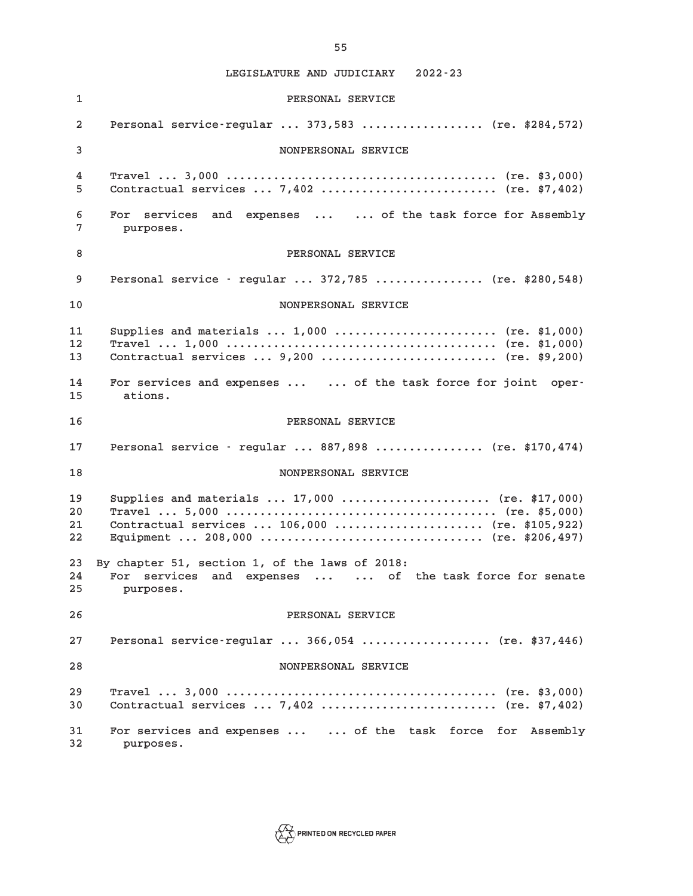**1 PERSONAL SERVICE 2 Personal service-regular ... 373,583 .................. (re. \$284,572) 3 NONPERSONAL SERVICE 4 Travel ... 3,000 ........................................ (re. \$3,000) 5 Contractual services ... 7,402 .......................... (re. \$7,402) 6 For services and expenses ... ... of the task force for Assembly 7 purposes. 8 PERSONAL SERVICE 9 Personal service - regular ... 372,785 ................ (re. \$280,548) 10 NONPERSONAL SERVICE 11 Supplies and materials ... 1,000 ........................ (re. \$1,000) 12 Travel ... 1,000 ........................................ (re. \$1,000) 13 Contractual services ... 9,200 .......................... (re. \$9,200) 14 For services and expenses ... ... of the task force for joint oper-15 ations. 16 PERSONAL SERVICE 17 Personal service - regular ... 887,898 ................ (re. \$170,474) 18 NONPERSONAL SERVICE 19 Supplies and materials ... 17,000 ...................... (re. \$17,000) 20 Travel ... 5,000 ........................................ (re. \$5,000) 21 Contractual services ... 106,000 ...................... (re. \$105,922) 22 Equipment ... 208,000 ................................. (re. \$206,497) 23 By chapter 51, section 1, of the laws of 2018: 24 For services and expenses ... ... of the task force for senate 25 purposes. 26 PERSONAL SERVICE 27 Personal service-regular ... 366,054 ................... (re. \$37,446) 28 NONPERSONAL SERVICE 29 Travel ... 3,000 ........................................ (re. \$3,000) 30 Contractual services ... 7,402 .......................... (re. \$7,402) 31 For services and expenses ... ... of the task force for Assembly 32 purposes.**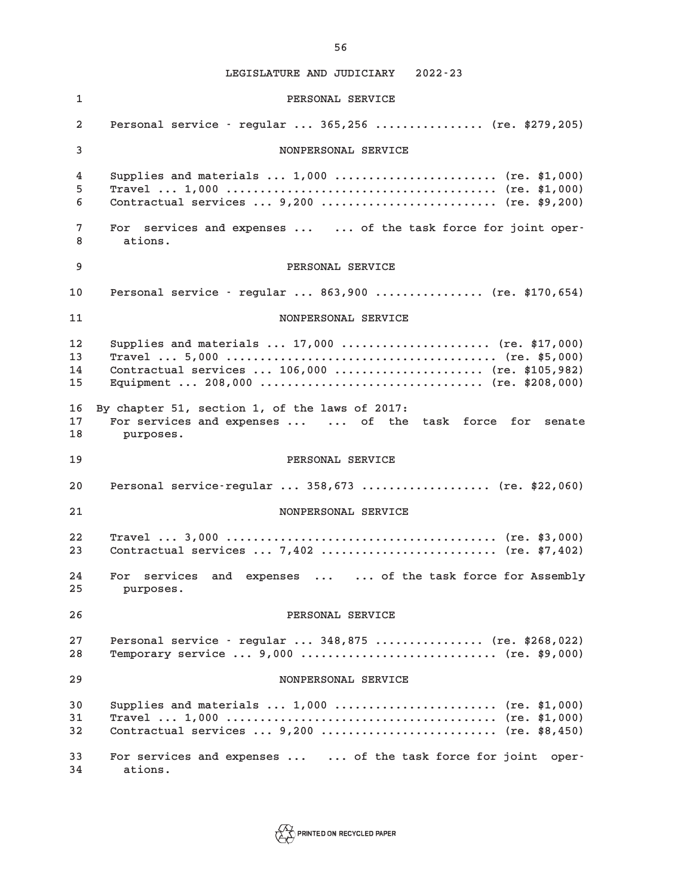**1 PERSONAL SERVICE 2 Personal service - regular ... 365,256 ................ (re. \$279,205) 3 NONPERSONAL SERVICE 4 Supplies and materials ... 1,000 ........................ (re. \$1,000) 5 Travel ... 1,000 ........................................ (re. \$1,000) 6 Contractual services ... 9,200 .......................... (re. \$9,200) 7 For services and expenses ... ... of the task force for joint oper-8 ations. 9 PERSONAL SERVICE 10 Personal service - regular ... 863,900 ................ (re. \$170,654) 11 NONPERSONAL SERVICE 12 Supplies and materials ... 17,000 ...................... (re. \$17,000) 13 Travel ... 5,000 ........................................ (re. \$5,000) 14 Contractual services ... 106,000 ...................... (re. \$105,982) 15 Equipment ... 208,000 ................................. (re. \$208,000) 16 By chapter 51, section 1, of the laws of 2017: 17 For services and expenses ... ... of the task force for senate 18 purposes. 19 PERSONAL SERVICE 20 Personal service-regular ... 358,673 ................... (re. \$22,060) 21 NONPERSONAL SERVICE 22 Travel ... 3,000 ........................................ (re. \$3,000) 23 Contractual services ... 7,402 .......................... (re. \$7,402) 24 For services and expenses ... ... of the task force for Assembly 25 purposes. 26 PERSONAL SERVICE 27 Personal service - regular ... 348,875 ................ (re. \$268,022) 28 Temporary service ... 9,000 ............................. (re. \$9,000) 29 NONPERSONAL SERVICE 30 Supplies and materials ... 1,000 ........................ (re. \$1,000) 31 Travel ... 1,000 ........................................ (re. \$1,000) 32 Contractual services ... 9,200 .......................... (re. \$8,450) 33 For services and expenses ... ... of the task force for joint oper-34 ations.**



**56**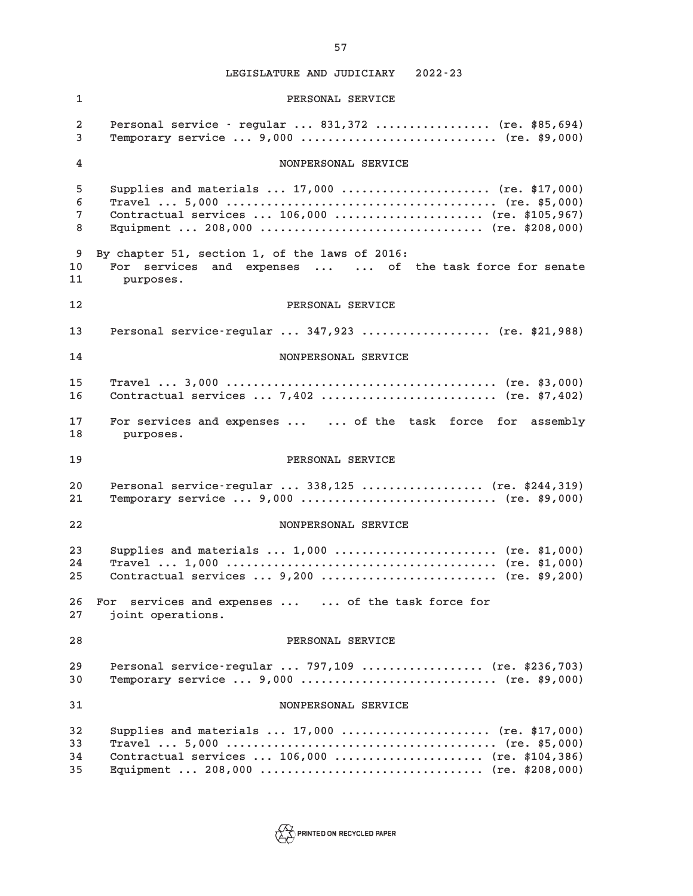**1 PERSONAL SERVICE 2 Personal service - regular ... 831,372 ................. (re. \$85,694) 3 Temporary service ... 9,000 ............................. (re. \$9,000) 4 NONPERSONAL SERVICE 5 Supplies and materials ... 17,000 ...................... (re. \$17,000) 6 Travel ... 5,000 ........................................ (re. \$5,000) 7 Contractual services ... 106,000 ...................... (re. \$105,967) 8 Equipment ... 208,000 ................................. (re. \$208,000) 9 By chapter 51, section 1, of the laws of 2016: 10 For services and expenses ... ... of the task force for senate 11 purposes. 12 PERSONAL SERVICE 13 Personal service-regular ... 347,923 ................... (re. \$21,988) 14 NONPERSONAL SERVICE 15 Travel ... 3,000 ........................................ (re. \$3,000) 16 Contractual services ... 7,402 .......................... (re. \$7,402) 17 For services and expenses ... ... of the task force for assembly 18 purposes. 19 PERSONAL SERVICE 20 Personal service-regular ... 338,125 .................. (re. \$244,319) 21 Temporary service ... 9,000 ............................. (re. \$9,000) 22 NONPERSONAL SERVICE 23 Supplies and materials ... 1,000 ........................ (re. \$1,000) 24 Travel ... 1,000 ........................................ (re. \$1,000) 25 Contractual services ... 9,200 .......................... (re. \$9,200) 26 For services and expenses ... ... of the task force for 27 joint operations. 28 PERSONAL SERVICE 29 Personal service-regular ... 797,109 .................. (re. \$236,703) 30 Temporary service ... 9,000 ............................. (re. \$9,000) 31 NONPERSONAL SERVICE 32 Supplies and materials ... 17,000 ...................... (re. \$17,000) 33 Travel ... 5,000 ........................................ (re. \$5,000) 34 Contractual services ... 106,000 ...................... (re. \$104,386) 35 Equipment ... 208,000 ................................. (re. \$208,000)**

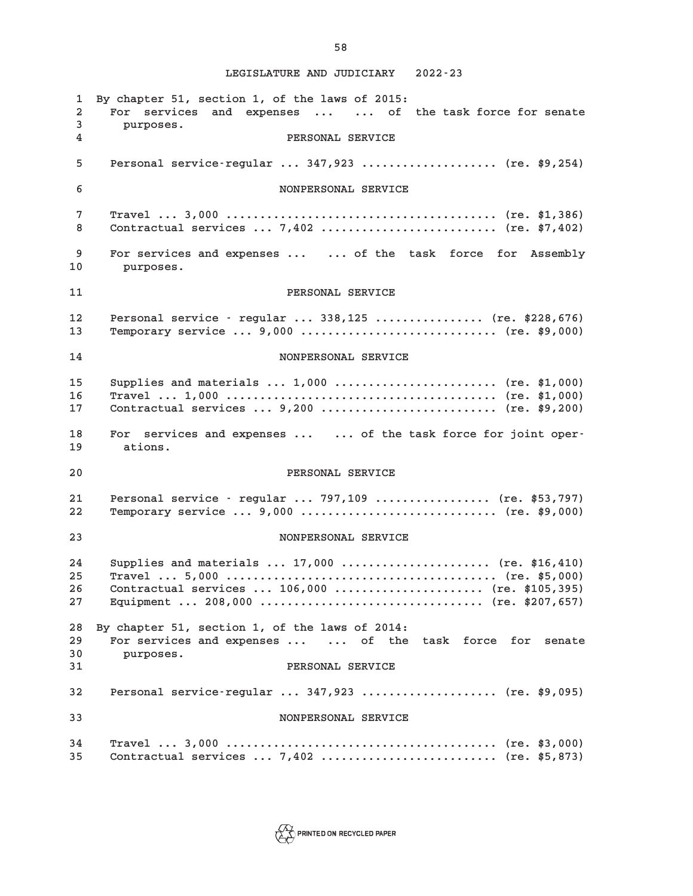**1 By chapter 51, section 1, of the laws of 2015: 2 For services and expenses ... ... of the task force for senate 3 purposes. 4 PERSONAL SERVICE 5 Personal service-regular ... 347,923 .................... (re. \$9,254) 6 NONPERSONAL SERVICE 7 Travel ... 3,000 ........................................ (re. \$1,386) 8 Contractual services ... 7,402 .......................... (re. \$7,402) 9 For services and expenses ... ... of the task force for Assembly 10 purposes. 11 PERSONAL SERVICE 12 Personal service - regular ... 338,125 ................ (re. \$228,676) 13 Temporary service ... 9,000 ............................. (re. \$9,000) 14 NONPERSONAL SERVICE 15 Supplies and materials ... 1,000 ........................ (re. \$1,000) 16 Travel ... 1,000 ........................................ (re. \$1,000) 17 Contractual services ... 9,200 .......................... (re. \$9,200) 18 For services and expenses ... ... of the task force for joint oper-19 ations. 20 PERSONAL SERVICE 21 Personal service - regular ... 797,109 ................. (re. \$53,797) 22 Temporary service ... 9,000 ............................. (re. \$9,000) 23 NONPERSONAL SERVICE 24 Supplies and materials ... 17,000 ...................... (re. \$16,410) 25 Travel ... 5,000 ........................................ (re. \$5,000) 26 Contractual services ... 106,000 ...................... (re. \$105,395) 27 Equipment ... 208,000 ................................. (re. \$207,657) 28 By chapter 51, section 1, of the laws of 2014: 29 For services and expenses ... ... of the task force for senate 30 purposes. 31 PERSONAL SERVICE 32 Personal service-regular ... 347,923 .................... (re. \$9,095) 33 NONPERSONAL SERVICE 34 Travel ... 3,000 ........................................ (re. \$3,000) 35 Contractual services ... 7,402 .......................... (re. \$5,873)**



**58**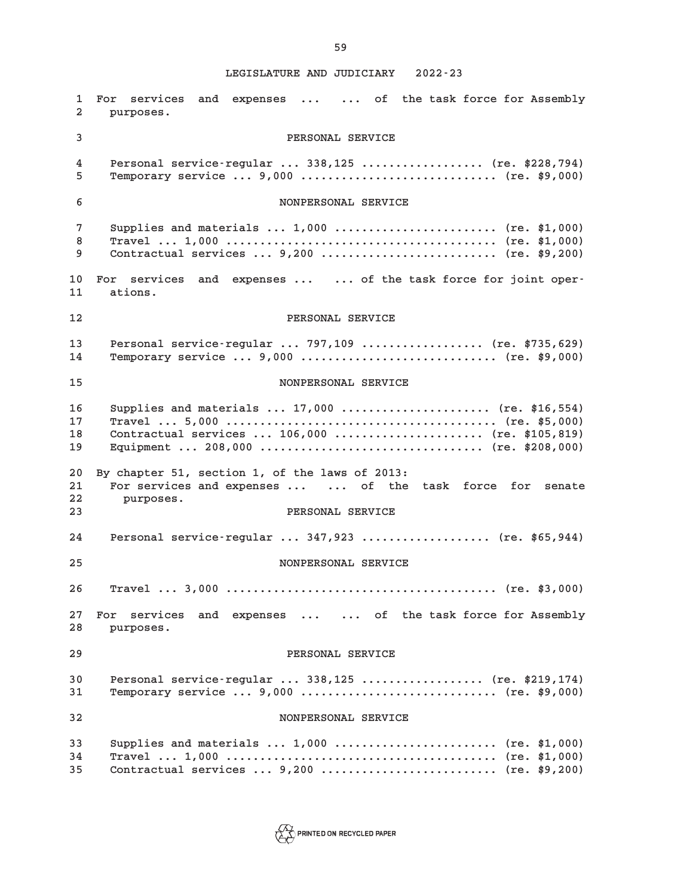**1 For services and expenses ... ... of the task force for Assembly 2 purposes. 3 PERSONAL SERVICE 4 Personal service-regular ... 338,125 .................. (re. \$228,794) 5 Temporary service ... 9,000 ............................. (re. \$9,000) 6 NONPERSONAL SERVICE 7 Supplies and materials ... 1,000 ........................ (re. \$1,000) 8 Travel ... 1,000 ........................................ (re. \$1,000) 9 Contractual services ... 9,200 .......................... (re. \$9,200) 10 For services and expenses ... ... of the task force for joint oper-11 ations. 12 PERSONAL SERVICE 13 Personal service-regular ... 797,109 .................. (re. \$735,629) 14 Temporary service ... 9,000 ............................. (re. \$9,000) 15 NONPERSONAL SERVICE 16 Supplies and materials ... 17,000 ...................... (re. \$16,554) 17 Travel ... 5,000 ........................................ (re. \$5,000) 18 Contractual services ... 106,000 ...................... (re. \$105,819) 19 Equipment ... 208,000 ................................. (re. \$208,000) 20 By chapter 51, section 1, of the laws of 2013: 21 For services and expenses ... ... of the task force for senate 22 purposes. 23 PERSONAL SERVICE 24 Personal service-regular ... 347,923 ................... (re. \$65,944) 25 NONPERSONAL SERVICE 26 Travel ... 3,000 ........................................ (re. \$3,000) 27 For services and expenses ... ... of the task force for Assembly 28 purposes. 29 PERSONAL SERVICE 30 Personal service-regular ... 338,125 .................. (re. \$219,174) 31 Temporary service ... 9,000 ............................. (re. \$9,000) 32 NONPERSONAL SERVICE 33 Supplies and materials ... 1,000 ........................ (re. \$1,000) 34 Travel ... 1,000 ........................................ (re. \$1,000) 35 Contractual services ... 9,200 .......................... (re. \$9,200)**

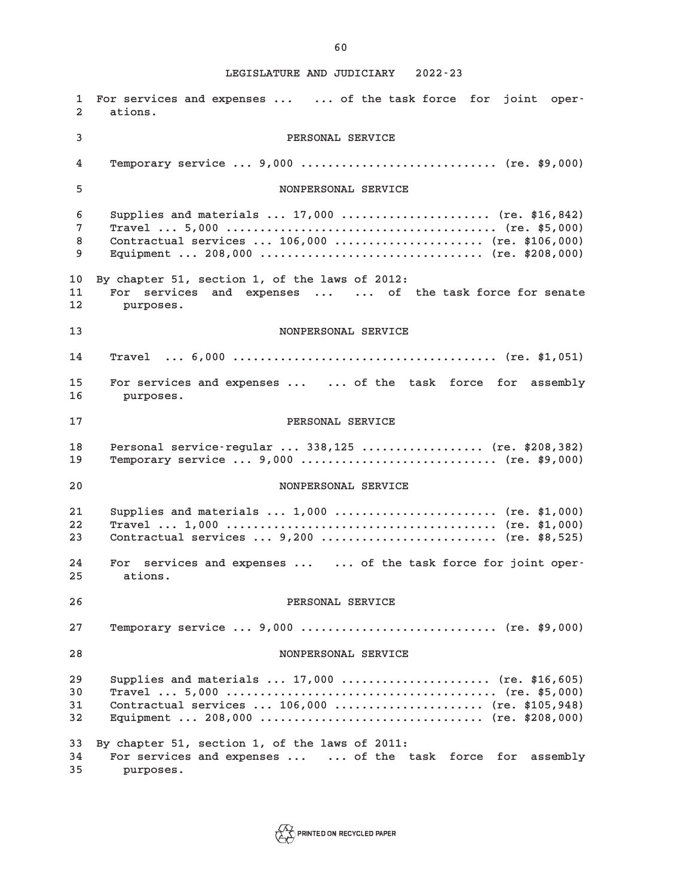**1 For services and expenses ... ... of the task force for joint oper-2 ations. 3 PERSONAL SERVICE 4 Temporary service ... 9,000 ............................. (re. \$9,000) 5 NONPERSONAL SERVICE 6 Supplies and materials ... 17,000 ...................... (re. \$16,842) 7 Travel ... 5,000 ........................................ (re. \$5,000) 8 Contractual services ... 106,000 ...................... (re. \$106,000) 9 Equipment ... 208,000 ................................. (re. \$208,000) 10 By chapter 51, section 1, of the laws of 2012: 11 For services and expenses ... ... of the task force for senate 12 purposes. 13 NONPERSONAL SERVICE 14 Travel ... 6,000 ....................................... (re. \$1,051) 15 For services and expenses ... ... of the task force for assembly 16 purposes. 17 PERSONAL SERVICE 18 Personal service-regular ... 338,125 .................. (re. \$208,382) 19 Temporary service ... 9,000 ............................. (re. \$9,000) 20 NONPERSONAL SERVICE 21 Supplies and materials ... 1,000 ........................ (re. \$1,000) 22 Travel ... 1,000 ........................................ (re. \$1,000) 23 Contractual services ... 9,200 .......................... (re. \$8,525) 24 For services and expenses ... ... of the task force for joint oper-25 ations. 26 PERSONAL SERVICE 27 Temporary service ... 9,000 ............................. (re. \$9,000) 28 NONPERSONAL SERVICE 29 Supplies and materials ... 17,000 ...................... (re. \$16,605) 30 Travel ... 5,000 ........................................ (re. \$5,000) 31 Contractual services ... 106,000 ...................... (re. \$105,948) 32 Equipment ... 208,000 ................................. (re. \$208,000) 33 By chapter 51, section 1, of the laws of 2011: 34 For services and expenses ... ... of the task force for assembly 35 purposes.**

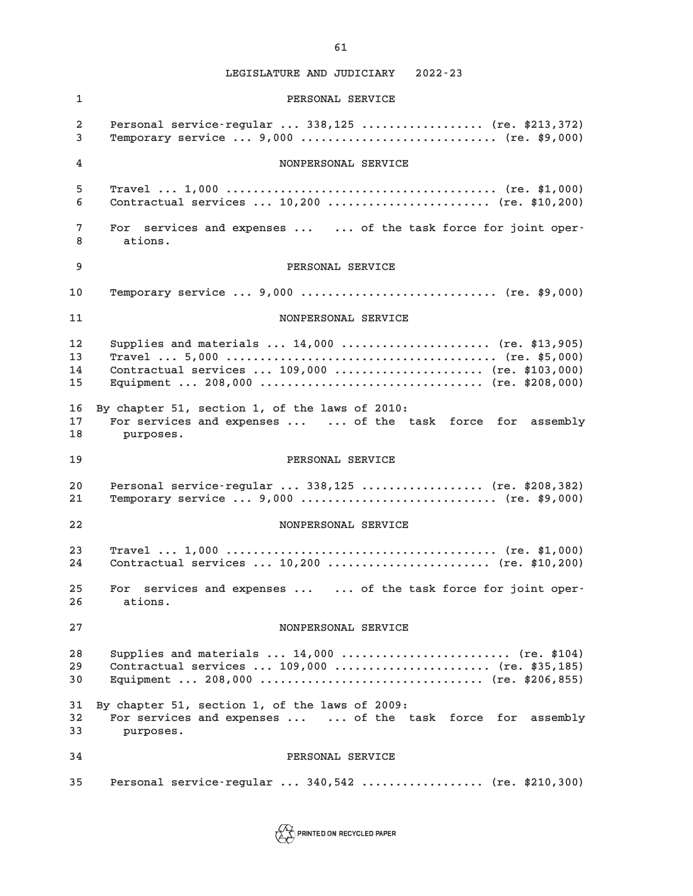**1 PERSONAL SERVICE 2 Personal service-regular ... 338,125 .................. (re. \$213,372) 3 Temporary service ... 9,000 ............................. (re. \$9,000) 4 NONPERSONAL SERVICE 5 Travel ... 1,000 ........................................ (re. \$1,000) 6 Contractual services ... 10,200 ........................ (re. \$10,200) 7 For services and expenses ... ... of the task force for joint oper-8 ations. 9 PERSONAL SERVICE 10 Temporary service ... 9,000 ............................. (re. \$9,000) 11 NONPERSONAL SERVICE 12 Supplies and materials ... 14,000 ...................... (re. \$13,905) 13 Travel ... 5,000 ........................................ (re. \$5,000) 14 Contractual services ... 109,000 ...................... (re. \$103,000) 15 Equipment ... 208,000 ................................. (re. \$208,000) 16 By chapter 51, section 1, of the laws of 2010: 17 For services and expenses ... ... of the task force for assembly 18 purposes. 19 PERSONAL SERVICE 20 Personal service-regular ... 338,125 .................. (re. \$208,382) 21 Temporary service ... 9,000 ............................. (re. \$9,000) 22 NONPERSONAL SERVICE 23 Travel ... 1,000 ........................................ (re. \$1,000) 24 Contractual services ... 10,200 ........................ (re. \$10,200) 25 For services and expenses ... ... of the task force for joint oper-26 ations. 27 NONPERSONAL SERVICE 28 Supplies and materials ... 14,000 ......................... (re. \$104) 29 Contractual services ... 109,000 ....................... (re. \$35,185) 30 Equipment ... 208,000 ................................. (re. \$206,855) 31 By chapter 51, section 1, of the laws of 2009: 32 For services and expenses ... ... of the task force for assembly 33 purposes. 34 PERSONAL SERVICE 35 Personal service-regular ... 340,542 .................. (re. \$210,300)**

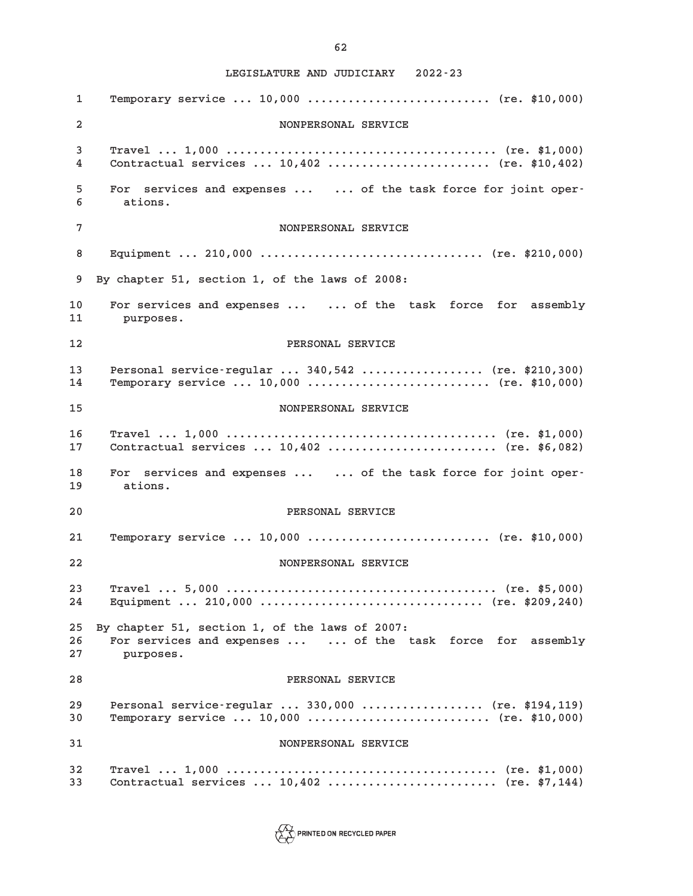**1 Temporary service ... 10,000 ........................... (re. \$10,000) 2 NONPERSONAL SERVICE 3 Travel ... 1,000 ........................................ (re. \$1,000) 4 Contractual services ... 10,402 ........................ (re. \$10,402) 5 For services and expenses ... ... of the task force for joint oper-6 ations. 7 NONPERSONAL SERVICE 8 Equipment ... 210,000 ................................. (re. \$210,000) 9 By chapter 51, section 1, of the laws of 2008: 10 For services and expenses ... ... of the task force for assembly 11 purposes. 12 PERSONAL SERVICE 13 Personal service-regular ... 340,542 .................. (re. \$210,300) 14 Temporary service ... 10,000 ........................... (re. \$10,000) 15 NONPERSONAL SERVICE 16 Travel ... 1,000 ........................................ (re. \$1,000) 17 Contractual services ... 10,402 ......................... (re. \$6,082) 18 For services and expenses ... ... of the task force for joint oper-19 ations. 20 PERSONAL SERVICE 21 Temporary service ... 10,000 ........................... (re. \$10,000) 22 NONPERSONAL SERVICE 23 Travel ... 5,000 ........................................ (re. \$5,000) 24 Equipment ... 210,000 ................................. (re. \$209,240) 25 By chapter 51, section 1, of the laws of 2007: 26 For services and expenses ... ... of the task force for assembly 27 purposes. 28 PERSONAL SERVICE 29 Personal service-regular ... 330,000 .................. (re. \$194,119) 30 Temporary service ... 10,000 ........................... (re. \$10,000) 31 NONPERSONAL SERVICE 32 Travel ... 1,000 ........................................ (re. \$1,000) 33 Contractual services ... 10,402 ......................... (re. \$7,144)**

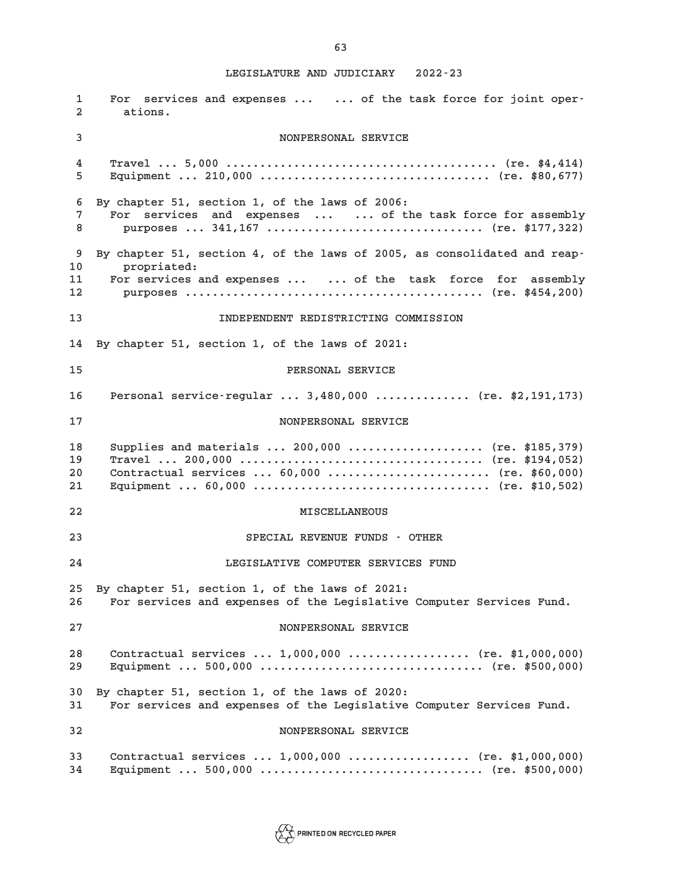**1 For services and expenses ... ... of the task force for joint oper-2 ations. 3 NONPERSONAL SERVICE 4 Travel ... 5,000 ........................................ (re. \$4,414) 5 Equipment ... 210,000 .................................. (re. \$80,677) 6 By chapter 51, section 1, of the laws of 2006: 7 For services and expenses ... ... of the task force for assembly 8 purposes ... 341,167 ................................ (re. \$177,322) 9 By chapter 51, section 4, of the laws of 2005, as consolidated and reap-10 propriated: 11 For services and expenses ... ... of the task force for assembly 12 purposes ............................................ (re. \$454,200) 13 INDEPENDENT REDISTRICTING COMMISSION 14 By chapter 51, section 1, of the laws of 2021: 15 PERSONAL SERVICE 16 Personal service-regular ... 3,480,000 .............. (re. \$2,191,173) 17 NONPERSONAL SERVICE 18 Supplies and materials ... 200,000 .................... (re. \$185,379) 19 Travel ... 200,000 .................................... (re. \$194,052) 20 Contractual services ... 60,000 ........................ (re. \$60,000) 21 Equipment ... 60,000 ................................... (re. \$10,502) 22 MISCELLANEOUS 23 SPECIAL REVENUE FUNDS - OTHER 24 LEGISLATIVE COMPUTER SERVICES FUND 25 By chapter 51, section 1, of the laws of 2021: 26 For services and expenses of the Legislative Computer Services Fund. 27 NONPERSONAL SERVICE 28 Contractual services ... 1,000,000 .................. (re. \$1,000,000) 29 Equipment ... 500,000 ................................. (re. \$500,000) 30 By chapter 51, section 1, of the laws of 2020: 31 For services and expenses of the Legislative Computer Services Fund. 32 NONPERSONAL SERVICE 33 Contractual services ... 1,000,000 .................. (re. \$1,000,000) 34 Equipment ... 500,000 ................................. (re. \$500,000)**

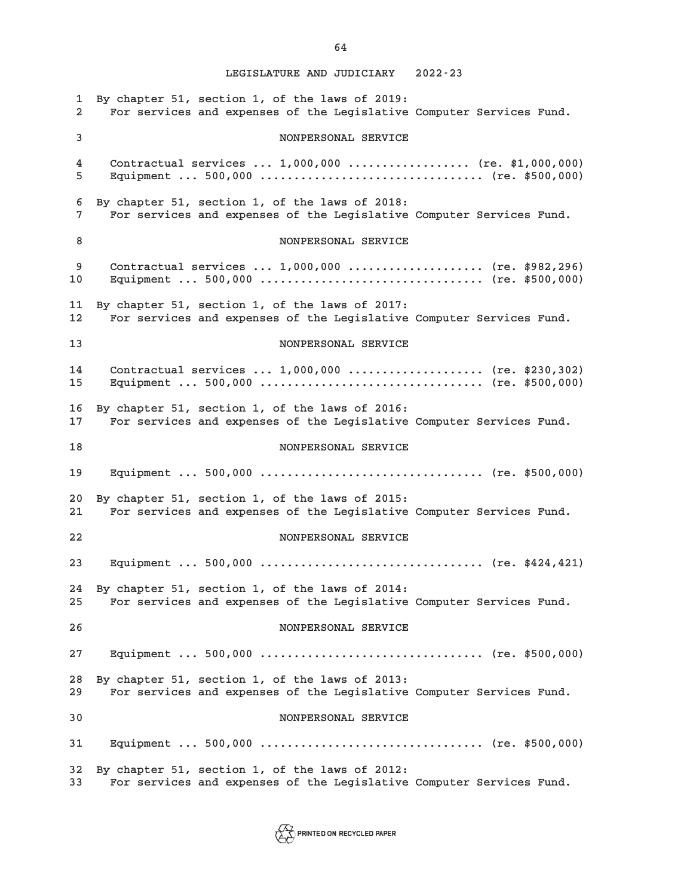**1 By chapter 51, section 1, of the laws of 2019: 2 For services and expenses of the Legislative Computer Services Fund. 3 NONPERSONAL SERVICE 4 Contractual services ... 1,000,000 .................. (re. \$1,000,000) 5 Equipment ... 500,000 ................................. (re. \$500,000) 6 By chapter 51, section 1, of the laws of 2018: 7 For services and expenses of the Legislative Computer Services Fund. 8** NONPERSONAL SERVICE **9 Contractual services ... 1,000,000 .................... (re. \$982,296) 10 Equipment ... 500,000 ................................. (re. \$500,000) 11 By chapter 51, section 1, of the laws of 2017: 12 For services and expenses of the Legislative Computer Services Fund. 13 NONPERSONAL SERVICE 14 Contractual services ... 1,000,000 .................... (re. \$230,302) 15 Equipment ... 500,000 ................................. (re. \$500,000) 16 By chapter 51, section 1, of the laws of 2016: 17 For services and expenses of the Legislative Computer Services Fund. 18 NONPERSONAL SERVICE 19 Equipment ... 500,000 ................................. (re. \$500,000) 20 By chapter 51, section 1, of the laws of 2015: 21 For services and expenses of the Legislative Computer Services Fund. 22 NONPERSONAL SERVICE 23 Equipment ... 500,000 ................................. (re. \$424,421) 24 By chapter 51, section 1, of the laws of 2014: 25 For services and expenses of the Legislative Computer Services Fund. 26 NONPERSONAL SERVICE 27 Equipment ... 500,000 ................................. (re. \$500,000) 28 By chapter 51, section 1, of the laws of 2013: 29 For services and expenses of the Legislative Computer Services Fund. 30 NONPERSONAL SERVICE 31 Equipment ... 500,000 ................................. (re. \$500,000) 32 By chapter 51, section 1, of the laws of 2012: 33 For services and expenses of the Legislative Computer Services Fund.**

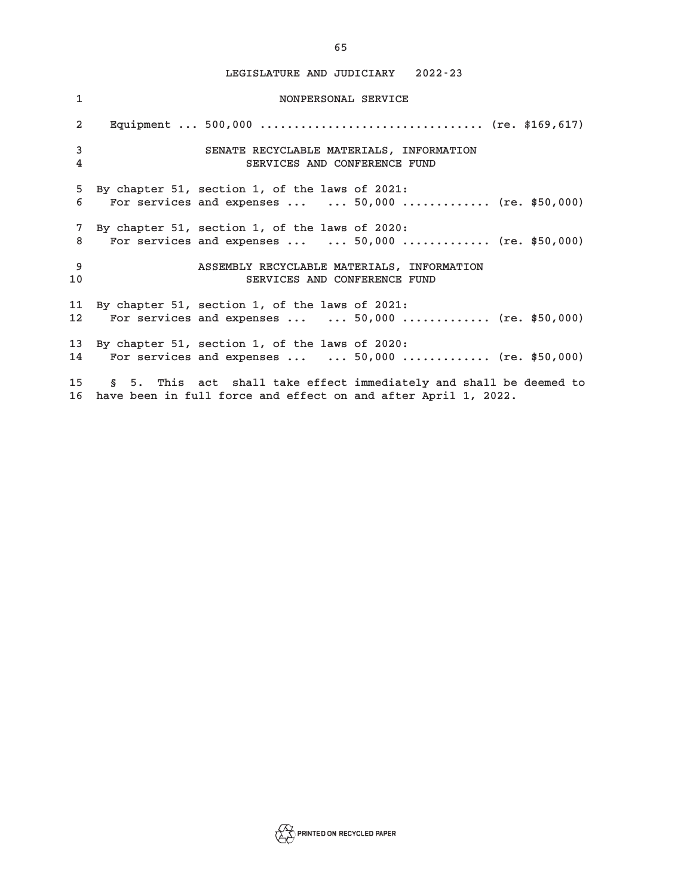| $\mathbf{1}$   | NONPERSONAL SERVICE                                                                                                                             |
|----------------|-------------------------------------------------------------------------------------------------------------------------------------------------|
| $\overline{2}$ |                                                                                                                                                 |
| 3<br>4         | SENATE RECYCLABLE MATERIALS, INFORMATION<br>SERVICES AND CONFERENCE FUND                                                                        |
| 5<br>6         | By chapter 51, section 1, of the laws of 2021:<br>For services and expenses   50,000  (re. \$50,000)                                            |
| 8              | 7 By chapter 51, section 1, of the laws of 2020:<br>For services and expenses $\ldots$ 50,000  (re. \$50,000)                                   |
| -9<br>10       | ASSEMBLY RECYCLABLE MATERIALS, INFORMATION<br>SERVICES AND CONFERENCE FUND                                                                      |
| 11 -<br>12     | By chapter 51, section 1, of the laws of 2021:<br>For services and expenses $\ldots$ 50,000  (re. \$50,000)                                     |
| 13             | By chapter 51, section 1, of the laws of 2020:<br>For services and expenses $\ldots$ 50,000  (re. \$50,000)<br>14 —                             |
|                | 15 —<br>§ 5. This act shall take effect immediately and shall be deemed to<br>16 have been in full force and effect on and after April 1, 2022. |

**65**